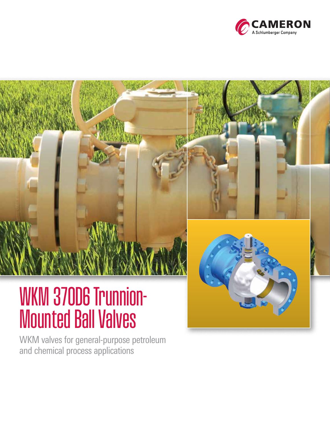

# WKM 370D6 Trunnion-Mounted Ball Valves

WKM valves for general-purpose petroleum and chemical process applications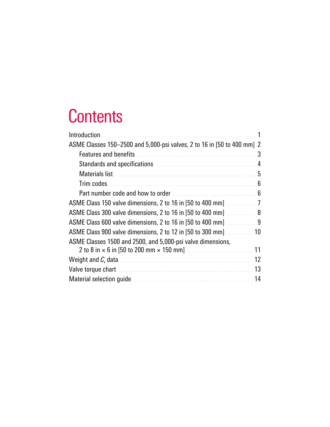### **Contents**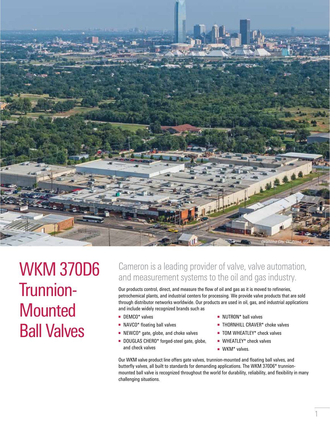

WKM 370D6 Trunnion-**Mounted** Ball Valves

### Cameron is a leading provider of valve, valve automation, and measurement systems to the oil and gas industry.

Our products control, direct, and measure the flow of oil and gas as it is moved to refineries, petrochemical plants, and industrial centers for processing. We provide valve products that are sold through distributor networks worldwide. Our products are used in oil, gas, and industrial applications and include widely recognized brands such as

- DEMCO<sup>\*</sup> valves
- NAVCO<sup>\*</sup> floating ball valves
- NEWCO<sup>\*</sup> gate, globe, and choke valves
- DOUGLAS CHERO<sup>\*</sup> forged-steel gate, globe, and check valves
- NUTRON<sup>\*</sup> ball valves
- THORNHILL CRAVER\* choke valves
- TOM WHEATLEY<sup>\*</sup> check valves
- WHEATLEY\* check valves
- WKM<sup>\*</sup> valves.

Our WKM valve product line offers gate valves, trunnion-mounted and floating ball valves, and butterfly valves, all built to standards for demanding applications. The WKM 370D6\* trunnionmounted ball valve is recognized throughout the world for durability, reliability, and flexibility in many challenging situations.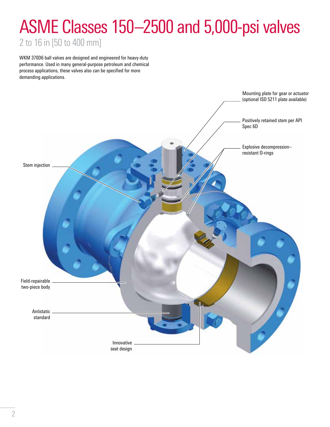## ASME Classes 150–2500 and 5,000-psi valves

2 to 16 in [50 to 400 mm]

WKM 370D6 ball valves are designed and engineered for heavy-duty performance. Used in many general-purpose petroleum and chemical process applications, these valves also can be specified for more demanding applications.

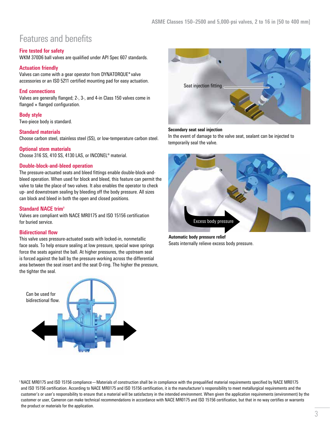### Features and benefits

#### **Fire tested for safety**

WKM 370D6 ball valves are qualified under API Spec 607 standards.

#### **Actuation friendly**

Valves can come with a gear operator from DYNATORQUE\* valve accessories or an ISO 5211 certified mounting pad for easy actuation.

#### **End connections**

Valves are generally flanged; 2-, 3-, and 4-in Class 150 valves come in  $flanged \times flanged$  configuration.

#### **Body style**

Two-piece body is standard.

#### **Standard materials**

Choose carbon steel, stainless steel (SS), or low-temperature carbon steel.

#### **Optional stem materials**

Choose 316 SS, 410 SS, 4130 LAS, or INCONEL® material.

#### **Double-block-and-bleed operation**

The pressure-actuated seats and bleed fittings enable double-block-andbleed operation. When used for block and bleed, this feature can permit the valve to take the place of two valves. It also enables the operator to check up- and downstream sealing by bleeding off the body pressure. All sizes can block and bleed in both the open and closed positions.

#### **Standard NACE trim†**

Valves are compliant with NACE MR0175 and ISO 15156 certification for buried service.

#### **Bidirectional flow**

This valve uses pressure-actuated seats with locked-in, nonmetallic face seals. To help ensure sealing at low pressure, special wave springs force the seats against the ball. At higher pressures, the upstream seat is forced against the ball by the pressure working across the differential area between the seat insert and the seat O-ring. The higher the pressure, the tighter the seal.





#### **Secondary seat seal injection**

In the event of damage to the valve seat, sealant can be injected to temporarily seal the valve.



**Automatic body pressure relief** Seats internally relieve excess body pressure.

† NACE MR0175 and ISO 15156 compliance—Materials of construction shall be in compliance with the prequalified material requirements specified by NACE MR0175 and ISO 15156 certification. According to NACE MR0175 and ISO 15156 certification, it is the manufacturer's responsibility to meet metallurgical requirements and the customer's or user's responsibility to ensure that a material will be satisfactory in the intended environment. When given the application requirements (environment) by the customer or user, Cameron can make technical recommendations in accordance with NACE MR0175 and ISO 15156 certification, but that in no way certifies or warrants the product or materials for the application.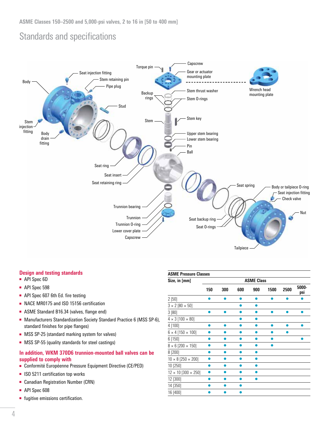### Standards and specifications



#### **Design and testing standards**

- API Spec 6D
- API Spec 598
- API Spec 607 6th Ed. fire testing
- NACE MR0175 and ISO 15156 certification
- ASME Standard B16.34 (valves, flange end)
- Manufacturers Standardization Society Standard Practice 6 (MSS SP-6), standard finishes for pipe flanges)
- MSS SP-25 (standard marking system for valves)
- MSS SP-55 (quality standards for steel castings)

#### **In addition, WKM 370D6 trunnion-mounted ball valves can be supplied to comply with**

- Conformité Européenne Pressure Equipment Directive (CE/PED)
- ISO 5211 certification top works
- Canadian Registration Number (CRN)
- API Spec 608
- fugitive emissions certification.

| <b>ASME Pressure Classes</b>      |     |     |     |                   |      |      |              |
|-----------------------------------|-----|-----|-----|-------------------|------|------|--------------|
| Size, in [mm]                     |     |     |     | <b>ASME Class</b> |      |      |              |
|                                   | 150 | 300 | 600 | 900               | 1500 | 2500 | 5000-<br>psi |
| 2[50]                             |     |     |     | e                 |      |      |              |
| $3 \times 2 [80 \times 50]$       |     |     |     |                   |      |      |              |
| 3 [80]                            |     |     |     |                   |      |      |              |
| $4 \times 3 [100 \times 80]$      |     |     |     |                   |      |      |              |
| 4 [100]                           |     |     |     |                   |      |      |              |
| $6 \times 4$ [150 $\times$ 100]   |     |     |     |                   |      |      |              |
| 6 [150]                           |     |     |     |                   |      |      |              |
| $8 \times 6$ [200 $\times$ 150]   |     |     |     |                   |      |      |              |
| 8 [200]                           |     |     |     |                   |      |      |              |
| $10 \times 8$ [250 $\times$ 200]  |     |     |     |                   |      |      |              |
| 10 [250]                          |     |     |     |                   |      |      |              |
| $12 \times 10$ [300 $\times$ 250] |     |     |     |                   |      |      |              |
| 12 [300]                          |     |     |     |                   |      |      |              |
| 14 [350]                          |     |     |     |                   |      |      |              |
| 16 [400]                          |     |     |     |                   |      |      |              |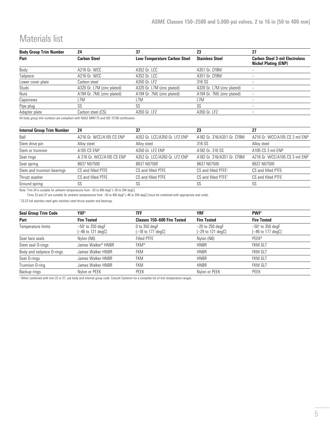### Materials list

| <b>Body Group Trim Number</b> | 24                         | 37                           | 23                         | 27                                                                   |
|-------------------------------|----------------------------|------------------------------|----------------------------|----------------------------------------------------------------------|
| Part                          | <b>Carbon Steel</b>        | Low-Temperature Carbon Steel | <b>Stainless Steel</b>     | <b>Carbon Steel 3-mil Electroless</b><br><b>Nickel Plating (ENP)</b> |
| Body                          | A216 Gr. WCC               | A352 Gr. LCC                 | A351 Gr. CF8M              |                                                                      |
| Tailpiece                     | A216 Gr. WCC               | A352 Gr. LCC                 | A351 Gr. CF8M              |                                                                      |
| Lower cover plate             | Carbon steel               | A350 Gr. LF2                 | 316 SS                     | -                                                                    |
| Studs                         | A320 Gr. L7M (zinc plated) | A320 Gr. L7M (zinc plated)   | A320 Gr. L7M (zinc plated) | -                                                                    |
| Nuts                          | A194 Gr. 7ML (zinc plated) | A194 Gr. 7ML (zinc plated)   | A194 Gr. 7ML (zinc plated) | -                                                                    |
| Capscrews                     | L7M                        | L7M                          | L7M                        |                                                                      |
| Pipe plug                     | SS                         | SS                           | SS                         |                                                                      |
| Adapter plate                 | Carbon steel (CS)          | A350 Gr. LF2                 | A350 Gr. LF2               |                                                                      |

All body group trim numbers are compliant with NACE MR0175 and ISO 15156 certification.

| <b>Internal Group Trim Number</b> | 24                        | 37                            | 23                              | 27                             |
|-----------------------------------|---------------------------|-------------------------------|---------------------------------|--------------------------------|
| Ball                              | A216 Gr. WCC/A105 CS ENP  | A352 Gr. LCC/A350 Gr. LF2 ENP | A182 Gr. 316/A351 Gr. CF8M      | A216 Gr. WCC/A105 CS 3 mil ENP |
| Stem drive pin                    | Alloy steel               | Allov steel                   | 316 SS                          | Alloy steel                    |
| Stem or trunnion                  | A105 CS ENP               | A350 Gr. LF2 ENP              | A182 Gr. 316 SS                 | A105 CS 3 mil ENP              |
| Seat rings                        | A 216 Gr. WCC/A105 CS ENP | A352 Gr. LCC/A350 Gr. LF2 ENP | A182 Gr. 316/A351 Gr. CF8M      | A216 Gr. WCC/A105 CS 3 mil ENP |
| Seat spring                       | B637 N07500               | B637 N07500                   | B637 N07500                     | B637 N07500                    |
| Stem and trunnion bearings        | CS and filled PTFE        | CS and filled PTFE            | CS and filled PTFE <sup>+</sup> | CS and filled PTFE             |
| Thrust washer                     | CS and filled PTFE        | CS and filled PTFE            | CS and filled PTFE <sup>+</sup> | CS and filled PTFE             |
| Ground spring                     | SS                        | SS                            | SS                              | SS                             |

Note: Trim 24 is suitable for ambient temperatures from -20 to 400 degF [-29 to 204 degC].

Trims 23 and 37 are suitable for ambient temperatures from –50 to 400 degF [–46 to 204 degC] (must be combined with appropriate seal code).

† 23-23 full stainless steel gets stainless steel thrust washer and bearings.

| <b>Seal Group Trim Code</b> | YXF <sup>+</sup>                               | TFF                                  | YRF                                      | <b>PWF</b> <sup>+</sup>                          |
|-----------------------------|------------------------------------------------|--------------------------------------|------------------------------------------|--------------------------------------------------|
| Part                        | <b>Fire Tested</b>                             | Classes 150-600 Fire Tested          | <b>Fire Tested</b>                       | <b>Fire Tested</b>                               |
| Temperature limits          | $-50^{\circ}$ to 250 degF<br>[—46 to 121 degC] | $0$ to 350 degF<br>[–18 to 177 degC] | $-20$ to 250 degF<br>$[-29$ to 121 degCl | $-50^{\circ}$ to 350 degF<br>$[-46$ to 177 degC] |
| Seat face seals             | Nylon (N6)                                     | <b>Filled PTFE</b>                   | Nylon (N6)                               | <b>PEEK®</b>                                     |
| Stem seal O-rings           | James Walker <sup>®</sup> HNBR                 | <b>FKM®</b>                          | <b>HNBR</b>                              | <b>FKM GLT</b>                                   |
| Body and tailpiece O-rings  | James Walker HNBR                              | <b>FKM</b>                           | <b>HNBR</b>                              | <b>FKM GLT</b>                                   |
| Seat O-rings                | James Walker HNBR                              | <b>FKM</b>                           | <b>HNBR</b>                              | <b>FKM GLT</b>                                   |
| Trunnion O-ring             | James Walker HNBR                              | <b>FKM</b>                           | <b>HNBR</b>                              | <b>FKM GLT</b>                                   |
| Backup rings                | Nylon or PEEK                                  | PEEK                                 | Nylon or PEEK                            | PEEK                                             |

† When combined with trim 23 or 37, use body and internal group code. Consult Cameron for a complete list of trim temperature ranges.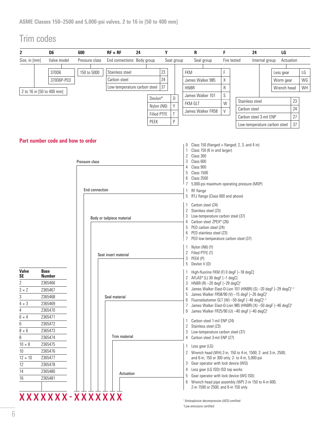### Trim codes

| $\boldsymbol{2}$  | D <sub>6</sub>                    | 600            | $RF \times RF$               | 24 | Υ                  |            | R                                                                                                                             | F           | 24                           |                | LG          |    |    |
|-------------------|-----------------------------------|----------------|------------------------------|----|--------------------|------------|-------------------------------------------------------------------------------------------------------------------------------|-------------|------------------------------|----------------|-------------|----|----|
| Size, in [mm]     | Valve model                       | Pressure class | End connections Body group   |    |                    | Seat group | Seal group                                                                                                                    | Fire tested |                              | Internal group | Actuation   |    |    |
|                   |                                   |                |                              |    |                    |            |                                                                                                                               |             |                              |                |             |    |    |
|                   | 370D6                             | 150 to 5000    | Stainless steel              |    | 23                 |            | <b>FKM</b>                                                                                                                    | F           |                              |                | Less gear   |    | LG |
|                   | 370D6P-PED                        |                | Carbon steel                 |    | 24                 |            | James Walker 985                                                                                                              | Χ           |                              |                | Worm gear   |    | WG |
|                   | 2 to 16 in [50 to 400 mm]         |                | Low-temperature carbon steel |    | 37                 |            | <b>HNBR</b>                                                                                                                   | R           |                              |                | Wrench head |    | WH |
|                   |                                   |                |                              |    | Devlon®            | D          | James Walker 101                                                                                                              | S           |                              |                |             |    |    |
|                   |                                   |                |                              |    | Nylon (N6)         | Υ          | <b>FKM GLT</b>                                                                                                                | W           | Stainless steel              |                |             | 23 |    |
|                   |                                   |                |                              |    | <b>Filled PTFE</b> | Τ          | James Walker FR58                                                                                                             | $\vee$      | Carbon steel                 |                |             | 24 |    |
|                   |                                   |                |                              |    | PEEK               | P          |                                                                                                                               |             | Carbon steel 3-mil ENP       |                |             | 27 |    |
|                   |                                   |                |                              |    |                    |            |                                                                                                                               |             | Low-temperature carbon steel |                |             | 37 |    |
|                   |                                   |                |                              |    |                    |            |                                                                                                                               |             |                              |                |             |    |    |
|                   | Part number code and how to order |                |                              |    |                    |            |                                                                                                                               |             |                              |                |             |    |    |
|                   |                                   |                |                              |    |                    |            | Class 150 (flanged $\times$ flanged; 2, 3, and 4 in)<br>0<br>Class 150 (6 in and larger)                                      |             |                              |                |             |    |    |
|                   |                                   |                |                              |    |                    |            | Class 300<br>2                                                                                                                |             |                              |                |             |    |    |
|                   |                                   | Pressure class |                              |    |                    |            | 3<br>Class 600<br>Class 900<br>4                                                                                              |             |                              |                |             |    |    |
|                   |                                   |                |                              |    |                    |            | <b>Class 1500</b><br>5                                                                                                        |             |                              |                |             |    |    |
|                   |                                   |                |                              |    |                    |            | <b>Class 2500</b><br>6                                                                                                        |             |                              |                |             |    |    |
|                   |                                   |                |                              |    |                    |            | 5,000-psi maximum operating pressure (MOP)<br>7                                                                               |             |                              |                |             |    |    |
|                   |                                   | End connection |                              |    |                    |            | $\mathbf{1}$<br>RF flange<br>RTJ flange (Class 600 and above)<br>5                                                            |             |                              |                |             |    |    |
|                   |                                   |                |                              |    |                    |            |                                                                                                                               |             |                              |                |             |    |    |
|                   |                                   |                |                              |    |                    |            | Carbon steel (24)<br>Stainless steel (23)<br>$\mathbf{2}$                                                                     |             |                              |                |             |    |    |
|                   |                                   |                | Body or tailpiece material   |    |                    |            | Low-temperature carbon steel (37)                                                                                             |             |                              |                |             |    |    |
|                   |                                   |                |                              |    |                    |            | Carbon steel ZPEX <sup>®</sup> (26)<br>4                                                                                      |             |                              |                |             |    |    |
|                   |                                   |                |                              |    |                    |            | 5 PED carbon steel (24)<br>PED stainless steel (23)<br>6                                                                      |             |                              |                |             |    |    |
|                   |                                   |                |                              |    |                    |            | PED low-temperature carbon steel (37)<br>7                                                                                    |             |                              |                |             |    |    |
|                   |                                   |                |                              |    |                    |            | Nylon (N6) (Y)                                                                                                                |             |                              |                |             |    |    |
|                   |                                   |                | Seat insert material         |    |                    |            | 2 Filled PTFE (T)                                                                                                             |             |                              |                |             |    |    |
|                   |                                   |                |                              |    |                    |            | 3<br>PEEK (P)<br>5<br>Devlon V (D)                                                                                            |             |                              |                |             |    |    |
| Valve             | <b>Base</b>                       |                |                              |    |                    |            |                                                                                                                               |             |                              |                |             |    |    |
| <b>SE</b>         | Number                            |                |                              |    |                    |            | High-fluorine FKM (F) 0 degF [-18 degC]<br>2 AFLAS® (L) 30 degF [-1 degC]                                                     |             |                              |                |             |    |    |
| $\overline{2}$    | 2365466                           |                |                              |    |                    |            | 3 HNBR (R) -20 degF [-29 degC] <sup>+</sup>                                                                                   |             |                              |                |             |    |    |
| $3\times2$        | 2365467                           |                |                              |    |                    |            | $\overline{4}$<br>James Walker Elast-O-Lion 101 (HNBR) (S) -20 degF [-29 degC] <sup>t, ±</sup>                                |             |                              |                |             |    |    |
| 3                 | 2365468                           |                | Seal material                |    |                    |            | James Walker FR58/90 (V) -15 degF [-26 degC] <sup>+</sup><br>5<br>Fluoroelastomer GLT (W) -50 degF [-46 degC] <sup>t, ±</sup> |             |                              |                |             |    |    |
| $4 \times 3$      | 2365469                           |                |                              |    |                    |            | James Walker Elast-O-Lion 985 (HNBR) (X) -50 degF [-46 degC] <sup>+</sup><br>7                                                |             |                              |                |             |    |    |
| 4                 | 2365470                           |                |                              |    |                    |            | James Walker FR25/90 (U) -40 degF [-40 degC] <sup>+</sup><br>9                                                                |             |                              |                |             |    |    |
| $6 \times 4$      | 2365471<br>2365472                |                |                              |    |                    |            | Carbon steel 1-mil ENP (24)                                                                                                   |             |                              |                |             |    |    |
| 6<br>$8 \times 6$ | 2365473                           |                |                              |    |                    |            | Stainless steel (23)<br>2                                                                                                     |             |                              |                |             |    |    |
| 8                 | 2365474                           |                | Trim material                |    |                    |            | Low-temperature carbon steel (37)<br>3<br>Carbon steel 3-mil ENP (27)<br>4                                                    |             |                              |                |             |    |    |
| $10 \times 8$     | 2365475                           |                |                              |    |                    |            |                                                                                                                               |             |                              |                |             |    |    |
| 10                | 2365476                           |                |                              |    |                    |            | Less gear (LG)<br>1<br>2 Wrench head (WH) 2-in, 150 to 4-in, 1500; 2- and 3-in, 2500;                                         |             |                              |                |             |    |    |
| $12 \times 10$    | 2365477                           |                |                              |    |                    |            | and 6-in, 150 or 300 only; 2- to 4-in, 5,000-psi                                                                              |             |                              |                |             |    |    |
| 12                | 2365478                           |                |                              |    |                    |            | Gear operator with lock device (WG)<br>3                                                                                      |             |                              |                |             |    |    |
| 14                | 2365480                           |                | Actuation                    |    |                    |            | Less gear (LG ISO) ISO top works<br>4                                                                                         |             |                              |                |             |    |    |
| 16                | 2365481                           |                |                              |    |                    |            | Gear operator with lock device (WG ISO)<br>5                                                                                  |             |                              |                |             |    |    |
|                   |                                   |                |                              |    |                    |            | Wrench head pipe assembly (WP) 2-in 150 to 4-in 600;<br>6<br>2-in 1500 or 2500; and 6-in 150 only                             |             |                              |                |             |    |    |
|                   |                                   |                |                              |    |                    |            |                                                                                                                               |             |                              |                |             |    |    |
|                   | XXXXXXX-XXXXXXX                   |                |                              |    |                    |            | <sup>†</sup> Antiexplosive decompression (AED) certified                                                                      |             |                              |                |             |    |    |

† Antiexplosive decompression (AED) certified ‡ Low-emissions certified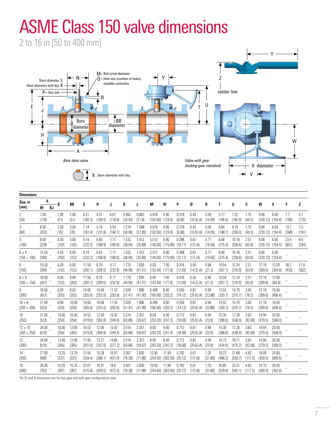## ASME Class 150 valve dimensions

2 to 16 in [50 to 400 mm]



|  | Dimensions |  |  |
|--|------------|--|--|
|  |            |  |  |

| ринензічнэ                           |                 |           |                  |                 |                  |                  |                  |                  |                  |                               |                                          |                  |                      |                 |                  |                  |                 |                              |                  |                 |               |
|--------------------------------------|-----------------|-----------|------------------|-----------------|------------------|------------------|------------------|------------------|------------------|-------------------------------|------------------------------------------|------------------|----------------------|-----------------|------------------|------------------|-----------------|------------------------------|------------------|-----------------|---------------|
| Size, in<br>[mm]                     | A<br>RF         | <b>RJ</b> | B                | BB              | E                | H                | J                | К                | L                | $M^{\dagger}$                 | N <sup>t</sup>                           | P                | Ot                   | R               | Τ                | U                | V               | W                            | X                | Υ               | z             |
| 2<br>[50]                            | 7.00<br>[178]   |           | 2.00<br>[51]     | 2.00<br>[51]    | 6.31<br>[160.3]  | 4.31<br>[109.5]  | 4.67<br>[118.6]  | 0.962<br>[24.43] | 0.862<br>[21.8]  | 4.016<br>$[102.00]$ $[124.4]$ | 4.90                                     | 0.318<br>[8.08]  | 0.43<br>[10.9] (4)   | 0.59<br>[14.99] | 5.77<br>[146.6]  | 7.32<br>[185.9]  | 1.75<br>[44.5]  | 9.06<br>$[230.12]$ $[154.4]$ | 6.00             | 7.7<br>$[196]$  | 6.7<br>[170]  |
| 3<br>$[80]$                          | 8.00<br>[203]   |           | 3.00<br>$[76]$   | 3.00<br>$[76]$  | 7.14<br>[181.4]  | 5.19<br>[131.8]  | 5.54<br>[140.7]  | 1.219<br>[30.96] | 1.098<br>[27.89] | 4.016<br>$[102.00]$ $[124.4]$ | 4.90                                     | 0.318<br>[8.08]  | 0.43<br>[10.9] (4)   | 0.59<br>[14.99] | 6.64<br>[168.7]  | 8.19<br>[208.0]  | 1.75<br>[44.5]  | 9.06<br>$[230.12]$ $[154.4]$ | 6.00             | 13.7<br>[348]   | 7.5<br>[191]  |
| 4<br>[100]                           | 9.00<br>$[229]$ |           | 4.00<br>[102]    | 4.00<br>[102]   | 9.14<br>[232.2]  | 6.65<br>[168.9]  | 7.11<br>[180.6]  | 1.533<br>[38.94] | 1.413<br>[35.89] | 5.512<br>[140.00]             | 6.90<br>[175.00]                         | 0.398<br>[10.11] | 0.67<br>[17] (4)     | 0.77<br>[19.56] | 8.48<br>[215.4]  | 10.18<br>[258.6] | 2.51<br>[63.8]  | 9.06<br>$[230.12]$ $[154.4]$ | 6.00             | 23.9<br>$[607]$ | 9.6<br>[244]  |
| $6 \times 4$<br>$[150 \times 100]$   | 15.50<br>[394]  |           | 4.00<br>$[102]$  | 6.00<br>[152]   | 9.14<br>[232.2]  | 6.65<br>[168.9]  | 7.11<br>[180.6]  | 1.533<br>[38.94] | 1.413<br>[35.89] | 5.512                         | 6.90<br>$[140.00]$ $[175.00]$            | 0.398<br>[10.11] | 0.67<br>[17] (4)     | 0.77<br>[19.56] | 8.48<br>[215.4]  | 10.18<br>[258.6] | 2.51<br>[63.8]  | 9.06<br>$[230.12]$ $[154.4]$ | 6.00             |                 |               |
| 6<br>[150]                           | 15.50<br>[394]  |           | 6.00<br>[152]    | 6.00<br>[152]   | 11.50<br>[292.1] | 8.25<br>[209.5]  | 9.17<br>[232.9]  | 1.770<br>[44.96] | 1.650<br>[41.91] | 6.00<br>$[152.40]$ $[177.8]$  | 7.00                                     | 0.476<br>[12.09] | 0.56<br>[14.2] (4)   | 0.84<br>[21.3]  | 10.54<br>[267.7] | 12.24<br>[310.9] | 2.51<br>[63.8]  | 12.19<br>[309.6]             | 12.00<br>[304.8] | 38.2<br>[970]   | 11.9<br>[302] |
| $8 \times 6$<br>$[200 \times 150]$   | 18.00<br>[457]  |           | 6.00<br>[152]    | 8.00<br>$[203]$ | 11.50<br>[292.1] | 8.25<br>[209.5]  | 9.17<br>[232.9]  | 1.770<br>[44.96] | 1.650<br>[41.91] | 6.00<br>$[152.40]$ $[177.8]$  | 7.00                                     | 0.476<br>[12.09] | 0.56<br>[14.2] (4)   | 0.84<br>[21.3]  | 10.54<br>[267.7] | 12.24<br>[310.9] | 2.51<br>[63.8]  | 12.19<br>[309.6]             | 12.00<br>304.81  |                 |               |
| 8<br>$[200]$                         | 18.00<br>[457]  |           | 8.00<br>[203]    | 8.00<br>[203]   | 14.00<br>[355.6] | 10.06<br>[255.5] | 11.52<br>[292.6] | 2.024<br>[51.41] | 1.886<br>[47.90] | 6.496<br>$[165.00]$ $[203.2]$ | 8.00                                     | 0.556<br>[14.12] | 0.81<br>[20.6] (4)   | 0.94<br>[23.88] | 13.02<br>[330.7] | 14.79<br>[375.7] | 3.00<br>[76.2]  | 12.19<br>[309.6]             | 16.00<br>[406.4] |                 |               |
| $10 \times 8$<br>$[250 \times 200]$  | 21.00<br>[533]  |           | 8.00<br>[203]    | 10.00<br>[254]  | 14.00<br>[355.6] | 10.06<br>[255.5] | 11.52<br>[292.6] | 2.024<br>[51.41] | 1.886<br>[47.90] | 6.496<br>[165.00]             | 8.00<br>[203.2]                          | 0.556<br>[14.12] | 0.81<br>$[20.6]$ (4) | 0.94<br>[23.88] | 13.02<br>[330.7] | 14.79<br>[375.7] | 3.00<br>[76.2]  | 12.19<br>[309.6]             | 16.00<br>[406.4] |                 |               |
| 10<br>$[250]$                        | 21.00<br>[533]  |           | 10.00<br>[254]   | 10.00<br>[254]  | 16.52<br>[419.6] | 12.00<br>[304.8] | 13.42<br>[340.9] | 2.514<br>[63.86] | 2.357<br>[59.87] | 8.00<br>[203.20]              | 9.50<br>[241.3]                          | 0.712<br>[18.08] | 0.81<br>$[20.6]$ (4) | 0.94<br>[23.9]  | 15.30<br>[388.6] | 17.28<br>[438.9] | 3.63<br>[92.08] | 14.94<br>[379.5]             | 20.00<br>[508.0] |                 |               |
| $12 \times 10$<br>$[300 \times 250]$ | 24.00<br>[610]  |           | 10.00<br>[254]   | 12.00<br>[305]  | 16.52<br>[419.6] | 12.00<br>[304.8] | 13.42<br>[340.9] | 2.514<br>[63.86] | 2.357<br>[59.87] | 8.00<br>[203.20]              | 9.50<br>[241.3]                          | 0.712<br>[18.08] | 0.81<br>[20.6] (4)   | 0.94<br>[23.9]  | 15.30<br>[388.6] | 17.28<br>[438.9] | 3.63<br>[92.08] | 14.94<br>[379.5]             | 20.00<br>[508.0] |                 |               |
| $12 \overline{ }$<br>[300]           | 24.00<br>[610]  |           | 12.00<br>$[305]$ | 12.00<br>[305]  | 17.95<br>[501.6] | 13.27<br>[337.0] | 14.85<br>[377.2] | 2.514<br>[63.86] | 2.357<br>[59.87] | 8.00<br>$[203.20]$ $[241.3]$  | 9.50                                     | 0.712<br>[18.08] | 0.81<br>[20.6] (4)   | 0.94<br>[23.9]  | 16.73<br>[424.9] | 18.71<br>[475.2] | 3.63<br>[92.08] | 14.94<br>[379.5]             | 20.00<br>[508.0] |                 |               |
| 14<br>[350]                          | 27.00<br>[686]  |           | 13.25<br>[337]   | 13.25<br>[337]  | 21.04<br>[534.4] | 15.28<br>[388.1] | 16.97<br>[431.0] | 3.007<br>[76.38] | 2.830<br>[71.88] | 10.00                         | 11.90<br>[254.00] [302.00] [20.12]       | 0.792            | 0.67<br>$[17]$ (8)   | 1.25<br>[31.80] | 19.22<br>[488.2] | 21.68<br>[550.7] | 4.63<br>[117.5] | 18.09<br>[459.5]             | 24.00<br>[609.6] |                 |               |
| 16<br>$[400]$                        | 30.00<br>[762]  |           | 15.25<br>[387]   | 15.25<br>[387]  | 22.67<br>[575.8] | 16.91<br>[429.5] | 18.6<br>[472.4]  | 3.007<br>[76.38] | 2.830<br>[71.88] | 10.00                         | 11.90<br>$[254.00]$ $[302.00]$ $[20.12]$ | 0.792            | 0.67<br>$[17]$ (8)   | 1.25<br>[31.80] | 20.85<br>[529.6] | 23.31<br>[592.1] | 4.63<br>[117.5] | 19.72<br>[500.9]             | 30.00<br>[762.0] |                 |               |
|                                      |                 |           |                  |                 |                  |                  |                  |                  |                  |                               |                                          |                  |                      |                 |                  |                  |                 |                              |                  |                 |               |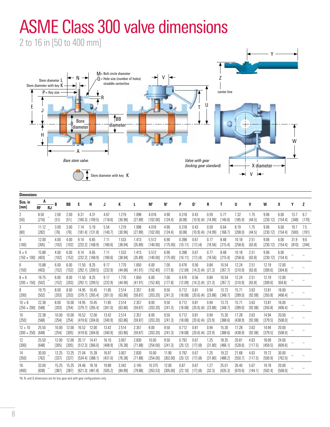## ASME Class 300 valve dimensions

2 to 16 in [50 to 400 mm]



| <b>Dimensions</b>                    |                  |           |                |                |                  |                              |                  |                  |                  |                    |                   |                  |                    |                 |                  |                  |                 |                  |                  |               |              |
|--------------------------------------|------------------|-----------|----------------|----------------|------------------|------------------------------|------------------|------------------|------------------|--------------------|-------------------|------------------|--------------------|-----------------|------------------|------------------|-----------------|------------------|------------------|---------------|--------------|
| Size, in<br>[mm]                     | A<br>RF          | <b>RJ</b> | B              | <b>BB</b>      | E                | H                            | J                | ĸ                | L                | M <sup>t</sup>     | Nt                | P                | O <sub>t</sub>     | R               | т                | U                | V               | W                | X                | γ             | Z            |
| 2<br>[50]                            | 8.50<br>[216]    |           | 2.00<br>[51]   | 2.00<br>$[51]$ | 6.31<br>[160.3]  | 4.31<br>[109.5]              | 4.67<br>[118.6]  | 1.219<br>[30.96] | 1.098<br>[27.89] | 4.016<br>[102.00]  | 4.90<br>[124.4]   | 0.318<br>[8.08]  | 0.43<br>[10.9] (4) | 0.59<br>[14.99] | 5.77<br>[146.6]  | 7.32<br>[185.9]  | 1.75<br>[44.5]  | 9.06<br>[230.12] | 6.00<br>[154.4]  | 13.7<br>[348] | 6.7<br>[170] |
| 3<br>[80]                            | 11.12<br>[282]   |           | 3.00<br>[76]   | 3.00<br>$[76]$ | 7.14<br>[181.4]  | 5.19<br>[131.8]              | 5.54<br>[140.7]  | 1.219<br>[30.96] | 1.098<br>[27.89] | 4.016<br>[102.00]  | 4.90<br>[124.4]   | 0.318<br>[8.08]  | 0.43<br>[10.9] (4) | 0.59<br>[14.99] | 6.64<br>[168.7]  | 8.19<br>[208.0]  | 1.75<br>[44.5]  | 9.06<br>[230.12] | 6.00<br>[154.4]  | 19.7<br>[500] | 7.5<br>[191] |
| 4<br>$[100]$                         | 12.00<br>[305]   |           | 4.00<br>[102]  | 4.00<br>[102]  | 9.14<br>[232.2]  | 6.65<br>[168.9]              | 7.11<br>[180.6]  | 1.533<br>[38.94] | 1.413<br>[35.89] | 5.512<br>[140.00]  | 6.90<br>[175.00]  | 0.398<br>[10.11] | 0.67<br>[17] (4)   | 0.77<br>[19.56] | 8.48<br>[215.4]  | 10.18<br>[258.6] | 2.51<br>[63.8]  | 9.06<br>[230.12] | 6.00<br>[154.4]  | 31.9<br>[810] | 9.6<br>[244] |
| $6 \times 4$<br>$[150 \times 100]$   | 15.88<br>$[403]$ |           | 4.00<br>[102]  | 6.00<br>[152]  | 9.14             | 6.65<br>$[232.2]$ $[168.9]$  | 7.11<br>[180.6]  | 1.533<br>[38.94] | 1.413<br>[35.89] | 5.512<br>[140.00]  | 6.90<br>[175.00]  | 0.398<br>[10.11] | 0.67<br>[17] (4)   | 0.77<br>[19.56] | 8.48<br>[215.4]  | 10.18<br>[258.6] | 2.51<br>[63.8]  | 9.06<br>[230.12] | 6.00<br>[154.4]  |               |              |
| 6<br>[150]                           | 15.88<br>[403]   |           | 6.00<br>[152]  | 6.00<br>[152]  | 11.50            | 8.25<br>$[292.1]$ $[209.5]$  | 9.17<br>[232.9]  | 1.770<br>[44.96] | 1.650<br>[41.91] | 6.00<br>[152.40]   | 7.00<br>[177.8]   | 0.476<br>[12.09] | 0.56<br>[14.2] (4) | 0.84<br>[21.3]  | 10.54<br>[267.7] | 12.24<br>[310.9] | 2.51<br>[63.8]  | 12.19<br>[309.6] | 12.00<br>[304.8] |               |              |
| $8 \times 6$<br>$[200 \times 150]$   | 19.75<br>[502]   |           | 6.00<br>[152]  | 8.00<br>[203]  | 11.50            | 8.25<br>[292.1] [209.5]      | 9.17<br>[232.9]  | 1.770<br>[44.96] | 1.650<br>[41.91] | 6.00<br>[152.40]   | 7.00<br>[177.8]   | 0.476<br>[12.09] | 0.56<br>[14.2] (4) | 0.84<br>[21.3]  | 10.54<br>[267.7] | 12.24<br>[310.9] | 2.51<br>[63.8]  | 12.19<br>[309.6] | 12.00<br>304.81  |               |              |
| 8<br>[200]                           | 19.75<br>[502]   |           | 8.00<br>[203]  | 8.00<br>[203]  | 14.95<br>[379.7] | 10.45<br>[265.4]             | 11.85<br>[301.0] | 2.514<br>[63.86] | 2.357<br>[59.87] | 8.00<br>[203.20]   | 9.50<br>[241.3]   | 0.712<br>[18.08] | 0.81<br>[20.6] (4) | 0.94<br>[23.88] | 13.73<br>[348.7] | 15.71<br>[399.0] | 3.63<br>[92.08] | 13.81<br>[350.8] | 16.00<br>[406.4] |               |              |
| $10 \times 8$<br>$[250 \times 200]$  | 22.38<br>[568]   |           | 8.00<br>[203]  | 10.00<br>[254] | 14.95            | 10.45<br>$[379.7]$ $[265.4]$ | 11.85<br>[301.0] | 2.514<br>[63.86] | 2.357<br>[59.87] | 8.00<br>[203.20]   | 9.50<br>[241.3]   | 0.712<br>[18.08] | 0.81<br>[20.6] (4) | 0.94<br>[23.88] | 13.73<br>[348.7] | 15.71<br>[399.0] | 3.63<br>[92.08] | 13.81<br>[350.8] | 16.00<br>[406.4] |               |              |
| 10 <sup>°</sup><br>$[250]$           | 22.38<br>[568]   |           | 10.00<br>[254] | 10.00<br>[254] | 16.52<br>[419.6] | 12.00<br>[304.8]             | 13.42<br>[340.9] | 2.514<br>[63.86] | 2.357<br>[59.87] | 8.00<br>[203.20]   | 9.50<br>[241.3]   | 0.712<br>[18.08] | 0.81<br>[20.6] (4) | 0.94<br>[23.9]  | 15.30<br>[388.6] | 17.28<br>[438.9] | 3.63<br>[92.08] | 14.94<br>[379.5] | 20.00<br>[508.0] |               |              |
| $12 \times 10$<br>$[300 \times 250]$ | 25.50<br>[648]   |           | 10.00<br>[254] | 12.00<br>[305] | 16.52            | 12.00<br>$[419.6]$ $[304.8]$ | 13.42<br>[340.9] | 2.514<br>[63.86] | 2.357<br>[59.87] | 8.00<br>[203.20]   | 9.50<br>[241.3]   | 0.712<br>[18.08] | 0.81<br>[20.6] (4) | 0.94<br>[23.9]  | 15.30<br>[388.6] | 17.28<br>[438.9] | 3.63<br>[92.08] | 14.94<br>[379.5] | 20.00<br>[508.0] |               |              |
| 12<br>$[300]$                        | 25.50<br>[648]   |           | 12.00<br>[305] | 12.00<br>[305] | 20.17            | 14.41<br>$[512.3]$ $[366.0]$ | 16.10<br>[408.9] | 3.007<br>[76.38] | 2.830<br>[71.88] | 10.00<br>[254.00]  | 9.50<br>[241.3]   | 0.792<br>[20.12] | 0.67<br>[17] (8)   | 1.25<br>[31.80] | 18.35<br>[466.1] | 20.81<br>[528.6] | 4.63<br>[117.5] | 18.09<br>[459.5] | 24.00<br>[609.6] |               |              |
| 14<br>[350]                          | 30.00<br>[762]   |           | 13.25<br>[337] | 13.25<br>[337] | 21.04<br>[534.4] | 15.28<br>[388.1]             | 16.97<br>[431.0] | 3.007<br>[76.38] | 2.830<br>[71.88] | 10.00<br>[254.00]  | 11.90<br>[302.00] | 0.792<br>[20.12] | 0.67<br>[17] (8)   | 1.25<br>[31.80] | 19.22<br>[488.2] | 21.68<br>[550.7] | 4.63<br>[117.5] | 19.72<br>[500.9] | 30.00<br>[762.0] |               |              |
| 16<br>[400]                          | 33.00<br>[838]   |           | 15.25<br>[387] | 15.25<br>[387] | 24.46            | 18.18<br>[621.3] [461.8]     | 19.89<br>[505.2] | 3.342<br>[84.89] | 3.145<br>[79.88] | 10.375<br>[263.53] | 12.00<br>[305.00] | 0.87<br>[22.10]  | 0.67<br>[17] (8)   | 1.27<br>[32.3]  | 25.01<br>[635.3] | 26.40<br>[670.6] | 5.67<br>[144.1] | 19.78<br>[502.4] | 20.00<br>[508.0] |               |              |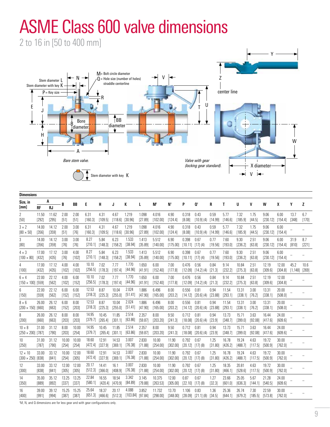## ASME Class 600 valve dimensions

2 to 16 in [50 to 400 mm]



| <b>Dimensions</b>                          |                    |                    |                  |                  |                    |                             |                     |                               |                  |                    |                   |                                 |                                                      |                 |                  |                             |                             |                              |                  |                            |              |
|--------------------------------------------|--------------------|--------------------|------------------|------------------|--------------------|-----------------------------|---------------------|-------------------------------|------------------|--------------------|-------------------|---------------------------------|------------------------------------------------------|-----------------|------------------|-----------------------------|-----------------------------|------------------------------|------------------|----------------------------|--------------|
| Size, in                                   |                    | A                  | B                | BB               | E                  | н                           | J                   | K                             | L                | $M^{\dagger}$      | $N^{\dagger}$     | P                               | Ot                                                   | R               | T                | U                           | V                           | W                            | X                | γ                          | z            |
| [mm]<br>2                                  | <b>RF</b><br>11.50 | <b>RJ</b><br>11.62 | 2.00             | 2.00             | 6.31               | 4.31                        | 4.67                | 1.219                         | 1.098            | 4.016              | 4.90              | 0.318                           | 0.43                                                 | 0.59            | 5.77             | 7.32                        | 1.75                        | 9.06                         | 6.00             | 13.7                       | 6.7          |
| $[50]$                                     | [292]              | $[295]$            | $[51]$           | [51]             | [160.3]            | [109.5]                     | $[118.6]$ $[30.96]$ |                               | [27.89]          | [102.00]           | [124.4]           | [8.08]                          | [10.9] (4)                                           | [14.99]         | [146.6]          | [185.9]                     | [44.5]                      | $[230.12]$ $[154.4]$         |                  | [348]                      | [170]        |
| $3 \times 2$<br>$[80 \times 50]$           | 14.00<br>$[356]$   | 14.12<br>[359]     | 2.00<br>$[51]$   | 3.00<br>$[76]$   | 6.31<br>[160.3]    | 4.31<br>[109.5]             | 4.67<br>[118.6]     | 1.219<br>[30.96]              | 1.098<br>[27.89] | 4.016<br>[102.00]  | 4.90<br>[124.4]   | 0.318<br>[8.08]                 | 0.43<br>[10.9] (4)                                   | 0.59<br>[14.99] | 5.77<br>[146.6]  | 7.32<br>[185.9]             | 1.75<br>[44.5]              | 9.06<br>$[230.12]$ $[154.4]$ | 6.00             |                            |              |
| 3<br>[80]                                  | 14.00<br>[356]     | 14.12<br>[359]     | 3.00<br>$[76]$   | 3.00<br>$[76]$   | 8.27<br>[210.1]    | 5.84<br>[148.3]             | 6.23<br>[158.2]     | 1.533<br>[38.94]              | 1.413<br>[35.89] | 5.512<br>[140.00]  | 6.90<br>[175.00]  | 0.398                           | 0.67<br>$[10.11]$ $[17]$ $(4)$                       | 0.77<br>[19.56] | 7.60<br>[193.0]  | 9.30<br>[236.2]             | 2.51<br>[63.8]              | 9.06<br>$[230.12]$ $[154.4]$ | 6.00             | 31.9<br>[810]              | 8.7<br>[221] |
| $4 \times 3$<br>$[100 \times 80]$          | 17.00<br>[432]     | 17.12<br>[435]     | 3.00<br>$[76]$   | 4.00<br>$[102]$  | 8.27               | 5.84<br>$[210.1]$ $[148.3]$ | 6.23<br>[158.2]     | 1.533<br>[38.94]              | 1.413<br>[35.89] | 5.512<br>[140.00]  | 6.90<br>[175.00]  | 0.398<br>$[10.11]$ $[17]$ $(4)$ | 0.67                                                 | 0.77<br>[19.56] | 7.60<br>[193.0]  | 9.30<br>[236.2]             | 2.51<br>[63.8]              | 9.06<br>$[230.12]$ $[154.4]$ | 6.00             |                            |              |
| 4<br>$[100]$                               | 17.00<br>[432]     | 17.12<br>[435]     | 4.00<br>[102]    | 4.00<br>[102]    | 10.10              | 7.02<br>$[256.5]$ $[178.3]$ | 7.77<br>[197.4]     | 1.770<br>[44.96]              | 1.650<br>[41.91] | 6.00<br>[152.40]   | 7.00<br>[177.8]   | 0.476                           | 0.56<br>$[12.09]$ $[14.2]$ (4)                       | 0.84<br>[21.3]  | 9.14<br>[232.2]  | 10.84<br>[275.3]            | 2.51<br>[63.8]              | 12.19<br>[309.6]             | 12.00<br>[304.8] | 45.2<br>$[1, 148]$ $[269]$ | 10.6         |
| $6 \times 4$<br>$[150 \times 100]$ [559]   | 22.00              | 22.12<br>[562]     | 4.00<br>[102]    | 6.00<br>[152]    | 10.10<br>$[256.5]$ | 7.02<br>[178.3]             | 7.77<br>[197.4]     | 1.770<br>[44.96]              | 1.650<br>[41.91] | 6.00<br>[152.40]   | 7.00<br>[177.8]   | 0.476                           | 0.56<br>$[12.09]$ $[14.2]$ (4)                       | 0.84<br>[21.3]  | 9.14<br>[232.2]  | 10.84<br>[275.3]            | 2.51<br>[63.8]              | 12.19<br>[309.6]             | 12.00<br>[304.8] |                            |              |
| 6<br>$[150]$                               | 22.00<br>[559]     | 22.12<br>[562]     | 6.00<br>[152]    | 6.00<br>[152]    | 12.53<br>[318.3]   | 8.87<br>[225.3]             | 10.04<br>[255.0]    | 2.024<br>[51.41]              | 1.886<br>[47.90] | 6.496<br>[165.00]  | 8.00<br>[203.2]   | 0.556                           | 0.81<br>$[14.12]$ $[20.6]$ (4)                       | 0.94<br>[23.88] | 11.54<br>[293.1] | 13.31<br>$[338.1]$ $[76.2]$ | 3.00                        | 13.31<br>[338.1]             | 20.00<br>[508.0] |                            |              |
| $8 \times 6$<br>$[200 \times 150]$ [660]   | 26.00              | 26.12<br>[663]     | 6.00<br>[152]    | 8.00<br>[203]    | 12.53<br>[318.3]   | 8.87<br>[225.3]             | 10.04<br>[255.0]    | 2.024<br>[51.41]              | 1.886<br>[47.90] | 6.496<br>[165.00]  | 8.00<br>[203.2]   | 0.556                           | 0.81<br>$[14.12]$ $[20.6]$ (4)                       | 0.94<br>[23.88] | 11.54<br>[293.1] | 13.31<br>[338.1]            | 3.00<br>[76.2]              | 13.31<br>[338.1]             | 20.00<br>[508.0] |                            |              |
| 8<br>$[200]$                               | 26.00<br>[660]     | 26.12<br>[663]     | 8.00<br>$[203]$  | 8.00<br>[203]    | 14.95<br>[379.7]   | 10.45<br>[265.4]            | 11.85<br>[301.1]    | 2.514<br>$[63.86]$            | 2.357<br>[59.87] | 8.00<br>[203.20]   | 9.50<br>[241.3]   | 0.712                           | 0.81<br>$[18.08]$ $[20.6]$ (4)                       | 0.94<br>[23.9]  | 13.73<br>[348.7] | 15.71<br>[399.0]            | 3.63<br>[92.08]             | 16.44<br>[417.6]             | 24.00<br>[609.6] |                            |              |
| $10 \times 8$<br>$[250 \times 200]$ [787]  | 31.00              | 31.12<br>[790]     | 8.00<br>$[203]$  | 10.00<br>[254]   | 14.95<br>[379.7]   | 10.45<br>[265.4]            | 11.85<br>[301.1]    | 2.514<br>[63.86]              | 2.357<br>[59.87] | 8.00<br>[203.20]   | 9.50<br>[241.3]   | 0.712<br>[18.08]                | 0.81<br>$[20.6]$ (4)                                 | 0.94<br>[23.9]  | 13.73<br>[348.7] | 15.71<br>[399.0]            | 3.63<br>[92.08]             | 16.44<br>[417.6]             | 24.00<br>[609.6] |                            |              |
| 10<br>$[250]$                              | 31.00<br>[787]     | 31.12<br>[790]     | 10.00<br>[254]   | 10.00<br>$[254]$ | 18.60<br>[472.4]   | 12.91<br>[327.9]            | 14.53<br>[369.1]    | 3.007<br>[76.38]              | 2.830<br>[71.88] | 10.00<br>[254.00]  | 11.90<br>[302.00] | 0.792                           | 0.67<br>$[20.12]$ $[17]$ $(8)$                       | 1.25<br>[31.80] | 16.78<br>[426.2] | 19.24<br>[488.7]            | 4.63<br>[117.5]             | 19.72<br>[500.9]             | 30.00<br>[762.0] |                            |              |
| $12 \times 10$<br>$[300 \times 250]$ [838] | 33.00              | 33.12<br>[841]     | 10.00<br>[254]   | 12.00<br>$[305]$ | 18.60<br>[472.4]   | 12.91<br>[327.9]            | 14.53<br>[369.1]    | 3.007<br>[76.38]              | 2.830<br>[71.88] | 10.00<br>[254.00]  | 11.90<br>[302.00] | 0.792                           | 0.67<br>$[20.12]$ $[17]$ $(8)$                       | 1.25<br>[31.80] | 16.78<br>[426.2] | 19.24<br>[488.7]            | 4.63<br>[117.5]             | 19.72<br>[500.9]             | 30.00<br>[762.0] |                            |              |
| $12 \overline{ }$<br>[300]                 | 33.00<br>[838]     | 33.12<br>[841]     | 12.00<br>$[305]$ | 12.00<br>$[305]$ | 20.17<br>[512.3]   | 14.41<br>[366.0]            | 16.1<br>[408.9]     | 3.007<br>[76.38]              | 2.830<br>[71.88] | 10.00<br>[254.00]  | 11.90<br>[302.00] | 0.792                           | 0.67<br>$[20.12]$ $[17]$ $(8)$                       | 1.25<br>[31.80] | 18.35<br>[466.1] | 20.81<br>[528.6]            | 4.63<br>[117.5]             | 19.72<br>[500.9]             | 30.00<br>[762.0] |                            |              |
| 14<br>$[350]$                              | 35.00<br>[889]     | 35.12<br>[892]     | 13.25<br>[337]   | 13.25<br>[337]   | 22.84<br>[580.1]   | 16.55<br>[420.4]            | 18.54<br>[470.9]    | 3.342<br>[84.89]              | 3.145<br>[79.88] | 10.375<br>[263.53] | 12.00<br>[305.00] | 0.87<br>$[22.10]$ $[17]$ $(8)$  | 0.67                                                 | 1.27<br>[32.3]  | 23.66<br>[601.0] | 25.05<br>[636.3]            | 5.67<br>[144.1]             | 21.28<br>[540.5]             | 24.00<br>[609.6] |                            |              |
| 16<br>$[400]$                              | 39.00<br>[991]     | 39.12<br>[994]     | 15.25<br>[387]   | 15.25<br>[387]   | 25.64              | 18.37<br>[651.3] [466.6]    | 20.17<br>[512.3]    | 4.088<br>$[103.84]$ $[97.84]$ | 3.852            | 11.732<br>[298.00] | 13.70             | 1.106                           | 0.83<br>$[348.00]$ $[28.09]$ $[21.1]$ $(8)$ $[34.5]$ | 1.36            | 25.36<br>[644.1] | 26.74<br>[679.2]            | 7.30<br>$[185.5]$ $[573.8]$ | 22.59                        | 30.00<br>[762.0] |                            |              |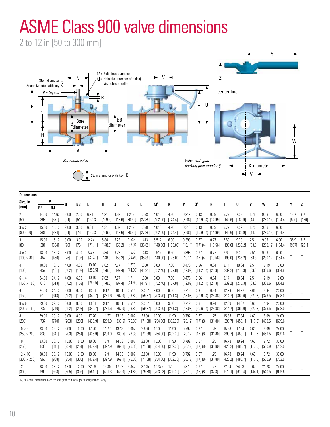## ASME Class 900 valve dimensions

2 to 12 in [50 to 300 mm]



| <b>Dimensions</b>                    |                             |                             |                 |                  |                  |                             |                             |                                        |                  |                               |                                                              |                  |                                |                 |                  |                                                  |                             |                              |                  |               |              |
|--------------------------------------|-----------------------------|-----------------------------|-----------------|------------------|------------------|-----------------------------|-----------------------------|----------------------------------------|------------------|-------------------------------|--------------------------------------------------------------|------------------|--------------------------------|-----------------|------------------|--------------------------------------------------|-----------------------------|------------------------------|------------------|---------------|--------------|
| Size, in                             |                             | A                           | B               | BB               | Е                | H                           | J                           | K                                      | L                | $M^{\dagger}$                 | N <sup>t</sup>                                               | P                | Ot                             | R               | T                | U                                                | v                           | W                            | X                | Υ             | z            |
| [mm]<br>2<br>[50]                    | <b>RF</b><br>14.50<br>[368] | <b>RJ</b><br>14.62<br>[371] | 2.00<br>$[51]$  | 2.00<br>[51]     | 6.31<br>[160.3]  | 4.31                        | 4.67<br>$[109.5]$ $[118.6]$ | 1.219<br>[30.96]                       | 1.098<br>[27.89] | 4.016<br>$[102.00]$ $[124.4]$ | 4.90                                                         | 0.318<br>[8.08]  | 0.43<br>$[10.9]$ (4) $[14.99]$ | 0.59            | 5.77<br>[146.6]  | 7.32<br>[185.9]                                  | 1.75<br>[44.5]              | 9.06<br>$[230.12]$ $[154.4]$ | 6.00             | 19.7<br>[500] | 6.7<br>[170] |
| $3 \times 2$<br>$[80 \times 50]$     | 15.00<br>[381]              | 15.12<br>[384]              | 2.00<br>[51]    | 3.00<br>$[76]$   | 6.31<br>[160.3]  | 4.31<br>[109.5]             | 4.67<br>[118.6]             | 1.219<br>[30.96]                       | 1.098<br>[27.89] | 4.016<br>[102.00]             | 4.90<br>[124.4]                                              | 0.318<br>[8.08]  | 0.43<br>$[10.9]$ (4) $[14.99]$ | 0.59            | 5.77<br>[146.6]  | 7.32<br>[185.9]                                  | 1.75<br>[44.5]              | 9.06<br>$[230.12]$ $[154.4]$ | 6.00             |               |              |
| 3<br>[80]                            | 15.00<br>[381]              | 15.12<br>[384]              | 3.00<br>$[76]$  | 3.00<br>$[76]$   | 8.27<br>[210.1]  | 5.84<br>[148.3]             | 6.23<br>[158.2]             | 1.533<br>[38.94]                       | 1.413<br>[35.89] | 5.512<br>[140.00]             | 6.90<br>[175.00]                                             | 0.398<br>[10.11] | 0.67<br>[17] (4)               | 0.77<br>[19.56] | 7.60<br>[193.0]  | 9.30<br>[236.2]                                  | 2.51<br>[63.8]              | 9.06<br>$[230.12]$ $[154.4]$ | 6.00             | 36.9<br>[937] | 8.7<br>[221] |
| $4 \times 3$<br>$[100 \times 80]$    | 18.00<br>[457]              | 18.12<br>[460]              | 3.00<br>$[76]$  | 4.00<br>$[102]$  | 8.27<br>[210.1]  | 5.84<br>[148.3]             | 6.23<br>[158.2]             | 1.533<br>[38.94]                       | 1.413<br>[35.89] | 5.512<br>[140.00]             | 6.90<br>[175.00]                                             | 0.398<br>[10.11] | 0.67<br>$[17]$ (4)             | 0.77<br>[19.56] | 7.60<br>[193.0]  | 9.30<br>[236.2]                                  | 2.51<br>[63.8]              | 9.06<br>$[230.12]$ $[154.4]$ | 6.00             |               |              |
| 4<br>$[100]$                         | 18.00<br>[457]              | 18.12<br>[461]              | 4.00<br>$[102]$ | 4.00<br>[102]    | 10.10<br>[256.5] | 7.02<br>$[178.3]$ $[197.4]$ | 7.77                        | 1.770<br>$[44.96]$ $[41.91]$           | 1.650            | 6.00<br>$[152.40]$ $[177.8]$  | 7.00                                                         | 0.476<br>[12.09] | 0.56<br>[14.2] (4) [21.3]      | 0.84            | 9.14<br>[232.2]  | 10.84<br>[275.3]                                 | 2.51<br>[63.8]              | 12.19<br>[309.6]             | 12.00<br>[304.8] |               |              |
| $6 \times 4$<br>$1150 \times 1001$   | 24.00<br>[610]              | 24.12<br>[613]              | 4.00<br>$[102]$ | 6.00<br>[152]    | 10.10<br>[256.5] | 7.02<br>[178.3] [197.4]     | 7.77                        | 1.770<br>[44.96]                       | 1.650<br>[41.91] | 6.00<br>$[152.40]$ $[177.8]$  | 7.00                                                         | 0.476<br>[12.09] | 0.56<br>[14.2] (4) [21.3]      | 0.84            | 9.14<br>[232.2]  | 10.84<br>[275.3]                                 | 2.51<br>[63.8]              | 12.19<br>[309.6]             | 12.00<br>[304.8] |               |              |
| 6<br>[150]                           | 24.00<br>[610]              | 24.12<br>[613]              | 6.00<br>[152]   | 6.00<br>[152]    | 13.61<br>[345.7] | 9.12<br>[231.6]             | 10.51<br>[267.0]            | 2.514<br>[63.86]                       | 2.357<br>[59.87] | 8.00<br>[203.20]              | 9.50<br>[241.3]                                              | 0.712<br>[18.08] | 0.81<br>$[20.6]$ (4) $[23.88]$ | 0.94            | 12.39<br>[314.7] | 14.37<br>[365.0]                                 | 3.63<br>[92.08]             | 14.94<br>[379.5]             | 20.00<br>[508.0] |               |              |
| $8 \times 6$<br>$[200 \times 150]$   | 29.00<br>[737]              | 29.12<br>[740]              | 6.00<br>[152]   | 8.00<br>$[203]$  | 13.61<br>[345.7] | 9.12<br>[231.6]             | 10.51<br>$[267.0]$          | 2.514<br>[63.86]                       | 2.357<br>[59.87] | 8.00<br>[203.20]              | 9.50<br>[241.3]                                              | 0.712<br>[18.08] | 0.81<br>$[20.6]$ (4) $[23.88]$ | 0.94            | 12.39<br>[314.7] | 14.37<br>[365.0]                                 | 3.63<br>[92.08]             | 14.94<br>[379.5]             | 20.00<br>[508.0] |               |              |
| 8<br>$[200]$                         | 29.00<br>[737]              | 29.12<br>[740]              | 8.00<br>$[203]$ | 8.00<br>$[203]$  | 17.20<br>[436.9] | 11.77<br>[299.0]            | 13.13                       | 3.007<br>$[333.5]$ $[76.38]$           | 2.830<br>[71.88] | 10.00<br>[254.00]             | 11.90<br>[302.00]                                            | 0.792<br>[20.12] | 0.67<br>[17] (8)               | 1.25<br>[31.80] | 15.38<br>[390.7] | 17.84<br>[453.1]                                 | 4.63<br>[117.5]             | 18.09<br>[459.5]             | 24.00<br>[609.6] |               |              |
| $10 \times 8$<br>$[250 \times 200]$  | 33.00<br>[838]              | 33.12<br>[841]              | 8.00<br>$[203]$ | 10.00<br>$[254]$ | 17.20<br>[436.9] | 11.77<br>[299.0]            | 13.13                       | 3.007<br>$[333.5]$ $[76.38]$           | 2.830<br>[71.88] | 10.00<br>$[254.00]$           | 11.90<br>[302.00]                                            | 0.792<br>[20.12] | 0.67<br>[17] (8)               | 1.25<br>[31.80] | 15.38<br>[390.7] | 17.84<br>[453.1]                                 | 4.63<br>$[117.5]$ $[459.5]$ | 18.09                        | 24.00<br>[609.6] |               |              |
| 10 <sup>°</sup><br>$[250]$           | 33.00<br>[838]              | 33.12<br>[841]              | 10.00<br>[254]  | 10.00<br>[254]   | 18.60<br>[472.4] | 12.91<br>[327.9]            | 14.53                       | 3.007<br>$[369.1]$ $[76.38]$           | 2.830<br>[71.88] | 10.00<br>[254.00]             | 11.90<br>[302.00]                                            | 0.792<br>[20.12] | 0.67<br>[17] (8)               | 1.25<br>[31.80] | 16.78<br>[426.2] | 19.24<br>[488.7]                                 | 4.63<br>[117.5]             | 19.72<br>[500.9]             | 30.00<br>[762.0] |               |              |
| $12 \times 10$<br>$[300 \times 250]$ | 38.00<br>[965]              | 38.12<br>[968]              | 10.00<br>[254]  | 12.00<br>[305]   | 18.60<br>[472.4] | 12.91<br>[327.9]            | 14.53                       | 3.007<br>$[369.1]$ $[76.38]$           | 2.830<br>[71.88] | 10.00<br>[254.00]             | 11.90<br>[302.00]                                            | 0.792<br>[20.12] | 0.67<br>$[17]$ (8)             | 1.25<br>[31.80] | 16.78<br>[426.2] | 19.24<br>[488.7]                                 | 4.63<br>[117.5]             | 19.72<br>[500.9]             | 30.00<br>[762.0] |               |              |
| 12<br>[300]                          | 38.00<br>[965]              | 38.12<br>[968]              | 12.00<br>[305]  | 12.00<br>[305]   | 22.09<br>[561.1] | 15.80                       | 17.52                       | 3.342<br>$[401.3]$ $[445.0]$ $[84.89]$ | 3.145            | 10.375                        | 12<br>$[79.88]$ $[263.53]$ $[305.00]$ $[22.10]$ $[17]$ $(8)$ | 0.87             | 0.67                           | 1.27<br>[32.3]  | 22.64            | 24.03<br>$[575.1]$ $[610.4]$ $[144.1]$ $[540.5]$ | 5.67                        | 21.28                        | 24.00<br>[609.6] |               |              |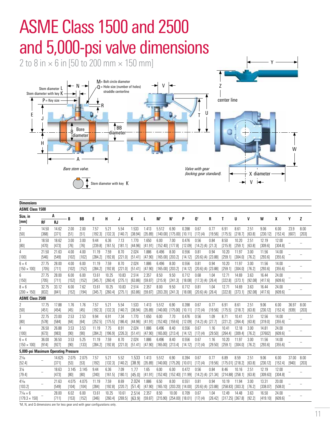

| <b>Dimensions</b>                               |                  |                 |                 |                 |                  |                  |                  |                              |                  |                               |                                          |                  |                                |                 |                               |                  |                 |                   |                  |                |                 |
|-------------------------------------------------|------------------|-----------------|-----------------|-----------------|------------------|------------------|------------------|------------------------------|------------------|-------------------------------|------------------------------------------|------------------|--------------------------------|-----------------|-------------------------------|------------------|-----------------|-------------------|------------------|----------------|-----------------|
| <b>ASME Class 1500</b>                          |                  |                 |                 |                 |                  |                  |                  |                              |                  |                               |                                          |                  |                                |                 |                               |                  |                 |                   |                  |                |                 |
| Size, in                                        |                  | A               | B               | BB              | E                | H                | J                | К                            |                  | M                             | Nt                                       | P                | Ot                             | R               | Τ                             | U                | V               | W                 | X                | Υ              | z               |
| [mm]                                            | <b>RF</b>        | <b>RJ</b>       |                 |                 |                  |                  |                  |                              | L                |                               |                                          |                  |                                |                 |                               |                  |                 |                   |                  |                |                 |
| $\overline{2}$<br>$[50]$                        | 14.50<br>[368]   | 14.62<br>[371]  | 2.00<br>$[51]$  | 2.00<br>[51]    | 7.57<br>[192.3]  | 5.21<br>[132.3]  | 5.54<br>[140.7]  | 1.533<br>[38.94]             | 1.413<br>[35.89] | 5.512                         | 6.90<br>[140.00] [175.00] [10.11]        | 0.398            | 0.67<br>[17] (4)               | 0.77<br>[19.56] | 6.91<br>[175.5]               | 8.61<br>[218.7]  | 2.51<br>[63.8]  | 9.06<br>[230.12]  | 6.00<br>[152.4]  | 23.9<br>[607]  | 8.00<br>$[203]$ |
| 3<br>[80]                                       | 18.50<br>[470]   | 18.62<br>[473]  | 3.00<br>$[76]$  | 3.00<br>$[76]$  | 9.44<br>[239.8]  | 6.36<br>[161.5]  | 7.13<br>[181.1]  | 1.770<br>[44.96]             | 1.650<br>[41.91] | 6.00<br>$[152.40]$ $[177.8]$  | 7.00                                     | 0.476<br>[12.09] | 0.56<br>[14.2] (4) [21.3]      | 0.84            | 8.50<br>[215.9]               | 10.20<br>[259.1] | 2.51<br>[63.8]  | 12.19<br>[309.6]  | 12.00<br>[304.8] |                |                 |
| 4<br>[100]                                      | 21.50<br>[546]   | 21.63<br>[549]  | 4.00<br>[102]   | 4.00<br>[102]   | 11.19<br>[284.2] | 7.59<br>[192.8]  | 8.70<br>[221.0]  | 2.024<br>[51.41]             | 1.886<br>[47.90] | 6.496<br>$[165.00]$ $[203.2]$ | 8.00                                     | 0.556<br>[14.12] | 0.81<br>$[20.6]$ (4) $[23.88]$ | 0.94            | 10.20<br>[259.1]              | 11.97<br>[304.0] | 3.00<br>[76.2]  | 11.56<br>[293.6]  | 14.00<br>[355.6] |                |                 |
| $6 \times 4$<br>$[150 \times 100]$              | 27.75<br>$[705]$ | 28.00<br>[711]  | 4.00<br>[102]   | 6.00<br>[152]   | 11.19<br>[284.2] | 7.59<br>[192.8]  | 8.70<br>[221.0]  | 2.024<br>[51.41]             | 1.886<br>[47.90] | 6.496<br>$[165.00]$ $[203.2]$ | 8.00                                     | 0.556<br>[14.12] | 0.81<br>$[20.6]$ (4) $[23.88]$ | 0.94            | 10.20<br>[259.1]              | 11.97<br>[304.0] | 3.00<br>[76.2]  | 11.56<br>[293.6]  | 14.00<br>[355.6] |                |                 |
| 6<br>[150]                                      | 27.75<br>[705]   | 28.00<br>[711]  | 6.00<br>[152]   | 6.00<br>$[152]$ | 13.61<br>[345.7] | 10.25<br>[260.4] | 10.83<br>[275.1] | 2.514<br>[63.86]             | 2.357<br>[59.87] | 8.50<br>[215.9]               | 9.50<br>[241.3]                          | 0.712<br>[18.08] | 0.68<br>$[17.3]$ (4) $[26.4]$  | 1.04            | 12.71<br>[322.8]              | 14.69<br>[373.1] | 3.63<br>[92.08] | 16.44<br>[417.6]  | 24.00<br>[609.6] |                |                 |
| $8 \times 6$<br>$[200 \times 150]$              | 32.75<br>[832]   | 33.12<br>[841]  | 6.00<br>[152]   | 7.62<br>[194]   | 13.61<br>[345.7] | 10.25<br>[260.4] | 10.83<br>[275.1] | 2.514<br>[63.86]             | 2.357<br>[59.87] | 8.00                          | 9.50<br>$[203.20]$ $[241.3]$             | 0.712<br>[18.08] | 0.81<br>$[20.6]$ (4) $[26.4]$  | 1.04            | 12.71<br>[322.8]              | 14.69<br>[373.1] | 3.63<br>[92.08] | 16.44<br>[417.6]  | 24.00<br>[609.6] |                |                 |
| <b>ASME Class 2500</b>                          |                  |                 |                 |                 |                  |                  |                  |                              |                  |                               |                                          |                  |                                |                 |                               |                  |                 |                   |                  |                |                 |
| 2<br>$[50]$                                     | 17.75<br>[451]   | 17.88<br>[454]  | 1.76<br>$[45]$  | 1.76<br>$[45]$  | 7.57<br>[192.3]  | 5.21<br>[132.3]  | 5.54<br>[140.7]  | 1.533<br>[38.94]             | 1.413<br>[35.89] | 5.512                         | 6.90<br>$[140.00]$ $[175.00]$            | 0.398<br>[10.11] | 0.67<br>[17] (4)               | 0.77<br>[19.56] | 6.91<br>[175.5]               | 8.61<br>[218.7]  | 2.51<br>[63.8]  | 9.06<br>[230.12]  | 6.00<br>[152.4]  | 36.97<br>[939] | 8.00<br>$[203]$ |
| 3<br>[80]                                       | 22.75<br>[578]   | 23.00<br>[584]  | 2.53<br>$[64]$  | 2.53<br>[64]    | 9.94<br>[252.5]  | 6.91<br>[175.5]  | 7.34<br>[186.4]  | 1.770<br>[44.96]             | 1.650<br>[41.91] | 6.00                          | 7.70<br>$[152.40]$ $[159.6]$             | 0.476<br>[12.09] | 0.56<br>$[14.2]$ (4) $[27.7]$  | 1.09            | 8.71<br>[221.2]               | 10.41<br>[264.4] | 2.51<br>[63.8]  | 12.56<br>[319.0]  | 14.00<br>[355.6] |                |                 |
| 4<br>[100]                                      | 26.50<br>[673]   | 26.88<br>[983]  | 3.53<br>$[90]$  | 3.53<br>$[90]$  | 11.19<br>[284.2] | 7.75<br>[196.9]  | 8.91<br>[226.3]  | 2.024<br>[51.41]             | 1.886<br>[47.90] | 6.496<br>[165.00]             | 8.40<br>[213.4]                          | 0.556<br>[14.12] | 0.67<br>[17] (4)               | 1.16<br>[29.50] | 10.41<br>[264.4]              | 12.18<br>[309.4] | 3.00<br>[76.2]  | 14.81<br>[37602]  | 24.00<br>[609.6] |                |                 |
| $6 \times 4$<br>$[150 \times 100]$              | 36.00<br>[914]   | 36.50<br>[927]  | 3.53<br>[90]    | 5.25<br>[133]   | 11.19<br>[284.2] | 7.59<br>[192.8]  | 8.70<br>[221.0]  | 2.024<br>$[51.41]$ $[47.90]$ | 1.886            | 6.496                         | 8.40<br>$[165.00]$ $[213.4]$             | 0.556<br>[14.12] | 0.67<br>[17] (4)               | 1.16<br>[29.50] | 10.20<br>[259.1]              | 11.97<br>[304.0] | 3.00<br>[76.2]  | 11.56<br>[293.6]  | 14.00<br>[355.6] |                |                 |
| 5,000-psi Maximum Operating Pressure            |                  |                 |                 |                 |                  |                  |                  |                              |                  |                               |                                          |                  |                                |                 |                               |                  |                 |                   |                  |                |                 |
| $2\frac{1}{16}$<br>[52.4]                       |                  | 14.625<br>[371] | 2.075<br>$[53]$ | 2.075<br>$[53]$ | 7.57<br>[192]    | 5.21<br>[132.3]  | 5.52<br>[140.2]  | 1.533<br>[38.9]              | 1.413<br>[35.89] | 5.512                         | 6.90<br>[140.00] [175.26] [10.01]        | 0.394            | 0.67<br>[17] (4)               | 0.77<br>[19.56] | 6.89<br>$[175.01]$ $[218.2]$  | 8.59             | 2.51<br>[63.8]  | 9.06<br>[230.12]  | 6.00<br>[152.4]  | 37.00<br>[940] | 8.00<br>$[203]$ |
| $3\frac{1}{8}$<br>[79.4]                        |                  | 18.63<br>[473]  | 3.145<br>[80]   | 3.145<br>[80]   | 9.44<br>[240]    | 6.36<br>[161.5]  | 7.09<br>[180.1]  | 1.77<br>[45.0]               | 1.65<br>[41.91]  | 6.00                          | 6.00<br>[152.40] [152.40] [11.99]        | 0.472            | 0.56<br>[14.2] (4) [21.34]     | 0.84            | 8.46<br>$[214.88]$ $[258.1]$  | 10.16            | 2.51<br>[63.8]  | 12.19<br>[309.63] | 12.00<br>[304.8] |                |                 |
| $4\frac{1}{16}$<br>[103.2]                      |                  | 21.63<br>[549]  | 4.075<br>[104]  | 4.075<br>[104]  | 11.19<br>[284]   | 7.59<br>[192.8]  | 8.69<br>[220.7]  | 2.024<br>[51.4]              | 1.886<br>[47.90] | 6.50<br>[165.10]              | 8.00<br>$[203.20]$ $[14.00]$             | 0.551            | 0.81<br>$[20.6]$ (4) $[23.88]$ | 0.94            | 10.19<br>$[258.83]$ $[303.3]$ | 11.94            | 3.00<br>[76.2]  | 13.31<br>[338.07] | 20.00<br>[508.0] |                |                 |
| $7\frac{1}{6} \times 6$<br>$[179.3 \times 150]$ |                  | 28.00<br>[711]  | 6.02<br>[153]   | 6.00<br>[152]   | 13.61<br>[346]   | 10.25<br>[260.4] | 10.61<br>[269.5] | 2.514<br>[63.9]              | 2.357<br>[59.87] | 8.50                          | 10.00<br>$[215.90]$ $[254.00]$ $[18.01]$ | 0.709            | 0.67<br>[17] (4)               | 1.04<br>[26.42] | 12.49<br>$[317.25]$ $[367.8]$ | 14.48            | 3.63<br>[92.2]  | 16.50<br>[419.10] | 24.00<br>[609.6] |                |                 |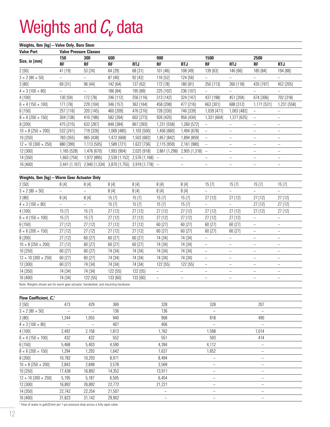## Weights and  $C<sub>v</sub>$  data

#### **Weights, lbm [kg]—Valve Only, Bare Stem**

| <b>Valve Port</b>                                                                 | <b>Valve Pressure Classes</b> |                             |               |                               |                   |                                        |                                      |                                                      |                                                        |                               |  |  |
|-----------------------------------------------------------------------------------|-------------------------------|-----------------------------|---------------|-------------------------------|-------------------|----------------------------------------|--------------------------------------|------------------------------------------------------|--------------------------------------------------------|-------------------------------|--|--|
| Size, in [mm]                                                                     | 150                           | 300                         | 600           |                               | 900               |                                        | 1500                                 |                                                      | 2500                                                   |                               |  |  |
|                                                                                   | <b>RF</b>                     | <b>RF</b>                   | <b>RF</b>     | <b>RTJ</b>                    | <b>RF</b>         | <b>RTJ</b>                             | <b>RF</b>                            | <b>RTJ</b>                                           | <b>RF</b>                                              | <b>RTJ</b>                    |  |  |
| 2[50]                                                                             | 41 [19]                       | 53 [24]                     | 64 [29]       | 68 [31]                       | 101 [46]          | 108 [49]                               | 139 [63]                             | 146 [66]                                             | 185 [84]                                               | 194 [88]                      |  |  |
| $3 \times 2 [80 \times 50]$                                                       | $\equiv$                      | $\qquad \qquad -$           | 87 [40]       | 92 [42]                       | 116 [52]          | 124 [56]                               | $\equiv$                             | $\equiv$                                             | $\equiv$                                               | $\equiv$                      |  |  |
| 3 [80]                                                                            | 69 [31]                       | 96 [44]                     | 142 [64]      | 137 [62]                      | 172 [78]          | 180 [81]                               | 250 [113]                            | 260 [118]                                            | 435 [197]                                              | 452 [205]                     |  |  |
| $4 \times 3 [100 \times 80]$                                                      | $\equiv$                      | $\equiv$                    | 186 [84]      | 195 [89]                      | 225 [102]         | 236 [107]                              | $\overline{\phantom{0}}$             | $\overline{\phantom{0}}$                             | $\equiv$                                               | $\equiv$                      |  |  |
| 4 [100]                                                                           | 130 [59]                      | 172 [78]                    | 246 [112]     | 256 [116]                     | 313 [142]         | 324 [147]                              | 437 [198]                            | 451 [204]                                            | 674 [306]                                              | 702 [318]                     |  |  |
| $6 \times 4$ [150 $\times$ 100]                                                   | 171 [78]                      | 229 [104]                   | 346 [157]     | 362 [164]                     | 458 [208]         | 477 [216]                              | 663 [301]                            | 688 [312]                                            | 1,171 [531]                                            | 1,231 [558]                   |  |  |
| 6 [150]                                                                           | 257 [116]                     | 320 [145]                   | 460 [209]     | 476 [216]                     | 728 [330]         | 746 [339]                              | 1,039 [471]                          | 1,063 [482]                                          | $\qquad \qquad -$                                      | -                             |  |  |
| $8 \times 6$ [200 $\times$ 150]                                                   | 304 [138]                     | 410 [186]                   | 582 [264]     | 602 [273]                     | 926 [420]         | 956 [434]                              | 1,331 [604]                          | 1,377 [625]                                          | $\qquad \qquad -$                                      | $\overline{\phantom{0}}$      |  |  |
| 8 [200]                                                                           | 475 [215]                     | 632 [287]                   | 846 [384]     | 867 [393]                     | 1,231 [558]       | 1,260 [572]                            | $\qquad \qquad -$                    | -                                                    | $\qquad \qquad -$                                      | $\overline{\phantom{0}}$      |  |  |
| $10 \times 8 [250 \times 200]$                                                    | 532 [241]                     | 719 [326]                   | 1,069 [485]   | 1,103 [500]                   | 1,456 [660]       | 1,494 [678]                            | $\qquad \qquad -$                    | $\overline{\phantom{0}}$                             | $\qquad \qquad -$                                      | $\overline{\phantom{0}}$      |  |  |
| 10 [250]                                                                          | 783 [355]                     | 965 [438]                   | 1,472 [668]   | 1,503 [682]                   | 1,857 [842]       | 1,894 [859]                            | $\qquad \qquad -$                    | $\equiv$                                             | $\overline{\phantom{m}}$                               | $\qquad \qquad -$             |  |  |
| $12 \times 10$ [300 $\times$ 250]                                                 | 880 [399]                     | 1,113 [505]                 | 1,589 [721]   | 1,622 [736]                   | 2,115 [959]       | 2,161 [980]                            | $\overline{\phantom{a}}$             | $\qquad \qquad -$                                    | $\qquad \qquad -$                                      | -                             |  |  |
| 12 [300]                                                                          | 1,165 [528]                   | 1,476 [670]                 | 1,993 [904]   | 2,025 [918]                   | 2,861 [1,298]     | 2,905 [1,318]                          | $\overline{\phantom{m}}$             | -                                                    | $\qquad \qquad -$                                      | -                             |  |  |
| 14 [350]                                                                          | 1,663 [754]                   | 1,972 [895]                 | 2,539 [1,152] | $2,576$ [1,168] $-$           |                   | -                                      | $\overline{\phantom{0}}$             | -                                                    | $\hspace{1.0cm} - \hspace{1.0cm}$                      | -                             |  |  |
| 16 [400]                                                                          |                               | 2,441 [1,107] 2,940 [1,334] |               | 3,870 [1,755] 3,919 [1,778] - |                   | $\overline{\phantom{a}}$               | $\hspace{1.0cm} - \hspace{1.0cm}$    | -                                                    | $\qquad \qquad -$                                      | $\qquad \qquad -$             |  |  |
| Weights, Ibm [kg] - Worm Gear Actuator Only                                       |                               |                             |               |                               |                   |                                        |                                      |                                                      |                                                        |                               |  |  |
| 2[50]                                                                             | 8[4]                          | 8[4]                        | 8[4]          | 8[4]                          | 8[4]              | 8[4]                                   | 15[7]                                | 15[7]                                                | 15[7]                                                  | 15[7]                         |  |  |
| $3 \times 2 [80 \times 50]$                                                       | $\equiv$                      | $\equiv$                    | 8[4]          | 8[4]                          | 8[4]              | 8[4]                                   | $\equiv$                             | $\equiv$                                             | $\equiv$                                               | $\equiv$                      |  |  |
| 3 [80]                                                                            | 8[4]                          | 8[4]                        | 15[7]         | 15[7]                         | 15[7]             | 15[7]                                  | 27 [12]                              | 27 [12]                                              | 27 [12]                                                | 27 [12]                       |  |  |
| $4 \times 3$ [100 $\times$ 80]                                                    | $\equiv$                      | ÷                           | 15[7]         | 15[7]                         | 15[7]             | 15[7]                                  | $\qquad \qquad -$                    | $\qquad \qquad -$                                    | 27 [12]                                                | 27 [12]                       |  |  |
| 4 [100]                                                                           | 15[7]                         | 15[7]                       | 27 [12]       | 27 [12]                       | 27 [12]           | 27 [12]                                | 27 [12]                              | 27 [12]                                              | 27 [12]                                                | 27 [12]                       |  |  |
| $6 \times 4 [150 \times 100]$                                                     | 15[7]                         | 15[7]                       | 27 [12]       | 27 [12]                       | 27 [12]           | 27 [12]                                | 27 [12]                              | 27 [12]                                              |                                                        |                               |  |  |
| 6 [150]                                                                           | 27 [12]                       | 27 [12]                     | 27 [12]       | 27 [12]                       | 60 [27]           | 60 [27]                                | 60 [27]                              | 60 [27]                                              | $\hspace{1.0cm} = \hspace{1.0cm}$<br>$\qquad \qquad -$ | -<br>$\overline{\phantom{0}}$ |  |  |
| $8 \times 6$ [200 $\times$ 150]                                                   | 27 [12]                       | 27 [12]                     | 27 [12]       | 27 [12]                       | 60 [27]           | 60 [27]                                | 60 [27]                              | 60 [27]                                              | $\qquad \qquad -$                                      | $\overline{\phantom{0}}$      |  |  |
| 8 [200]                                                                           | 27 [12]                       | 60 [27]                     | 60 [27]       | 60 [27]                       | 74 [34]           | 74 [34]                                | $\qquad \qquad -$                    | $\equiv$                                             | $\qquad \qquad -$                                      | $\overline{\phantom{0}}$      |  |  |
| $10 \times 8 [250 \times 200]$                                                    | 27 [12]                       | 60 [27]                     | 60 [27]       | 60 [27]                       | 74 [34]           | 74 [34]                                | -                                    | $\qquad \qquad -$                                    | $\qquad \qquad -$                                      | $\overline{\phantom{0}}$      |  |  |
| 10 [250]                                                                          | 60 [27]                       | 60 [27]                     | 74 [34]       | 74 [34]                       | 74 [34]           | 74 [34]                                |                                      |                                                      |                                                        |                               |  |  |
| $12 \times 10$ [300 $\times$ 250]                                                 | 60 [27]                       | 60 [27]                     | 74 [34]       | 74 [34]                       | 74 [34]           | 74 [34]                                | $\overline{\phantom{0}}$             | -                                                    | $\qquad \qquad =$                                      | $\overline{\phantom{0}}$      |  |  |
| 12 [300]                                                                          | 60 [27]                       | 74 [34]                     | 74 [34]       | 74 [34]                       | 122 [55]          | 122 [55]                               | -<br>$\overline{\phantom{0}}$        | $\qquad \qquad -$                                    | $\overline{\phantom{0}}$                               | —                             |  |  |
| 14 [350]                                                                          | 74 [34]                       | 74 [34]                     | 122 [55]      | 122 [55]                      |                   |                                        |                                      | $\hspace{1.0cm} - \hspace{1.0cm}$                    | $\hspace{1.0cm} = \hspace{1.0cm}$                      | -                             |  |  |
| 16 [400]                                                                          | 74 [34]                       | 122 [55]                    | 133 [60]      | 133 [60]                      | $\qquad \qquad -$ | $\qquad \qquad -$<br>$\qquad \qquad -$ | $\overline{\phantom{0}}$<br>$\equiv$ | $\overline{\phantom{m}}$<br>$\overline{\phantom{m}}$ | $\qquad \qquad -$<br>$\qquad \qquad -$                 | $\qquad \qquad -$<br>-        |  |  |
| Note: Weights shown are for worm gear actuator, handwheel, and mounting hardware. |                               |                             |               |                               | $\qquad \qquad -$ |                                        |                                      |                                                      |                                                        |                               |  |  |
|                                                                                   |                               |                             |               |                               |                   |                                        |                                      |                                                      |                                                        |                               |  |  |
| Flow Coefficient, $C_{v}^{+}$                                                     |                               |                             |               |                               |                   |                                        |                                      |                                                      |                                                        |                               |  |  |
| 2[50]                                                                             | 473                           | 429                         | 369           |                               | 328               |                                        | 328                                  |                                                      | 207                                                    |                               |  |  |
| $3 \times 2 [80 \times 50]$                                                       | $\equiv$                      | $\overline{\phantom{0}}$    | 136           |                               | 136               |                                        |                                      |                                                      |                                                        |                               |  |  |
| 3[80]                                                                             | 1,244                         | 1,055                       | 940           |                               | 908               |                                        | 818                                  |                                                      | 490                                                    |                               |  |  |
| $4 \times 3 [100 \times 80]$                                                      | $\qquad \qquad -$             | $\overline{\phantom{a}}$    | 407           |                               | 406               |                                        | $\equiv$                             |                                                      | $\equiv$                                               |                               |  |  |
| 4 [100]                                                                           | 2,492                         | 2,158                       | 1,813         |                               | 1,762             |                                        | 1,598                                |                                                      | 1,014                                                  |                               |  |  |
| $6 \times 4$ [150 $\times$ 100]                                                   | 432                           | 432                         | 552           |                               | 551               |                                        | 593                                  |                                                      | 414                                                    |                               |  |  |
| 6 [150]                                                                           | 5,468                         | 5,403                       | 4,590         |                               | 4,394             |                                        | 4,112                                |                                                      | $\equiv$                                               |                               |  |  |
| $8 \times 6$ [200 $\times$ 150]                                                   | 1,294                         | 1,293                       | 1,642         |                               | 1,637             |                                        | 1,652                                |                                                      | -                                                      |                               |  |  |
| 8 [200]                                                                           | 10,782                        | 10,293                      | 8,971         |                               | 8,494             |                                        |                                      |                                                      | -                                                      |                               |  |  |
| $10 \times 8$ [250 $\times$ 200]                                                  | 2,843                         | 2,848                       | 3,578         |                               | 3,569             |                                        | —                                    |                                                      | -                                                      |                               |  |  |
| 10 [250]                                                                          | 17,438                        | 16,892                      | 14,352        |                               | 13,911            |                                        | $\overline{\phantom{0}}$             |                                                      | -                                                      |                               |  |  |
| $12 \times 10$ [300 $\times$ 250]                                                 | 5,195                         | 5,187                       | 6,505         |                               | 6,454             |                                        | $\qquad \qquad -$                    |                                                      | $\qquad \qquad -$                                      |                               |  |  |
| 12 [300]                                                                          | 16,892                        | 26,892                      | 22,772        |                               | 21,221            |                                        | $\qquad \qquad -$                    |                                                      | -                                                      |                               |  |  |
| 14 [350]                                                                          | 22,742                        | 22,254                      | 21,507        |                               | $\qquad \qquad -$ |                                        | -                                    |                                                      | $\qquad \qquad -$                                      |                               |  |  |
| 16 [400]                                                                          | 31,823                        | 31,142                      | 29,902        |                               |                   |                                        | -                                    |                                                      | -                                                      |                               |  |  |
|                                                                                   |                               |                             |               |                               |                   |                                        |                                      |                                                      |                                                        |                               |  |  |

† Flow of water in galUS/min per 1-psi pressure drop across a fully open valve.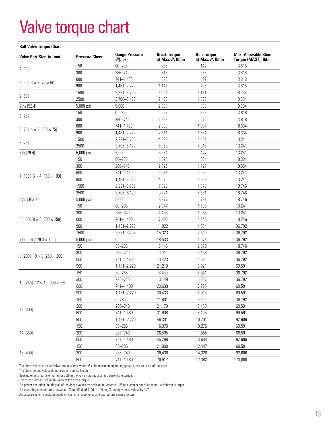### Valve torque chart

#### **Ball Valve Torque Chart**

| Valve Port Size, in [mm]                     | <b>Pressure Class</b> | <b>Gauge Pressure</b><br>$(P)$ , psi | <b>Break Torque</b><br>at Max. P, Ibf.in | <b>Run Torque</b><br>at Max. $P$ , Ibf.in | <b>Max. Allowable Stem</b><br>Torque (MAST), Ibf.in |
|----------------------------------------------|-----------------------|--------------------------------------|------------------------------------------|-------------------------------------------|-----------------------------------------------------|
| 2[50]                                        | 150                   | $80 - 285$                           | 256                                      | 147                                       | 3,818                                               |
|                                              | 300                   | 286-740                              | 613                                      | 266                                       | 3,818                                               |
|                                              | 600                   | 741-1,480                            | 898                                      | 492                                       | 3,818                                               |
| 2 [50], $3 \times 2$ [75 $\times$ 50]        | 900                   | $1,481 - 2,220$                      | 1,146                                    | 706                                       | 3,818                                               |
|                                              | 1500                  | $2,221 - 3,705$                      | 1,904                                    | 1,181                                     | 8,334                                               |
| 2[50]                                        | 2500                  | 3,706-6,170                          | 2,496                                    | 1,896                                     | 8,334                                               |
| 21/16 [52.4]                                 | 5,000 psi             | 5,000                                | 2,300                                    | 889                                       | 8,334                                               |
|                                              | 150                   | $0 - 285$                            | 568                                      | 329                                       | 3,818                                               |
| 3[75]                                        | 300                   | 286-740                              | 1,238                                    | 576                                       | 3,818                                               |
|                                              | 600                   | 741-1,480                            | 2,039                                    | 1,094                                     | 8,334                                               |
| $3$ [75], $4 \times 3$ [100 $\times$ 75]     | 900                   | 1,481-2,220                          | 2,611                                    | 1,634                                     | 8,334                                               |
|                                              | 1500                  | 2,221-3,705                          | 4,399                                    | 2,451                                     | 13,241                                              |
| 3[75]                                        | 2500                  | 3,706-6,170                          | 6,368                                    | 4,016                                     | 13,241                                              |
| 31/8 [79.4]                                  | 5,000 psi             | 5,000                                | 5,334                                    | 477                                       | 13,241                                              |
|                                              | 150                   | $80 - 285$                           | 1,026                                    | 604                                       | 8,334                                               |
|                                              | 300                   | 286-740                              | 2,125                                    | 1,121                                     | 8,334                                               |
|                                              | 600                   | 741-1,480                            | 3,581                                    | 2,069                                     | 13,241                                              |
| 4 [100], $6 \times 4$ [150 $\times$ 100]     | 900                   | 1,481-2,220                          | 4,575                                    | 3,008                                     | 13,241                                              |
|                                              | 1500                  | 2,221-3,705                          | 7,328                                    | 4,079                                     | 18,746                                              |
|                                              | 2500                  | 3,706-6,170                          | 9,371                                    | 6,581                                     | 18,746                                              |
| 41/16 [103.2]                                | 5,000 psi             | 5,000                                | 8,877                                    | 791                                       | 18,746                                              |
|                                              | 150                   | $80 - 285$                           | 2,947                                    | 1,698                                     | 13,241                                              |
|                                              | 300                   | 286-740                              | 4,495                                    | 1,988                                     | 13,241                                              |
| 6 [150], $8 \times 6$ [200 $\times$ 150]     | 600                   | 741-1,480                            | 7,195                                    | 2,846                                     | 18,746                                              |
|                                              | 900                   | 1,481-2,220                          | 11,022                                   | 4,534                                     | 36,792                                              |
|                                              | 1500                  | $2,221 - 3,705$                      | 15,323                                   | 7,510                                     | 36,792                                              |
| $7\frac{1}{6} \times 6$ [179.3 $\times$ 150] | 5,000 psi             | 5,000                                | 18,533                                   | 1,578                                     | 36,792                                              |
|                                              | 150                   | $80 - 285$                           | 5,146                                    | 2,870                                     | 18,746                                              |
|                                              | 300                   | 286-740                              | 9,041                                    | 3,458                                     | 36,792                                              |
| 8 [200], $10 \times 8$ [250 $\times$ 200]    | 600                   | 741-1,480                            | 13,423                                   | 4,631                                     | 36,792                                              |
|                                              | 900                   | 1,481-2,220                          | 21,210                                   | 6,021                                     | 69,591                                              |
|                                              | 150                   | $80 - 285$                           | 8,480                                    | 5,541                                     | 36,792                                              |
|                                              | 300                   | 286-740                              | 13,149                                   | 6,237                                     | 36,792                                              |
| 10 [250], $12 \times 10$ [300 $\times$ 250]  | 600                   | 741-1,480                            | 23,638                                   | 7,295                                     | 69,591                                              |
|                                              | 900                   | 1,481-2,220                          | 30,433                                   | 8,013                                     | 69,591                                              |
|                                              | 150                   | $0 - 285$                            | 11,601                                   | 6,311                                     | 36,792                                              |
|                                              | 300                   | 286-740                              | 21,179                                   | 7,430                                     | 69,591                                              |
| 12 [300]                                     | 600                   | 741-1,480                            | 31,608                                   | 8,405                                     | 69,591                                              |
|                                              | 900                   | 1,481-2,220                          | 46,301                                   | 10,701                                    | 92,606                                              |
|                                              | 150                   | $80 - 285$                           | 16,370                                   | 10,275                                    | 69,591                                              |
| 14 [350]                                     | 300                   | 286-740                              | 26,595                                   | 11,555                                    | 69.591                                              |
|                                              | 600                   | 741-1,480                            | 45,288                                   | 13,634                                    | 92,606                                              |
|                                              | 150                   | $80 - 285$                           | 21,999                                   | 12,447                                    | 69,591                                              |
| 16 [400]                                     | 300                   | 286-740                              | 39,436                                   | 14,326                                    | 92,606                                              |
|                                              | 600                   | 741-1,480                            | 70,917                                   | 17,382                                    | 173,880                                             |
|                                              |                       |                                      |                                          |                                           |                                                     |

The above values are new valve torque values, where *P* is the maximum operating gauge pressure in psi of the valve.

The above torque values do not contain service factors.

Soaking effects, particle matter, or both in the valve may cause an increase in the torque.

The reseat torque is equal to  $~80\%$  of the break torque.

For power operation, multiply all of the above values by a minimum factor of 1.25 or customer-specified factor, whichever is larger.

For operating temperatures between –20 to –50 degF [–29 to –46 degC], multiply these values by 1.20.

Actuator selection should be made on customer experience and appropriate service factors.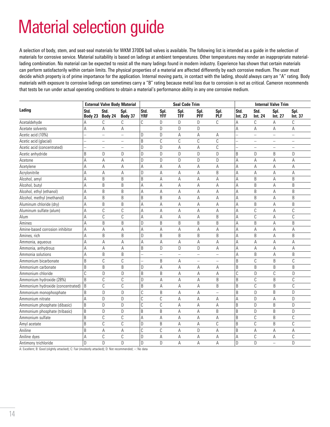## Material selection guide

A selection of body, stem, and seat-seal materials for WKM 370D6 ball valves is available. The following list is intended as a guide in the selection of materials for corrosive service. Material suitability is based on ladings at ambient temperatures. Other temperatures may render an inappropriate materiallading combination. No material can be expected to resist all the many ladings found in modern industry. Experience has shown that certain materials can perform satisfactorily within certain limits. The physical properties of a material are affected differently by each corrosive medium. The user must decide which property is of prime importance for the application. Internal moving parts, in contact with the lading, should always carry an "A" rating. Body materials with exposure to corrosive ladings can sometimes carry a "B" rating because metal loss due to corrosion is not as critical. Cameron recommends that tests be run under actual operating conditions to obtain a material's performance ability in any one corrosive medium.

|                                   | <b>External Valve Body Material</b> |                   |                          | <b>Seal Code Trim</b> |                    |                    |                          |                    |                 | <b>Internal Valve Trim</b> |                 |                          |  |
|-----------------------------------|-------------------------------------|-------------------|--------------------------|-----------------------|--------------------|--------------------|--------------------------|--------------------|-----------------|----------------------------|-----------------|--------------------------|--|
| Lading                            | Std.<br>Body 23                     | Std.<br>Body 24   | Spl.<br>Body 37          | Std.<br><b>YRF</b>    | Spl.<br><b>YFF</b> | Spl.<br><b>TFF</b> | Spl.<br><b>PFF</b>       | Spl.<br><b>PLF</b> | Std.<br>Int. 23 | Std.<br>Int. 24            | Spl.<br>Int. 27 | Spl.<br>Int. 37          |  |
| Acetaldehyde                      | Α                                   | C                 | C                        | C                     | D                  | D                  | D                        | C                  | А               | C                          | A               | C                        |  |
| Acetate solvents                  | А                                   | A                 | Α                        |                       | D                  | D                  | D                        |                    | Α               | A                          | A               | А                        |  |
| Acetic acid (10%)                 | $\overline{\phantom{0}}$            | $\equiv$          | $\qquad \qquad -$        | D                     | D                  | А                  | А                        | A                  |                 | $\frac{1}{2}$              | $\equiv$        | $\overline{\phantom{0}}$ |  |
| Acetic acid (glacial)             | $\overline{a}$                      | $\qquad \qquad -$ | $\overline{\phantom{m}}$ | B                     | С                  | С                  | $\mathbb C$              | C                  |                 | $\qquad \qquad -$          | -               | $\overline{\phantom{m}}$ |  |
| Acetic acid (concentrated)        | $\overline{\phantom{0}}$            | $\equiv$          | $\overline{\phantom{m}}$ | D                     | D                  | A                  | A                        | C                  |                 | $\overline{\phantom{0}}$   | $\equiv$        | $\equiv$                 |  |
| Acetic anhydride                  | B                                   | D                 | D                        | D                     | D                  | D                  | D                        | D                  | B               | D                          | B               | D                        |  |
| Acetone                           | A                                   | A                 | Α                        | D                     | D                  | D                  | D                        | $\mathsf{D}$       | А               | A                          | A               | A                        |  |
| Acetylene                         | A                                   | Α                 | A                        | A                     | A                  | А                  | Α                        | Α                  | А               | A                          | Α               | А                        |  |
| Acrylonitrile                     | A                                   | A                 | A                        | D                     | Α                  | A                  | A                        | B                  | Α               | A                          | A               | A                        |  |
| Alcohol, amyl                     | A                                   | B                 | B                        | B                     | A                  | A                  | A                        | A                  | A               | B                          | А               | B                        |  |
| Alcohol, butyl                    | A                                   | B                 | B                        | Α                     | Α                  | A                  | A                        | A                  | A               | B                          | A               | B                        |  |
| Alcohol, ethyl (ethanol)          | Α                                   | B                 | B                        | A                     | Α                  | А                  | А                        | А                  | A               | B                          | А               | B                        |  |
| Alcohol, methyl (methanol)        | А                                   | B                 | B                        | B                     | B                  | A                  | Α                        | Α                  | A               | B                          | A               | B                        |  |
| Aluminum chloride (dry)           | A                                   | B                 | B                        | A                     | A                  | A                  | А                        | A                  | A               | B                          | A               | B                        |  |
| Aluminum sulfate (alum)           | A                                   | C                 | $\mathcal{C}$            | Α                     | Α                  | A                  | A                        | A                  | A               | C                          | A               | С                        |  |
| Alum                              | A                                   | C                 | $\mathcal{C}$            | Α                     | Α                  | А                  | А                        | B                  | А               | $\mathbb{C}$               | А               | C                        |  |
| Amines                            | A                                   | B                 | B                        | D                     | B                  | B                  | B                        | B                  | А               | B                          | A               | B                        |  |
| Amine-based corrosion inhibitor   | Α                                   | А                 | Α                        | Α                     | Α                  | А                  | Α                        | А                  | Α               | Α                          | А               | Α                        |  |
| Amines, rich                      | А                                   | B                 | B                        | D                     | B                  | B                  | B                        | B                  | A               | B                          | A               | B                        |  |
| Ammonia, aqueous                  | A                                   | Α                 | A                        | A                     | A                  | А                  | A                        | Α                  | A               | A                          | Α               | A                        |  |
| Ammonia, anhydrous                | A                                   | Α                 | A                        | B                     | D                  | D                  | D                        | A                  | А               | Α                          | A               | Α                        |  |
| Ammonia solutions                 | A                                   | B                 | B                        |                       | $\qquad \qquad -$  | $\equiv$           | $\equiv$                 | $\qquad \qquad -$  | A               | B                          | A               | B                        |  |
| Ammonium bicarbonate              | B                                   | C                 | C                        |                       | B                  | A                  | $\overline{\phantom{0}}$ | $\equiv$           | B               | C                          | B               | C                        |  |
| Ammonium carbonate                | B                                   | B                 | B                        | D                     | A                  | Α                  | Α                        | Α                  | B               | B                          | B               | B                        |  |
| Ammonium chloride                 | C                                   | D                 | $\mathsf D$              | B                     | B                  | А                  | А                        | Α                  | C               | D                          | C               | D                        |  |
| Ammonium hydroxide (28%)          | B                                   | C                 | $\mathbb{C}$             | D                     | A                  | А                  | А                        | $\sf B$            | B               | C                          | B               | C                        |  |
| Ammonium hydroxide (concentrated) | B                                   | C                 | C                        | B                     | Α                  | A                  | Α                        | B                  | B               | C                          | B               | C                        |  |
| Ammonium monophosphate            | B                                   | D                 | D                        | C                     | B                  | А                  | Α                        | $\equiv$           | B               | $\mathsf D$                | B               | D                        |  |
| Ammonium nitrate                  | A                                   | D                 | D                        | Ċ                     | С                  | А                  | А                        | Α                  | А               | D                          | Α               | D                        |  |
| Ammonium phosphate (dibasic)      | B                                   | $\mathsf{D}$      | D                        | Ċ                     | $\mathbb C$        | A                  | A                        | A                  | B               | D                          | B               | D                        |  |
| Ammonium phosphate (tribasic)     | B                                   | D                 | D                        | B                     | B                  | А                  | А                        | B                  | B               | D                          | B               | D                        |  |
| Ammonium sulfate                  | B                                   | C                 | C                        | A                     | A                  | A                  | A                        | A                  | B               | C                          | B               | C                        |  |
| Amyl acetate                      | B                                   | C                 | C                        | D                     | B                  | Α                  | A                        | C                  | B               | $\mathbb{C}$               | B               | C                        |  |
| Aniline                           | B                                   | A                 | A                        | Ċ                     | $\mathbb C$        | A                  | D                        | A                  | B               | A                          | A               | A                        |  |
| Aniline dyes                      | A                                   | C                 | C                        | D                     | А                  | А                  | А                        | Α                  | Α               | C                          | А               | C                        |  |
| Antimony trichloride              | D                                   | $\mathsf{D}$      | D                        | D                     | D                  | A                  | A                        | A                  | D               | D                          | $=$             | D                        |  |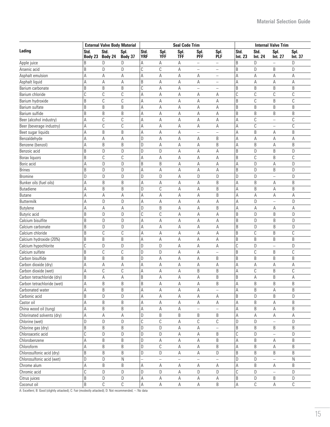|                            | <b>External Valve Body Material</b> |                 |                 |                    |                   | <b>Seal Code Trim</b>    |                          | <b>Internal Valve Trim</b> |                 |                        |                          |                 |
|----------------------------|-------------------------------------|-----------------|-----------------|--------------------|-------------------|--------------------------|--------------------------|----------------------------|-----------------|------------------------|--------------------------|-----------------|
| Lading                     | Std.<br>Body 23                     | Std.<br>Body 24 | Spl.<br>Body 37 | Std.<br><b>YRF</b> | Spl.<br>YFF       | Spl.<br><b>TFF</b>       | Spl.<br><b>PFF</b>       | Spl.<br>PLF                | Std.<br>Int. 23 | Std.<br><b>Int. 24</b> | Spl.<br>Int. 27          | Spl.<br>Int. 37 |
| Apple juice                | B                                   | D               | D               | Α                  | Α                 | Α                        | $\overline{\phantom{0}}$ | $\equiv$                   | B               | D                      | $\equiv$                 | D               |
| Arsenic acid               | B                                   | D               | D               | Ċ                  | C                 | Α                        | $\qquad \qquad -$        | $\qquad \qquad -$          | B               | D                      | B                        | D               |
| Asphalt emulsion           | Α                                   | Α               | Α               | Α                  | А                 | Α                        | Α                        | -                          | Α               | Α                      | Α                        | Α               |
| Asphalt liquid             | Α                                   | Α               | Α               | B                  | Α                 | Α                        | Α                        | $\overline{\phantom{0}}$   | Α               | A                      | Α                        | Α               |
| Barium carbonate           | B                                   | B               | B               | Ċ                  | A                 | А                        | $\qquad \qquad -$        | $\equiv$                   | B               | B                      | B                        | B               |
| Barium chloride            | C                                   | C               | $\mathbb C$     | Α                  | A                 | Α                        | А                        | А                          | С               | С                      | С                        | C               |
| Barium hydroxide           | B                                   | $\mathbb C$     | $\mathbb C$     | Α                  | A                 | Α                        | Α                        | А                          | B               | C                      | B                        | C               |
| Barium sulfate             | B                                   | B               | $\sf B$         | Α                  | A                 | А                        | А                        | А                          | B               | B                      | B                        | B               |
| Barium sulfide             | B                                   | B               | B               | Α                  | Α                 | А                        | А                        | А                          | B               | B                      | B                        | B               |
| Beer (alcohol industry)    | А                                   | С               | C               | Α                  | Α                 | А                        | А                        | Α                          | A               | C                      | $\overline{\phantom{0}}$ | С               |
| Beer (beverage industry)   | А                                   | $\mathbb C$     | $\mathcal{C}$   | Α                  | Α                 | А                        | Α                        | А                          | A               | C                      | $\equiv$                 | C               |
| Beet sugar liquids         | Α                                   | B               | B               | Α                  | Α                 | А                        | $\overline{\phantom{0}}$ | $\overline{\phantom{0}}$   | A               | B                      | Α                        | B               |
| Benzaldehyde               | А                                   | Α               | Α               | D                  | Α                 | А                        | Α                        | B                          | Α               | A                      | Α                        | Α               |
| Benzene (benzol)           | А                                   | B               | B               | D                  | Α                 | А                        | А                        | B                          | Α               | B                      | Α                        | B               |
| Benzoic acid               | B                                   | D               | D               | D                  | D                 | А                        | Α                        | А                          | B               | D                      | B                        | D               |
| Borax liquors              | B                                   | $\mathbb C$     | C               | А                  | Α                 | А                        | Α                        | А                          | B               | C                      | B                        | $\mathbb C$     |
| Boric acid                 | А                                   | D               | D               | B                  | B                 | Α                        | Α                        | Α                          | Α               | D                      | Α                        | D               |
| <b>Brines</b>              | B                                   | D               | D               | Α                  | Α                 | Α                        | Α                        | Α                          | B               | D                      | B                        | D               |
| <b>Bromine</b>             | D                                   | D               | D               | D                  | D                 | Α                        | D                        | D                          | D               | D                      | $\equiv$                 | D               |
| Bunker oils (fuel oils)    | А                                   | B               | B               | Α                  | Α                 | Α                        | Α                        | B                          | Α               | B                      | Α                        | B               |
| <b>Butadiene</b>           | Α                                   | B               | B               | D                  | C                 | Α                        | Α                        | B                          | А               | B                      | Α                        | B               |
| <b>Butane</b>              | А                                   | А               | Α               | Α                  | A                 | А                        | Α                        | B                          | Α               | А                      | Α                        | Α               |
| <b>Buttermilk</b>          | Α                                   | D               | D               | Α                  | Α                 | А                        | Α                        | А                          | А               | D                      | $\equiv$                 | D               |
| Butylene                   | Α                                   | Α               | Α               | D                  | B                 | А                        | Α                        | B                          | Α               | А                      | Α                        | А               |
| Butyric acid               | B                                   | D               | D               | C                  | $\mathbb{C}$      | А                        | Α                        | А                          | B               | D                      | B                        | D               |
| Calcium bisulfite          | B                                   | D               | D               | Α                  | A                 | А                        | Α                        | Α                          | B               | D                      | B                        | D               |
| Calcium carbonate          | B                                   | D               | D               | Α                  | $\mathsf A$       | А                        | Α                        | А                          | B               | D                      | B                        | D               |
| Calcium chloride           | B                                   | C               | $\mathbb{C}$    | Α                  | $\mathsf A$       | А                        | Α                        | Α                          | B               | C                      | B                        | C               |
| Calcium hydroxide (20%)    | B                                   | B               | B               | Α                  | Α                 | А                        | А                        | А                          | B               | B                      | B                        | B               |
| Calcium hypochlorite       | C                                   | D               | D               | D                  | D                 | А                        | А                        | А                          | C               | D                      | $\overline{\phantom{0}}$ | D               |
| Calcium sulfate            | B                                   | C               | C               | D                  | D                 | А                        | А                        | $\qquad \qquad -$          | B               | C                      | B                        | C               |
| Carbon bisulfide           | B                                   | B               | B               | D                  | A                 | А                        | А                        | B                          | B               | B                      | B                        | B               |
| Carbon dioxide (dry)       | А                                   | A               | A               | А                  | A                 | A                        | А                        | А                          | Α               | А                      | Α                        | А               |
| Carbon dioxide (wet)       | А                                   | C               | C               | Α                  | Α                 | Α                        | B                        | B                          | Α               | С                      | B                        | C               |
| Carbon tetrachloride (dry) | B                                   | A               | Α               | B                  | A                 | A                        | А                        | B                          | B               | Α                      | B                        | А               |
| Carbon tetrachloride (wet) | A                                   | B               | B               | B                  | A                 | А                        | Α                        | B                          | $\mathsf A$     | B                      | B                        | B               |
| Carbonated water           | Α                                   | B               | B               | Α                  | Α                 | Α                        | Α                        | -                          | Α               | B                      | Α                        | B               |
| Carbonic acid              | B                                   | D               | D               | А                  | Α                 | Α                        | Α                        | Α                          | B               | D                      | B                        | D               |
| Castor oil                 | A                                   | B               | B               | Α                  | Α                 | Α                        | Α                        | А                          | Α               | B                      | Α                        | B               |
| China wood oil (tung)      | А                                   | B               | B               | Α                  | Α                 | Α                        |                          |                            | Α               | B                      | Α                        | B               |
| Chlorinated solvents (dry) | А                                   | Α               | Α               | D                  | B                 | B                        | B                        | B                          | Α               | Α                      | Α                        | Α               |
| Chlorine (wet)             | D                                   | D               | D               | С                  | C                 | Α                        | C                        | C                          | D               | D                      |                          | D               |
| Chlorine gas (dry)         | B                                   | B               | B               | D                  | D                 | Α                        |                          |                            | B               | B                      | B                        | B               |
| Chloroacetic acid          | C                                   | D               | D               | D                  | D                 |                          | Α                        | B                          | С               | D                      |                          | D               |
| Chlorobenzene              | А                                   | B               | B               | D                  |                   | А<br>А                   | Α                        | B                          | Α               | B                      | Α                        | B               |
| Chloroform                 | А                                   | B               | B               | D                  | Α<br>$\mathbb{C}$ | А                        | Α                        | B                          | Α               | B                      | Α                        | B               |
|                            | B                                   | B               |                 |                    | $\mathsf D$       |                          | Α                        |                            |                 | $\sf B$                |                          |                 |
| Chlorosulfonic acid (dry)  |                                     |                 | B               | D                  |                   | А                        | Α                        | D                          | B               |                        | B                        | B               |
| Chlorosulfonic acid (wet)  | D                                   | $\mathsf D$     | $\mathsf{N}$    |                    | L,                | $\overline{\phantom{0}}$ |                          |                            | D               | D                      | $\overline{\phantom{0}}$ | ${\sf N}$       |
| Chrome alum                | А                                   | B               | B               | А                  | $\mathsf A$       | А                        | А                        | А                          | Α               | B                      | А                        | B               |
| Chromic acid               | C                                   | D               | D               | D                  | D                 | А                        | D                        | D                          | C               | D                      | $\equiv$                 | D               |
| Citrus juices              | B                                   | D               | D               | A                  | $\mathsf A$       | А                        | А                        | А                          | B               | D                      | B                        | D               |
| Coconut oil                | B                                   | $\mathbb C$     | $\mathbb C$     | А                  | А                 | А                        | А                        | B                          | A               | $\mathbb C$            | A                        | С               |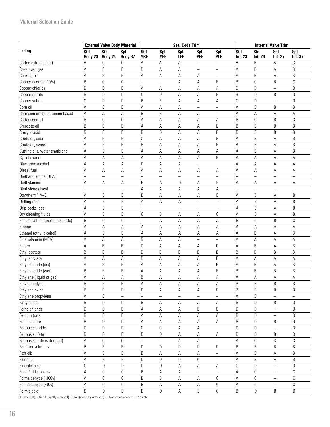#### **Material Selection Guide**

|                                   | <b>External Valve Body Material</b> |                          |                 |                          |                          | <b>Seal Code Trim</b>    |                          |                          | <b>Internal Valve Trim</b> |                        |                          |                          |
|-----------------------------------|-------------------------------------|--------------------------|-----------------|--------------------------|--------------------------|--------------------------|--------------------------|--------------------------|----------------------------|------------------------|--------------------------|--------------------------|
| Lading                            | Std.<br>Body 23                     | Std.<br>Body 24          | Spl.<br>Body 37 | Std.<br><b>YRF</b>       | Spl.<br><b>YFF</b>       | Spl.<br><b>TFF</b>       | Spl.<br><b>PFF</b>       | Spl.<br>PLF              | Std.<br>Int. 23            | Std.<br><b>Int. 24</b> | Spl.<br>Int. 27          | Spl.<br>Int. 37          |
| Coffee extracts (hot)             | А                                   | C                        | C               | Α                        | Α                        | А                        | $\qquad \qquad -$        | $\overline{\phantom{0}}$ | А                          | B                      | Α                        | C                        |
| Coke oven gas                     | А                                   | B                        | B               | D                        | А                        | А                        | ÷                        | $\overline{\phantom{0}}$ | А                          | B                      | А                        | B                        |
| Cooking oil                       | А                                   | B                        | B               | A                        | Α                        | А                        | Α                        | $\qquad \qquad -$        | A                          | B                      | A                        | B                        |
| Copper acetate (10%)              | B                                   | $\mathbb C$              | C               |                          | $\overline{\phantom{0}}$ | А                        | А                        | B                        | B                          | $\mathbb C$            | B                        | $\mathsf C$              |
| Copper chloride                   | D                                   | D                        | D               | A                        | Α                        | А                        | Α                        | А                        | D                          | D                      | $\overline{a}$           | D                        |
| Copper nitrate                    | B                                   | D                        | D               | D                        | D                        | А                        | Α                        | B                        | B                          | D                      | B                        | D                        |
| Copper sulfate                    | C                                   | D                        | D               | B                        | B                        | А                        | Α                        | А                        | С                          | D                      | $\overline{a}$           | D                        |
| Corn oil                          | А                                   | B                        | B               | A                        | Α                        | А                        | $\qquad \qquad -$        | $\qquad \qquad -$        | А                          | B                      | B                        | B                        |
| Corrosion inhibitor, amine based  | А                                   | A                        | Α               | B                        | B                        | А                        | Α                        | $\qquad \qquad -$        | А                          | Α                      | Α                        | Α                        |
| Cottonseed oil                    | B                                   | C                        | C               | Α                        | Α                        | А                        | А                        | А                        | B                          | С                      | B                        | C                        |
| Creosote oil                      | B                                   | B                        | B               | Α                        | А                        | Α                        | Α                        | B                        | B                          | B                      | B                        | B                        |
| Cresylic acid                     | B                                   | B                        | B               | D                        | D                        | Α                        | Α                        | B                        | B                          | B                      | B                        | B                        |
| Crude oil, sour                   | Α                                   | B                        | B               | C                        | Α                        | А                        | Α                        | B                        | А                          | B                      | Α                        | B                        |
| Crude oil, sweet                  | Α                                   | B                        | B               | B                        | А                        | Α                        | А                        | B                        | А                          | B                      | Α                        | B                        |
| Cutting oils, water emulsions     | Α                                   | B                        | B               | Α                        | А                        | Α                        | Α                        | Α                        | Α                          | B                      | Α                        | B                        |
| Cyclohexane                       | А                                   | A                        | A               | Α                        | Α                        | Α                        | А                        | B                        | Α                          | Α                      | Α                        | А                        |
| Diacetone alcohol                 | Α                                   | A                        | Α               | D                        | А                        | Α                        | $\overline{\phantom{0}}$ | $\overline{\phantom{0}}$ | Α                          | Α                      | Α                        | Α                        |
| Diesel fuel                       | А                                   | A                        | Α               | A                        | A                        | Α                        | А                        | Α                        | Α                          | A                      | Α                        | Α                        |
| Diethanolamine (DEA)              | L.                                  | $\overline{\phantom{0}}$ | $\equiv$        |                          | $\overline{\phantom{0}}$ | $\overline{\phantom{0}}$ | $\overline{\phantom{0}}$ | $\equiv$                 |                            | $\equiv$               | $\equiv$                 | $\overline{\phantom{0}}$ |
| Diethylamine                      | Α                                   | Α                        | Α               | B                        | А                        | D                        | А                        | B                        | А                          | Α                      | Α                        | Α                        |
| Diethylene glycol                 |                                     | $\overline{\phantom{m}}$ | $\equiv$        | A                        | А                        | Α                        | Α                        | А                        |                            | $\equiv$               | $\overline{\phantom{0}}$ | $\overline{\phantom{0}}$ |
| Dowtherm® A-E                     | Α                                   | B                        | B               | D                        | Α                        | Α                        | Α                        | B                        | Α                          | B                      | Α                        | B                        |
| Drilling mud                      | А                                   | B                        | B               | A                        | А                        | Α                        | $\overline{\phantom{0}}$ | $\qquad \qquad -$        | Α                          | B                      | A                        | B                        |
| Drip cocks, gas                   | А                                   | B                        | B               | $\overline{\phantom{0}}$ | $\overline{\phantom{0}}$ | $\equiv$                 | $\qquad \qquad -$        | $\qquad \qquad -$        | Α                          | B                      | A                        | B                        |
| Dry cleaning fluids               | А                                   | B                        | $\sf B$         | C                        | B                        | Α                        | Α                        | С                        | Α                          | B                      | A                        | B                        |
| Epsom salt (magnesium sulfate)    | B                                   | C                        | C               |                          | А                        | Α                        | Α                        | Α                        | B                          | C                      | B                        | C                        |
| Ethane                            | Α                                   | A                        | Α               | Α                        | Α                        | Α                        | Α                        | А                        | Α                          | Α                      | Α                        | Α                        |
| Ethanol (ethyl alcohol)           | Α                                   | B                        | B               | Α                        | Α                        | Α                        | Α                        | А                        | Α                          | B                      | А                        | B                        |
| Ethanolamine (MEA)                | А                                   | Α                        | Α               | B                        | Α                        | Α                        | $\overline{\phantom{a}}$ | ÷,                       | А                          | Α                      | Α                        | А                        |
| Ethers                            | А                                   | B                        | B               | D                        | Α                        | Α                        | Α                        | D                        | А                          | B                      | Α                        | B                        |
| Ethyl acetate                     | B                                   | B                        | B               | D                        | B                        | B                        | B                        | D                        | B                          | B                      | B                        | B                        |
| Ethyl acrylate                    | Α                                   | Α                        | Α               | D                        | А                        | Α                        | А                        | D                        | Α                          | А                      | А                        | А                        |
| Ethyl chloride (dry)              | Α                                   | B                        | B               | Α                        |                          | Α                        |                          | B                        | Α                          | B                      |                          | B                        |
|                                   | B                                   | B                        | B               |                          | Α                        |                          | Α                        | B                        | B                          | B                      | Α<br>B                   | B                        |
| Ethyl chloride (wet)              |                                     |                          |                 | A<br>B                   | Α                        | Α                        | Α                        |                          |                            |                        |                          |                          |
| Ethylene (liquid or gas)          | Α                                   | Α                        | Α               |                          | А                        | А                        | А                        | А                        | А                          | Α                      | Α                        | Α                        |
| Ethylene glycol<br>Ethylene oxide | В<br>B                              | B<br>$\sf B$             | В<br>B          | Α<br>$\mathsf D$         | Α<br>А                   | Α<br>А                   | Α<br>А                   | Α<br>D                   | В<br>B                     | B<br>$\sf B$           | В<br>B                   | B<br>B                   |
| Ethylene propylene                | А                                   | $\sf B$                  | $\frac{1}{2}$   |                          | $\sim$                   | $\overline{\phantom{0}}$ |                          | $\equiv$                 | Α                          | $\sf B$                | $\equiv$                 | $\overline{\phantom{0}}$ |
|                                   | B                                   | $\mathsf D$              |                 | B                        |                          |                          |                          |                          | B                          | D                      |                          |                          |
| Fatty acids                       | D                                   | D                        | D               |                          | Α                        | Α                        | Α<br>B                   | А<br>B                   | D                          | D                      | B<br>$\equiv$            | D                        |
| Ferric chloride                   |                                     | D                        | D               | A                        | $\mathsf A$              | Α                        |                          |                          |                            |                        |                          | D                        |
| Ferric nitrate                    | B                                   |                          | D               | Α                        | $\mathsf A$              | A                        | A                        | А                        | B                          | D                      | $\overline{\phantom{0}}$ | D                        |
| Ferric sulfate                    | B                                   | D                        | D               | Α                        | Α                        | Α                        | Α                        | А                        | B                          | D                      | B                        | D                        |
| Ferrous chloride                  | D                                   | $\mathsf D$              | D               | $\overline{C}$           | $\mathbb C$              | Α                        | А                        | $\equiv$                 | D                          | D                      | $\equiv$                 | D                        |
| Ferrous sulfate                   | B                                   | D                        | D               | D                        | D                        | Α                        | Α                        | Α                        | B                          | D                      | B                        | D                        |
| Ferrous sulfate (saturated)       | А                                   | $\mathbb C$              | C               |                          | $\equiv$                 | Α                        | A                        | $\equiv$                 | Α                          | $\mathbb C$            | S                        | $\mathcal{C}$            |
| Fertilizer solutions              | B                                   | B                        | B               | D                        | D                        | D                        | D                        | D                        | B                          | B                      | B                        | $\sf B$                  |
| Fish oils                         | А                                   | B                        | B               | B                        | Α                        | Α                        | Α                        | $\qquad \qquad -$        | А                          | B                      | Α                        | B                        |
| Fluorine                          | А                                   | $\sf B$                  | B               | D                        | D                        | D                        | C                        | $\equiv$                 | А                          | B                      | А                        | B                        |
| Fluosilic acid                    | C                                   | D                        | D               | $\mathsf D$              | D                        | А                        | Α                        | А                        | C                          | D                      | $\equiv$                 | D                        |
| Food fluids, pastes               | А                                   | C                        | С               | B                        | Α                        | А                        | $\qquad \qquad -$        | $\equiv$                 | А                          | С                      | -                        | С                        |
| Formaldehyde (100%)               | А                                   | C                        | С               | B                        | B                        | А                        | Α                        | С                        | Α                          | С                      | $\equiv$                 | С                        |
| Formaldehyde (40%)                | А                                   | С                        | С               | B                        | Α                        | А                        | Α                        | С                        | Α                          | С                      | $\qquad \qquad -$        | С                        |
| Formic acid                       | B                                   | D                        | $\mathsf D$     | D                        | D                        | А                        | B                        | C                        | B                          | D                      | B                        | D                        |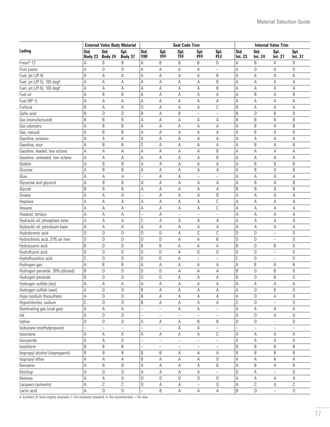|                                  | <b>External Valve Body Material</b> |                 |                 |                    |                          | <b>Seal Code Trim</b>    |                          |                          | <b>Internal Valve Trim</b> |                        |                          |                 |
|----------------------------------|-------------------------------------|-----------------|-----------------|--------------------|--------------------------|--------------------------|--------------------------|--------------------------|----------------------------|------------------------|--------------------------|-----------------|
| Lading                           | Std.<br>Body 23                     | Std.<br>Body 24 | Spl.<br>Body 37 | Std.<br><b>YRF</b> | Spl.<br><b>YFF</b>       | Spl.<br><b>TFF</b>       | Spl.<br><b>PFF</b>       | Spl.<br><b>PLF</b>       | Std.<br>Int. 23            | Std.<br><b>Int. 24</b> | Spl.<br>Int. 27          | Spl.<br>Int. 37 |
| Freon <sup>®</sup> 12            | A                                   | B               | B               | Α                  | B                        | B                        | B                        | D                        | Α                          | B                      | А                        | B               |
| Fruit juices                     | А                                   | D               | D               | Α                  | Α                        | Α                        | Α                        | $\qquad \qquad -$        | А                          | D                      | Α                        | D               |
| Fuel, jet (JP-4)                 | А                                   | Α               | Α               | Α                  | А                        | Α                        | Α                        | B                        | Α                          | Α                      | Α                        | А               |
| Fuel, jet (JP-5), 100 degF       | А                                   | Α               | Α               | Α                  | A                        | Α                        | Α                        | B                        | А                          | A                      | А                        | Α               |
| Fuel, jet (JP-6), 100 degF       | Α                                   | Α               | Α               | Α                  | Α                        | А                        | Α                        | B                        | А                          | Α                      | Α                        | А               |
| Fuel oil                         | A                                   | B               | B               | Α                  | A                        | Α                        | Α                        | Α                        | A                          | B                      | Α                        | B               |
| Fuel $(RP-1)$                    | А                                   | Α               | Α               | Α                  | A                        | Α                        | Α                        | Α                        | Α                          | Α                      | А                        | A               |
| Furfural                         | B                                   | Α               | Α               | D                  | Α                        | Α                        | А                        | С                        | B                          | А                      | Α                        | А               |
| Gallic acid                      | B                                   | D               | $\mathsf D$     | B                  | A                        | B                        | $\equiv$                 | $\equiv$                 | B                          | D                      | B                        | D               |
| Gas (manufactured)               | B                                   | B               | B               | Α                  | А                        | Α                        | Α                        | Α                        | B                          | B                      | B                        | B               |
| Gas odorizers                    | Α                                   | B               | B               | А                  | Α                        | Α                        | Α                        | Α                        | Α                          | B                      | Α                        | B               |
| Gas, natural                     | Α                                   | B               | B               | Α                  | Α                        | Α                        | Α                        | Α                        | Α                          | B                      | Α                        | B               |
| Gasoline, aviation               | Α                                   | Α               | Α               | Α                  | Α                        | A                        | А                        | Α                        | Α                          | A                      | Α                        | А               |
| Gasoline, sour                   | A                                   | B               | B               | C                  | Α                        | А                        | Α                        | А                        | Α                          | B                      | Α                        | B               |
| Gasoline, leaded, low octane     | Α                                   | A               | Α               | Α                  | Α                        | Α                        | Α                        | B                        | А                          | Α                      | Α                        | А               |
| Gasoline, unleaded, low octane   | Α                                   | Α               | Α               | Α                  | A                        | Α                        | А                        | B                        | А                          | Α                      | Α                        | А               |
| Gelatin                          | Α                                   | B               | B               | Α                  | Α                        | Α                        | Α                        | Α                        | А                          | B                      | B                        | B               |
| Glucose                          | Α                                   | B               | B               | Α                  | Α                        | Α                        | Α                        | Α                        | Α                          | B                      | Α                        | B               |
| Glue                             | Α                                   | Α               | Α               |                    | Α                        | Α                        | $\equiv$                 | Ξ.                       | А                          | Α                      | Α                        | А               |
| Glycerine and glycerol           | Α                                   | B               | B               | Α                  | Α                        | Α                        | Α                        | Α                        | А                          | B                      | Α                        | B               |
| Glycols                          | B                                   | B               | B               | Α                  | Α                        | Α                        | Α                        | Α                        | B                          | B                      | B                        | B               |
| Grease                           | Α                                   | А               | Α               |                    | Α                        | Α                        | Α                        | B                        | А                          | Α                      | А                        | Α               |
| Heptane                          | Α                                   | А               | А               | Α                  | Α                        | Α                        | Α                        | С                        | Α                          | Α                      | А                        | А               |
| Hexane                           | А                                   | Α               | Α               | Α                  | Α                        | А                        | Α                        | С                        | Α                          | Α                      | Α                        | А               |
| Hexanol, tertiary                | Α                                   | Α               | Α               |                    | А                        | $\equiv$                 |                          |                          | Α                          | А                      | А                        | Α               |
| Hydraulic oil, phosphate ester   | Α                                   | А               | А               | C                  | Α                        | Α                        | Α                        | Α                        | Α                          | А                      | Α                        | Α               |
| Hydraulic oil, petroleum base    | Α                                   | A               | Α               | A                  | $\mathsf A$              | А                        | А                        | А                        | Α                          | A                      | А                        | Α               |
| Hydrobromic acid                 | D                                   | D               | D               | D                  | D                        | А                        | C                        | C                        | D                          | D                      | ÷                        | D               |
| Hydrochloric acid, 37% air free  | D                                   | D               | D               | D                  | D                        | Α                        | А                        | B                        | D                          | D                      | $\overline{\phantom{0}}$ | D               |
| Hydrocyanic acid                 | B                                   | D               | D               | B                  | B                        | Α                        | А                        | А                        | B                          | D                      | B                        | D               |
| Hydrofluoric acid                | D                                   | D               | D               | D                  | D                        | Α                        | D                        | D                        | D                          | D                      | $\overline{\phantom{0}}$ | D               |
| Hydrofluosilicic acid            | С                                   | D               | D               | D                  | D                        |                          | $\overline{\phantom{0}}$ | $\overline{\phantom{0}}$ | С                          | D                      | $\overline{a}$           | D               |
| Hydrogen gas                     | A                                   | B               | $\sf B$         |                    | A                        | А<br>A                   |                          |                          | А                          | B                      |                          | B               |
| Hydrogen peroxide, 30% (diluted) | B                                   | D               | D               | А<br>D             | D                        | Α                        | А                        | Α<br>Α                   | B                          | D                      | А<br>B                   | D               |
|                                  |                                     |                 |                 |                    |                          |                          | А                        |                          |                            |                        |                          |                 |
| Hydrogen peroxide                | B                                   | D               | D               | D                  | D                        | A                        | А                        | Α                        | B                          | D                      | B                        | D               |
| Hydrogen sulfide (dry)           | $\mathsf A$                         | A               | A               | A                  | $\mathsf A$              | А                        | A                        | А                        | А                          | А                      | A                        | $\mathsf A$     |
| Hydrogen sulfide (wet)           | Α                                   | D               | D               | B                  | Α                        | Α                        | Α                        | Α                        | А                          | D                      | B                        | D               |
| Hypo (sodium thiosulfate)        | А                                   | D               | D               | B                  | Α                        | Α                        | Α                        | Α                        | А                          | D                      | Α                        | D               |
| Hypochlorites, sodium            | C                                   | D               | D               | B                  | Α                        | Α                        | Α                        | Α                        | C                          | D                      | $\equiv$                 | D               |
| Illuminating gas (coal gas)      | A                                   | Α               | А               |                    | $\overline{\phantom{0}}$ | Α                        | А                        |                          | Α                          | Α                      | Α                        | Α               |
| lnk                              | Α                                   | D               | D               |                    | $\qquad \qquad -$        |                          |                          | -                        | Α                          | D                      | Α                        | D               |
| lodine                           | D                                   | D               | D               | Α                  | Α                        | Α                        | B                        | B                        | D                          | D                      |                          | D               |
| Isobutane (methylpropane)        |                                     |                 |                 |                    | $\overline{\phantom{0}}$ | Α                        | Α                        |                          |                            |                        |                          |                 |
| Isooctane                        | А                                   | Α               | Α               | Α                  | Α                        | А                        | Α                        | С                        | Α                          | А                      | Α                        | Α               |
| Isocyanide                       | Α                                   | Α               | Α               |                    | $\overline{\phantom{0}}$ | $\overline{\phantom{0}}$ |                          |                          | А                          | Α                      | Α                        | А               |
| Isodoform                        | B                                   | B               | B               |                    | $\overline{\phantom{0}}$ | $\equiv$                 | $\overline{\phantom{0}}$ |                          | B                          | B                      | B                        | B               |
| Isopropyl alcohol (isopropanol)  | B                                   | B               | B               | B                  | B                        | А                        | А                        | Α                        | B                          | B                      | B                        | B               |
| Isopropyl ether                  | А                                   | A               | Α               | B                  | $\mathsf A$              | А                        | Α                        | D                        | А                          | А                      | А                        | Α               |
| Kerosene                         | А                                   | B               | B               | А                  | Α                        | А                        | Α                        | B                        | А                          | B                      | Α                        | B               |
| Ketchup                          | Α                                   | D               | $\mathsf D$     | А                  | A                        | А                        | А                        | -                        | D                          | А                      |                          | D               |
| Ketones                          | Α                                   | А               | Α               | D                  | $\mathsf D$              | D                        | D                        | D                        | Α                          | Α                      | Α                        | Α               |
| Lacquers (solvents)              | Α                                   | C               | $\mathbb{C}$    | D                  | $\mathsf A$              | А                        |                          | D                        | Α                          | С                      | Α                        | C               |
| Lactic acid                      | А                                   | D               | $\mathsf D$     |                    | B                        | А                        | А                        | А                        | B                          | D                      | $\overline{a}$           | D               |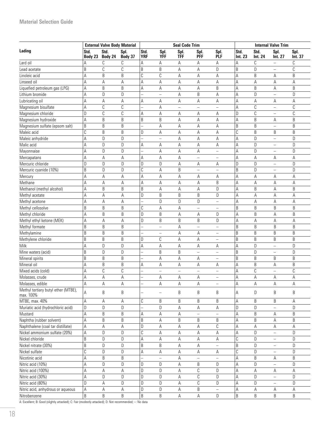|                                                         |                 | <b>External Valve Body Material</b> |                 |                          |                               | <b>Seal Code Trim</b>    |                          |                               | <b>Internal Valve Trim</b> |                 |                          |                 |
|---------------------------------------------------------|-----------------|-------------------------------------|-----------------|--------------------------|-------------------------------|--------------------------|--------------------------|-------------------------------|----------------------------|-----------------|--------------------------|-----------------|
| Lading                                                  | Std.<br>Body 23 | Std.<br>Body 24                     | Spl.<br>Body 37 | Std.<br><b>YRF</b>       | Spl.<br>YFF                   | Spl.<br><b>TFF</b>       | Spl.<br><b>PFF</b>       | Spl.<br>PLF                   | Std.<br>Int. 23            | Std.<br>Int. 24 | Spl.<br>Int. 27          | Spl.<br>Int. 37 |
| Lard oil                                                | А               | C                                   | C               | А                        | A                             | А                        | Α                        | Α                             | А                          | C               | $\overline{\phantom{0}}$ | C               |
| Lead acetate                                            | B               | C                                   | C               | B                        | B                             | А                        | А                        | D                             | B                          | D               | $\overline{\phantom{0}}$ | С               |
| Linoleic acid                                           | Α               | B                                   | B               | $\overline{c}$           | $\mathbb C$                   | Α                        | Α                        | Α                             | A                          | B               | А                        | B               |
| Linseed oil                                             | А               | A                                   | Α               | А                        | A                             | А                        | А                        | А                             | Α                          | A               | A                        | Α               |
| Liquefied petroleum gas (LPG)                           | Α               | B                                   | B               | А                        | A                             | A                        | A                        | B                             | A                          | $\sf B$         | A                        | B               |
| Lithium bromide                                         | А               | D                                   | D               |                          | $\qquad \qquad -$             | A                        | B                        | А                             | Α                          | D               | $\overline{a}$           | D               |
| Lubricating oil                                         | А               | A                                   | Α               | Α                        | Α                             | А                        | Α                        | А                             | А                          | Α               | A                        | Α               |
| Magnesium bisulfate                                     | Α               | $\mathbb C$                         | C               |                          | A                             | $\overline{\phantom{0}}$ | $\overline{\phantom{0}}$ | $\overline{\phantom{0}}$      | А                          | C               | $\overline{a}$           | С               |
| Magnesium chloride                                      | D               | C                                   | $\mathbb C$     | Α                        | Α                             | Α                        | Α                        | Α                             | D                          | C               | $\overline{\phantom{0}}$ | С               |
| Magnesium hydroxide                                     | A               | B                                   | B               | B                        | B                             | А                        | Α                        | А                             | Α                          | B               | Α                        | B               |
| Magnesium sulfate (epsom salt)                          | B               | B                                   | B               |                          | Α                             | Α                        | Α                        | Α                             | B                          | B               | $\equiv$                 | B               |
| Maleic acid                                             | C               | B                                   | B               | D                        | Α                             | А                        | А                        | Α                             | С                          | B               | B                        | B               |
| Maleic anhydride                                        | А               | D                                   | D               |                          | $\qquad \qquad -$             | Α                        | Α                        | Α                             | Α                          | D               | -                        | D               |
| Malic acid                                              | Α               | D                                   | $\mathsf D$     | Α                        | Α                             | Α                        | А                        | А                             | Α                          | D               | $\overline{\phantom{0}}$ | D               |
| Mayonnaise                                              | A               | D                                   | D               |                          | Α                             | Α                        | Α                        | -                             | А                          | D               | $\overline{\phantom{0}}$ | D               |
| Mercapatans                                             | Α               | A                                   | A               | Α                        | Α                             | Α                        |                          |                               | A                          | Α               | Α                        | Α               |
| Mercuric chloride                                       | D               | D                                   | $\mathsf D$     | D                        | $\mathsf D$                   | Α                        | Α                        | А                             | D                          | D               | $\equiv$                 | D               |
| Mercuric cyanide (10%)                                  | B               | D                                   | $\mathsf D$     | C                        | A                             | B                        | $\overline{\phantom{0}}$ | L.                            | B                          | D               | $\overline{\phantom{0}}$ | D               |
| Mercury                                                 | A               | Α                                   | Α               | Α                        | Α                             | Α                        | Α                        | Α                             | Α                          | Α               | Α                        | A               |
| Methane                                                 | А               | Α                                   | Α               | Α                        | Α                             | Α                        | Α                        | B                             | A                          | Α               | Α                        | Α               |
| Methanol (methyl alcohol)                               | A               | B                                   | B               | B                        | A                             | А                        | Α                        | D                             | A                          | B               | Α                        | B               |
| Methyl acetate                                          | Α               | Α                                   | Α               | D                        | B                             | B                        | B                        | D                             | Α                          | А               | Α                        | Α               |
| Methyl acetone                                          | А               | Α                                   | Α               |                          | $\mathsf D$                   | D                        | D                        | $\qquad \qquad -$             | Α                          | А               | A                        | Α               |
| Methyl cellosolve                                       | B               | B                                   | B               | С                        | A                             | А                        | $\equiv$                 | 4                             | B                          | B               | B                        | B               |
| Methyl chloride                                         | А               | B                                   | B               | D                        | B                             | Α                        | Α                        | D                             | Α                          | B               | Α                        | B               |
| Methyl ethyl ketone (MEK)                               | Α               | Α                                   | A               | D                        | B                             | B                        | B                        | D                             | A                          | A               | A                        | Α               |
| Methyl formate                                          | B               | B                                   | B               | $\overline{\phantom{0}}$ | $\qquad \qquad -$             | Α                        | $\equiv$                 | Ξ.                            | B                          | B               | B                        | B               |
| Methylamine                                             | B               | B                                   | B               |                          | $\qquad \qquad -$             | Α                        | Α                        | $\overline{\phantom{0}}$      | B                          | B               | B                        | B               |
| Methylene chloride                                      | B               | B                                   | B               | D                        | $\mathbb C$                   | А                        | Α                        | -                             | B                          | B               | B                        | B               |
| Milk                                                    | A               | D                                   | D               | А                        | Α                             | А                        | Α                        | Α                             | Α                          | D               | $\equiv$                 | D               |
| Mine waters (acid)                                      | B               | D                                   | D               |                          | B                             | B                        | $\equiv$                 | $\overline{\phantom{0}}$      | B                          | D               | $\overline{\phantom{0}}$ | D               |
| Mineral spirits                                         | B               | B                                   | B               |                          | А                             | Α                        | Α                        | $\qquad \qquad -$             | B                          | B               | B                        | B               |
| Mineral oil                                             | А               | B                                   | B               |                          | Α                             | Α                        | Α                        | Α                             | Α                          | B               | Α                        | B               |
| Mixed acids (cold)                                      | А               | C                                   | C               | Α                        |                               | -                        |                          |                               | A                          | C               |                          | С               |
|                                                         |                 |                                     |                 |                          | $\qquad \qquad -$             |                          | $\overline{\phantom{0}}$ | $\overline{\phantom{0}}$      |                            |                 | $\overline{\phantom{0}}$ |                 |
| Molasses, crude                                         | A               | Α                                   | A               |                          | Α                             | А                        | Α                        | $\equiv$                      | A                          | Α               | Α                        | Α               |
| Molasses, edible<br>Methyl tertiary butyl ether (MTBE), | A<br>A          | Α<br>B                              | Α<br>B          |                          | Α<br>$\overline{\phantom{0}}$ | Α<br>B                   | Α<br>B                   | $\overline{\phantom{a}}$<br>B | Α<br>Α                     | Α<br>D          | Α<br>B                   | Α<br>B          |
| max. 100%<br>MTBE, max. 40%                             | А               |                                     |                 | C                        | B                             | B                        | B                        | B                             | Α                          | B               | B                        |                 |
| Muriatic acid (hydrochloric acid)                       | D               | А<br>D                              | Α<br>D          |                          | D                             | Α                        | Α                        | Α                             | D                          | D               | $\overline{\phantom{0}}$ | А<br>D          |
| Mustard                                                 | A               | B                                   | B               | Α                        | Α                             | А                        | $\equiv$                 | $\equiv$                      | Α                          | B               | Α                        | B               |
| Naphtha (rubber solvent)                                | А               | B                                   | B               | B                        | Α                             | B                        | B                        | B                             | Α                          | B               | Α                        | B               |
| Naphthalene (coal tar distillate)                       | А               | Α                                   | А               | D                        | Α                             | А                        | Α                        | C                             | А                          | Α               | Α                        | А               |
| Nickel ammonium sulfate (20%)                           | А               | D                                   | D               | С                        | Α                             | Α                        | Α                        | Α                             | Α                          | D               | $\equiv$                 | D               |
| Nickel chloride                                         | B               | D                                   | D               | Α                        | Α                             | Α                        | Α                        | Α                             | С                          | D               |                          | D               |
| Nickel nitrate (30%)                                    | B               | D                                   | D               | B                        | B                             | Α                        |                          |                               | B                          | D               | -                        | D               |
|                                                         |                 | D                                   |                 |                          |                               |                          | Α                        |                               |                            | D               | -                        | D               |
| Nickel sulfate                                          | С               |                                     | D               | Α                        | Α                             | А                        | Α                        | А                             | С                          |                 | $\overline{\phantom{0}}$ |                 |
| Nicotinic acid                                          | Α               | B                                   | B               |                          |                               | Α                        |                          |                               | Α                          | $\sf B$         | Α                        | B               |
| Nitric acid (10%)                                       | А               | D                                   | D               | D                        | D                             | А                        | B                        | D                             | Α                          | D               | $\overline{\phantom{0}}$ | D               |
| Nitric acid (100%)                                      | А               | A                                   | A               | D                        | D                             | А                        | $\mathcal{C}$            | D                             | Α                          | A               | А                        | Α               |
| Nitric acid (30%)                                       | А               | D                                   | D               | D                        | $\mathsf D$                   | А                        | $\mathcal{C}$            | D                             | Α                          | D               | $\equiv$                 | D               |
| Nitric acid (80%)                                       | D               | Α                                   | D               | D                        | $\mathsf D$                   | А                        | C                        | D                             | Α                          | D               | $\overline{\phantom{0}}$ | D               |
| Nitric acid, anhydrous or aqueous                       | А               | Α                                   | Α               | D                        | $\mathsf D$                   | А                        | B                        | Ξ,                            | Α                          | Α               | Α                        | Α               |
| Nitrobenzene                                            | B               | B                                   | B               | B                        | B                             | А                        | Α                        | D                             | B                          | B               | B                        | B               |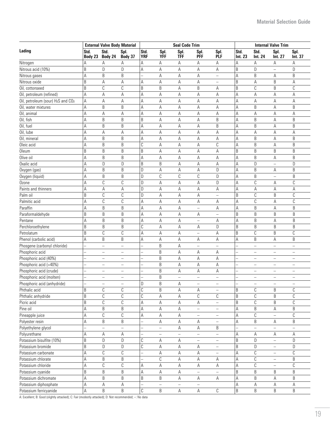|                                   | <b>External Valve Body Material</b> |                          |                          |                    |                   | <b>Seal Code Trim</b> |                          | <b>Internal Valve Trim</b> |                 |                        |                          |                          |
|-----------------------------------|-------------------------------------|--------------------------|--------------------------|--------------------|-------------------|-----------------------|--------------------------|----------------------------|-----------------|------------------------|--------------------------|--------------------------|
| Lading                            | Std.                                | Std.<br>Body 23 Body 24  | Spl.<br>Body 37          | Std.<br><b>YRF</b> | Spl.<br>YFF       | Spl.<br><b>TFF</b>    | Spl.<br><b>PFF</b>       | Spl.<br>PLF                | Std.<br>Int. 23 | Std.<br><b>Int. 24</b> | Spl.<br>Int. 27          | Spl.<br>int. 37          |
| Nitrogen                          | Α                                   | Α                        | Α                        | Α                  | Α                 | Α                     | Α                        | Α                          | Α               | Α                      | Α                        | А                        |
| Nitrous acid (10%)                | B                                   | D                        | D                        | Α                  | Α                 | Α                     | Α                        | Α                          | B               | D                      | -                        | D                        |
| Nitrous gases                     | A                                   | B                        | B                        |                    | Α                 | Α                     | Α                        | -                          | А               | B                      | Α                        | B                        |
| Nitrous oxide                     | B                                   | Α                        | Α                        | Α                  | A                 | Α                     | Α                        | -                          | B               | A                      | B                        | Α                        |
| Oil, cottonseed                   | B                                   | С                        | $\mathbb C$              | B                  | B                 | А                     | B                        | Α                          | B               | С                      | B                        | C                        |
| Oil, petroleum (refined)          | A                                   | Α                        | Α                        | Α                  | A                 | Α                     | Α                        | Α                          | A               | Α                      | Α                        | Α                        |
| Oil, petroleum (sour) H2S and CO2 | А                                   | А                        | А                        | Α                  | A                 | Α                     | Α                        | Α                          | Α               | Α                      | А                        | А                        |
| Oil, water mixtures               | А                                   | B                        | $\sf B$                  | Α                  | Α                 | Α                     | Α                        | Α                          | A               | B                      | А                        | $\sf B$                  |
| Oil, animal                       | A                                   | Α                        | Α                        | Α                  | A                 | Α                     | Α                        | Α                          | A               | А                      | А                        | A                        |
| Oil, fish                         | A                                   | B                        | B                        | B                  | A                 | Α                     | Α                        | B                          | A               | B                      | А                        | B                        |
| Oil, fuel                         | А                                   | B                        | B                        | А                  | Α                 | Α                     | Α                        | B                          | А               | B                      | Α                        | B                        |
| Oil, lube                         | А                                   | A                        | Α                        | Α                  | Α                 | Α                     | Α                        | Α                          | А               | Α                      | Α                        | Α                        |
| Oil, mineral                      | А                                   | B                        | B                        | Α                  | Α                 | A                     | А                        | Α                          | А               | B                      | A                        | B                        |
| Oleic acid                        | А                                   | B                        | B                        | C                  | Α                 | А                     | А                        | С                          | А               | B                      | Α                        | B                        |
| <b>Oleum</b>                      | B                                   | B                        | B                        | B                  | Α                 | Α                     | Α                        | А                          | B               | B                      | B                        | B                        |
| Olive oil                         | Α                                   | B                        | B                        | Α                  | A                 | Α                     | А                        | А                          | А               | B                      | Α                        | B                        |
| Oxalic acid                       | Α                                   | D                        | D                        | B                  | B                 | А                     | Α                        | Α                          | А               | D                      | $\equiv$                 | D                        |
| Oxygen (gas)                      | А                                   | B                        | B                        | D                  | Α                 | Α                     | Α                        | D                          | А               | B                      | Α                        | B                        |
| Oxygen (liquid)                   | A                                   | B                        | B                        | D                  | C                 | С                     | С                        | D                          | А               | B                      | $\equiv$                 | B                        |
| Ozone                             | A                                   | C                        | C                        | D                  | Α                 | А                     | Α                        | D                          | Α               | C                      | А                        | C                        |
| Paints and thinners               | A                                   | А                        | Α                        | D                  | Α                 | Α                     | Α                        | Α                          | А               | Α                      | Α                        | Α                        |
| Palm oil                          | B                                   | C                        | $\mathbb C$              | D                  | Α                 | А                     | А                        | -                          | B               | C                      | B                        | С                        |
| Palmitic acid                     | Α                                   | C                        | $\mathbb C$              | Α                  | Α                 | Α                     | Α                        | А                          | Α               | С                      | А                        | C                        |
| Paraffin                          | А                                   | B                        | B                        | Α                  | Α                 | А                     | $\equiv$                 | А                          | Α               | B                      | Α                        | $\sf B$                  |
| Paraformaldehyde                  | B                                   | B                        | B                        | Α                  | Α                 | Α                     | А                        |                            | B               | B                      | B                        | $\sf B$                  |
| Pentane                           | Α                                   | B                        | B                        | Α                  | Α                 | А                     | $\overline{\phantom{0}}$ | Α                          | Α               | B                      | Α                        | B                        |
| Perchloroethylene                 | B                                   | B                        | B                        | C                  | $\mathsf A$       | А                     | А                        | D                          | B               | B                      | B                        | $\sf B$                  |
| Petrolatum                        | B                                   | С                        | C                        | Α                  | $\mathsf A$       | Α                     | $\overline{\phantom{0}}$ | А                          | B               | C                      | B                        | $\mathbb C$              |
| Phenol (carbolic acid)            | A                                   | B                        | B                        | Α                  | Α                 | Α                     | Α                        | А                          | А               | B                      | Α                        | B                        |
| Phosgene (carbonyl chloride)      |                                     | $\equiv$                 | $\frac{1}{2}$            |                    | B                 | A                     | $\equiv$                 | $\overline{\phantom{0}}$   |                 | $\equiv$               | $\equiv$                 | $\equiv$                 |
| Phosphoric acid                   |                                     | -                        | $\overline{\phantom{m}}$ | ÷                  | B                 | Α                     | Α                        | Α                          | ÷,              | -                      | -                        | $\overline{\phantom{m}}$ |
| Phosphoric acid (40%)             |                                     | -                        | -                        |                    | $\sf B$           | A                     | А                        | Α                          |                 | -                      | -                        | -                        |
| Phosphoric acid (>40%)            |                                     | $\overline{\phantom{0}}$ | $\qquad \qquad -$        |                    | $\sf B$           | A                     | А                        | А                          |                 | $\equiv$               | $\overline{a}$           | $\qquad \qquad -$        |
| Phosphoric acid (crude)           |                                     | $\equiv$                 | $\qquad \qquad -$        |                    | $\sf B$           | Α                     | Α                        | Α                          |                 | $\equiv$               | $\equiv$                 | $\equiv$                 |
| Phosphoric acid (molten)          |                                     | $\equiv$                 |                          |                    | B                 | $\overline{a}$        | $\equiv$                 | $\equiv$                   |                 | $\equiv$               |                          |                          |
|                                   |                                     |                          | $\overline{\phantom{0}}$ | D                  | B                 |                       |                          |                            |                 |                        | $\qquad \qquad -$        | $\qquad \qquad -$        |
| Phosphoric acid (anhydride)       | B                                   | С                        | C                        | C                  | B                 | А                     | -                        |                            | B               | С                      | B                        |                          |
| Phthalic acid                     | B                                   | С                        | C                        | С                  | Α                 | Α<br>Α                | Α<br>C                   | $\qquad \qquad -$<br>С     | B               | C                      | B                        | C<br>C                   |
| Phthalic anhydride                |                                     |                          |                          |                    |                   |                       |                          |                            |                 | C                      |                          |                          |
| Picric acid                       | B                                   | С                        | $\mathbb C$              | Α                  | Α                 | Α                     | Α                        | $\overline{\phantom{0}}$   | B               |                        | B                        | C                        |
| Pine oil                          | A                                   | B                        | B                        | Α                  | Α                 | Α                     | $\overline{\phantom{0}}$ | -                          | Α               | B                      | Α                        | B                        |
| Pineapple juice                   | Α                                   | C                        | C                        | Α                  | Α                 | Α                     | $\equiv$                 | $\overline{\phantom{0}}$   | Α               | С                      |                          | C                        |
| Polyester resin                   | A                                   | B                        | B                        |                    | Α                 | Α                     | Α                        | $\overline{\phantom{0}}$   | Α               | B                      | Α                        | B                        |
| Polyethylene glycol               |                                     | —                        | -                        |                    | -                 | А                     | Α                        | B                          |                 |                        |                          | $\overline{\phantom{0}}$ |
| Polyurethane                      | Α                                   | Α                        | Α                        |                    | $\qquad \qquad -$ |                       |                          | $\overline{\phantom{0}}$   | А               | Α                      | Α                        | Α                        |
| Potassium bisulfite (10%)         | B                                   | D                        | D                        | С                  | А                 | Α                     | $\equiv$                 | $\equiv$                   | B               | D                      | $\overline{\phantom{0}}$ | D                        |
| Potassium bromide                 | B                                   | D                        | $\mathsf D$              | C                  | A                 | Α                     | Α                        | $\frac{1}{2}$              | B               | D                      | $\equiv$                 | D                        |
| Potassium carbonate               | A                                   | C                        | $\mathbb C$              |                    | Α                 | А                     | Α                        | $\overline{\phantom{0}}$   | Α               | С                      | $\overline{\phantom{0}}$ | С                        |
| Potassium chlorate                | А                                   | B                        | $\sf B$                  |                    | $\mathbb C$       | Α                     | А                        | А                          | А               | С                      | -                        | $\sf B$                  |
| Potassium chloride                | Α                                   | C                        | C                        | А                  | Α                 | Α                     | A                        | А                          | Α               | C                      | $\overline{\phantom{0}}$ | C                        |
| Potassium cyanide                 | B                                   | B                        | B                        | А                  | Α                 | Α                     | $\equiv$                 | $\equiv$                   | B               | B                      | B                        | B                        |
| Potassium dichromate              | Α                                   | B                        | B                        | B                  | $\sf B$           | Α                     | Α                        | А                          | А               | B                      | Α                        | B                        |
| Potassium diphosphate             | Α                                   | A                        | A                        |                    | $\equiv$          |                       |                          |                            | А               | A                      | Α                        | А                        |
| Potassium ferricyanide            | A                                   | B                        | $\sf B$                  | C                  | $\sf B$           | А                     | $\mathsf A$              | C                          | B               | B                      | B                        | B                        |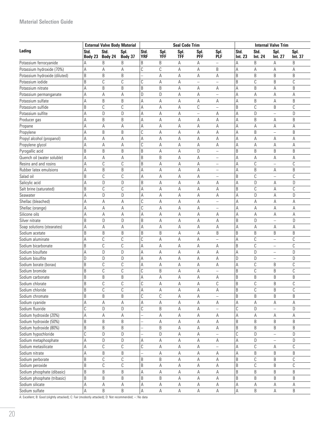#### **Material Selection Guide**

|                               | <b>External Valve Body Material</b> |                 |                 |                    |                    | <b>Seal Code Trim</b> |                          |                          | <b>Internal Valve Trim</b> |                        |                          |                 |
|-------------------------------|-------------------------------------|-----------------|-----------------|--------------------|--------------------|-----------------------|--------------------------|--------------------------|----------------------------|------------------------|--------------------------|-----------------|
| Lading                        | Std.<br>Body 23                     | Std.<br>Body 24 | Spl.<br>Body 37 | Std.<br><b>YRF</b> | Spl.<br><b>YFF</b> | Spl.<br><b>TFF</b>    | Spl.<br><b>PFF</b>       | Spl.<br><b>PLF</b>       | Std.<br>Int. 23            | Std.<br><b>Int. 24</b> | Spl.<br>Int. 27          | Spl.<br>Int. 37 |
| Potassium ferrocyanide        | А                                   | B               | B               | B                  | B                  | A                     | Α                        | $\equiv$                 | Α                          | B                      | Α                        | B               |
| Potassium hydroxide (70%)     | A                                   | Α               | Α               | C                  | С                  | Α                     | Α                        | B                        | A                          | Α                      | Α                        | A               |
| Potassium hydroxide (diluted) | B                                   | B               | B               |                    | A                  | Α                     | Α                        | Α                        | B                          | B                      | B                        | B               |
| Potassium iodide              | B                                   | C               | $\mathbb C$     | C                  | Α                  | Α                     | $\overline{\phantom{0}}$ | $\overline{\phantom{0}}$ | B                          | C                      | B                        | $\mathbb C$     |
| Potassium nitrate             | A                                   | B               | B               | B                  | $\sf B$            | Α                     | Α                        | Α                        | А                          | B                      | A                        | B               |
| Potassium permanganate        | A                                   | А               | Α               | D                  | D                  | А                     | Α                        | $\equiv$                 | А                          | A                      | A                        | Α               |
| Potassium sulfate             | A                                   | B               | B               | Α                  | A                  | Α                     | Α                        | Α                        | A                          | B                      | A                        | B               |
| Potassium sulfide             | B                                   | C               | C               | Α                  | A                  | А                     | С                        | $\qquad \qquad -$        | B                          | C                      | B                        | C               |
| Potassium sulfite             | Α                                   | D               | D               | Α                  | Α                  | Α                     | $\overline{\phantom{m}}$ | Α                        | Α                          | D                      | $\overline{\phantom{0}}$ | D               |
| Producer gas                  | A                                   | B               | B               | Α                  | Α                  | Α                     | Α                        | Α                        | A                          | B                      | Α                        | B               |
| Propane                       | A                                   | Α               | Α               | Α                  | Α                  | Α                     | Α                        | Α                        | Α                          | Α                      | Α                        | Α               |
| Propylene                     | A                                   | B               | B               | С                  | Α                  | Α                     | Α                        | Α                        | Α                          | B                      | -                        | B               |
| Propyl alcohol (propanol)     | A                                   | Α               | А               | Α                  | А                  | Α                     | Α                        | Α                        | Α                          | Α                      | Α                        | Α               |
| Propylene glycol              | A                                   | А               | А               | С                  | Α                  | Α                     | Α                        | Α                        | А                          | Α                      | Α                        | Α               |
| Pyrogallic acid               | B                                   | B               | B               | B                  | Α                  | Α                     | D                        | -                        | B                          | B                      | B                        | B               |
| Quench oil (water soluble)    | A                                   | А               | A               | B                  | B                  | Α                     | A                        | $\overline{\phantom{0}}$ | А                          | A                      | Α                        | А               |
| Resins and and rosins         | A                                   | C               | $\mathbb C$     | B                  | A                  | Α                     | A                        | $\equiv$                 | Α                          | $\mathcal{C}$          | $\overline{\phantom{0}}$ | $\mathbb{C}$    |
| Rubber latex emulsions        | A                                   | B               | $\sf B$         | Α                  | Α                  | Α                     | А                        | $\equiv$                 | Α                          | B                      | Α                        | B               |
| Salad oil                     | B                                   | C               | C               | A                  | $\mathsf A$        | Α                     | Α                        | $\equiv$                 | B                          | $\mathbb C$            | $\overline{a}$           | C               |
| Salicylic acid                | A                                   | D               | $\mathsf D$     | B                  | A                  | Α                     | A                        | Α                        | A                          | D                      | Α                        | D               |
|                               | B                                   | C               |                 |                    |                    |                       |                          |                          | B                          |                        |                          |                 |
| Salt brine (saturated)        |                                     |                 | C               | Α                  | А                  | А                     | А                        | А                        |                            | C                      | Α                        | C               |
| Seawater                      | Α                                   | D               | D               | Α                  | Α                  | Α                     | Α                        | А                        | А                          | D                      | Α                        | D               |
| Shellac (bleached)            | Α                                   | Α               | Α               | C                  | Α                  | Α                     | Α                        | $\equiv$                 | А                          | Α                      | A                        | Α               |
| Shellac (orange)              | Α                                   | Α               | Α               | C                  | Α                  | Α                     | А                        | -                        | Α                          | Α                      | A                        | А               |
| Silicone oils                 | A                                   | Α               | А               | Α                  | А                  | Α                     | Α                        | Α                        | Α                          | Α                      | Α                        | А               |
| Silver nitrate                | B                                   | D               | D               | B                  | А                  | Α                     | A                        | A                        | B                          | D                      | $\overline{a}$           | D               |
| Soap solutions (stearates)    | Α                                   | А               | Α               | A                  | А                  | А                     | А                        | Α                        | А                          | Α                      | Α                        | А               |
| Sodium acetate                | B                                   | B               | B               | B                  | B                  | А                     | А                        | B                        | B                          | B                      | B                        | B               |
| Sodium aluminate              | A                                   | С               | C               | C                  | Α                  | А                     | А                        | $\equiv$                 | A                          | C                      | $\equiv$                 | C               |
| Sodium bicarbonate            | B                                   | С               | C               | Α                  | Α                  | Α                     | Α                        | Α                        | B                          | С                      | -                        | C               |
| Sodium bisulfate              | A                                   | D               | D               | Α                  | Α                  | Α                     | Α                        | Α                        | А                          | D                      | $\equiv$                 | D               |
| Sodium bisulfite              | D                                   | D               | D               | Α                  | Α                  | Α                     | Α                        | Α                        | D                          | D                      | $\equiv$                 | D               |
| Sodium borate (borax)         | B                                   | С               | C               | Α                  | Α                  | Α                     | Α                        | Α                        | А                          | C                      | B                        | С               |
| Sodium bromide                | B                                   | C               | $\mathbb C$     | C                  | B                  | Α                     | Α                        | $\overline{\phantom{0}}$ | B                          | $\mathcal{C}$          | B                        | $\mathbb C$     |
| Sodium carbonate              | B                                   | B               | B               | Α                  | Α                  | А                     | Α                        | Α                        | B                          | B                      | B                        | B               |
| Sodium chlorate               | В                                   | C               | C               | C                  | Α                  | Α                     | Α                        | С                        | В                          | C                      | В                        | C               |
| Sodium chloride               | $\sf B$                             | C               | $\mathbb C$     | А                  | A                  | A                     | А                        | Α                        | B                          | $\mathbb C$            | B                        | $\mathbb C$     |
| Sodium chromate               | $\sf B$                             | B               | B               | C                  | $\mathbb C$        | А                     | Α                        |                          | B                          | B                      | B                        | B               |
| Sodium cyanide                | A                                   | Α               | А               | А                  | $\mathsf A$        | A                     | А                        | Α                        | А                          | Α                      | Α                        | Α               |
| Sodium fluoride               | C                                   | D               | $\mathsf D$     | C                  | $\sf B$            | А                     | А                        |                          | C                          | D                      | $\overline{a}$           | D               |
| Sodium hydroxide (20%)        | A                                   | Α               | Α               |                    | А                  | А                     | Α                        | Α                        | Α                          | Α                      | Α                        | Α               |
| Sodium hydroxide (50%)        | $\sf B$                             | B               | B               |                    | Α                  | А                     | Α                        | Α                        | B                          | B                      | B                        | B               |
| Sodium hydroxide (80%)        | B                                   | B               | B               |                    | B                  | А                     | Α                        | Α                        | B                          | B                      | B                        | B               |
| Sodium hypochloride           | C                                   | D               | D               |                    | D                  | Α                     | Α                        |                          | C                          | D                      | $\overline{a}$           | D               |
| Sodium metaphosphate          | A                                   | D               | $\mathsf D$     | A                  | $\mathsf A$        | A                     | Α                        | Α                        | А                          | D                      | $\overline{\phantom{0}}$ | D               |
| Sodium metasilicate           | A                                   | С               | C               | С                  | Α                  | Α                     | Α                        | $\equiv$                 | Α                          | С                      | Α                        | C               |
| Sodium nitrate                | Α                                   | B               | B               |                    | Α                  | Α                     | Α                        | Α                        | А                          | B                      | B                        | $\sf B$         |
| Sodium perborate              | B                                   | С               | C               | B                  | B                  | А                     | Α                        | Α                        | B                          | С                      | B                        | C               |
| Sodium peroxide               | B                                   | С               | C               | B                  | Α                  | Α                     | Α                        | А                        | B                          | C                      | B                        | C               |
| Sodium phosphate (dibasic)    | B                                   | B               | B               | А                  | Α                  | А                     | Α                        | Α                        | B                          | B                      | B                        | B               |
| Sodium phosphate (tribasic)   | B                                   | B               | B               | B                  | B                  | А                     | Α                        | Α                        | B                          | B                      | B                        | B               |
| Sodium silicate               | Α                                   | Α               | Α               | Α                  | Α                  | Α                     | Α                        | Α                        | Α                          | Α                      | Α                        | А               |
| Sodium sulfate                | А                                   | B               | B               | А                  | $\mathsf A$        | A                     | A                        | A                        | Α                          | B                      | А                        | B               |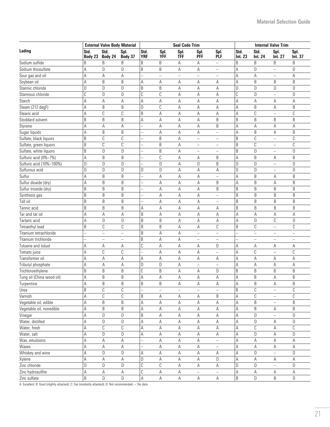| Std.<br>Std.<br>Std.<br>Spl.<br>Std.<br>Spl.<br>Spl.<br>Std.<br>Spl.<br>Spl.<br>Spl.<br>Spl.<br><b>TFF</b><br><b>YRF</b><br>YFF<br><b>PFF</b><br>PLF<br>Body 24<br>Body 37<br>Int. 23<br><b>Int. 24</b><br>Int. 37<br>Body 23<br>Int. 27<br>B<br>B<br>B<br>B<br>B<br>B<br>B<br>B<br>Α<br>B<br>Α<br>$\equiv$<br>D<br>B<br>B<br>D<br>D<br>A<br>D<br>А<br>Α<br>А<br>$\equiv$<br>$\equiv$<br>А<br>Α<br>Α<br>А<br>А<br>Α<br>$\overline{\phantom{m}}$<br>$\qquad \qquad -$<br>$\overline{\phantom{m}}$<br>$\qquad \qquad -$<br>-<br>B<br>B<br>A<br>B<br>B<br>B<br>Α<br>Α<br>А<br>Α<br>Α<br>Α<br>D<br>D<br>B<br>$\sf B$<br>D<br>А<br>D<br>D<br>D<br>D<br>Α<br>Α<br>C<br>$\mathbb C$<br>D<br>С<br>C<br>D<br>D<br>А<br>А<br>D<br>А<br>$\overline{\phantom{0}}$<br>A<br>A<br>A<br>Α<br>А<br>А<br>А<br>А<br>Α<br>А<br>A<br>Α<br>B<br>$\mathbb C$<br>B<br>D<br>A<br>B<br>B<br>Steam (212 degF)<br>А<br>А<br>А<br>Α<br>А<br>$\mathbb C$<br>$\mathbb C$<br>$\mathbb C$<br>$\mathbb C$<br>B<br>$\mathsf A$<br>А<br>А<br>Α<br>Stearic acid<br>А<br>А<br>$\overline{\phantom{0}}$<br>B<br>B<br>B<br>B<br>B<br>B<br>A<br>A<br>B<br>B<br>А<br>А<br>B<br>А<br>Α<br>Α<br>Α<br>А<br>А<br>Α<br>А<br>Α<br>A<br>Styrene<br>B<br>B<br>B<br>B<br>Sugar liquids<br>А<br>Α<br>А<br>А<br>A<br>Α<br>$\qquad \qquad -$<br>$\mathcal{C}$<br>$\mathbb{C}$<br>$\mathbb C$<br>B<br>B<br>C<br>Sulfate, black liquors<br>B<br>А<br>$\qquad \qquad -$<br>$\qquad \qquad -$<br>$\qquad \qquad -$<br>$\mathbb C$<br>$\mathbb C$<br>$\sf B$<br>B<br>$\mathbb C$<br>C<br>B<br>A<br>Sulfate, green liquors<br>$\equiv$<br>$\equiv$<br>$\overline{\phantom{0}}$<br>B<br>D<br>$\mathsf D$<br>B<br>Α<br>B<br>D<br>D<br>Sulfate, white liquors<br>$\equiv$<br>$\equiv$<br>$\qquad \qquad -$<br>B<br>C<br>Sulfuric acid (0%-7%)<br>Α<br>B<br>А<br>А<br>B<br>A<br>B<br>Α<br>B<br>B<br>Sulfuric acid (10%-100%)<br>D<br>D<br>D<br>D<br>А<br>D<br>D<br>D<br>D<br>$\equiv$<br>D<br>D<br>D<br>D<br>Sulfurous acid<br>D<br>D<br>D<br>А<br>D<br>Α<br>А<br>$\overline{\phantom{0}}$<br>Sulfur<br>B<br>B<br>B<br>А<br>А<br>B<br>А<br>Α<br>Α<br>Α<br>$\equiv$<br>B<br>B<br>B<br>Sulfur dioxide (dry)<br>А<br>А<br>B<br>А<br>B<br>Α<br>Α<br>Α<br>B<br>B<br>B<br>B<br>B<br>B<br>B<br>Sulfur trioxide (dry)<br>А<br>B<br>Α<br>Α<br>B<br>B<br>B<br>B<br>B<br>B<br>B<br>Synthesis gas<br>Α<br>Α<br>Α<br>$\qquad \qquad -$<br>B<br>B<br>B<br>B<br>B<br>B<br>Tall oil<br>B<br>Α<br>Α<br>Α<br>-<br>B<br>B<br>B<br>B<br>B<br>B<br>B<br>Tannic acid<br>Α<br>А<br>А<br>Α<br>Α<br>B<br>А<br>Α<br>А<br>A<br>Tar and tar oil<br>A<br>Α<br>Α<br>Α<br>Α<br>Α<br>Α<br>B<br>D<br>B<br>D<br>С<br>D<br>D<br>Α<br>А<br>А<br>Α<br>Tartaric acid<br>А<br>$\mathbb{C}$<br>B<br>C<br>$\mathbb C$<br>C<br>B<br>$\mathbb C$<br>B<br>B<br>Α<br>А<br>Tetraethyl lead<br>$\equiv$<br>B<br>A<br>Α<br>Titanium tetrachloride<br>$\equiv$<br>$\overline{\phantom{0}}$<br>$\overline{\phantom{0}}$<br>$\overline{\phantom{0}}$<br>$\equiv$<br>$\overline{\phantom{0}}$<br>$\qquad \qquad -$<br>$\overline{\phantom{0}}$<br>B<br>$\mathsf A$<br>А<br>Titanium trichloride<br>$\overline{\phantom{0}}$<br>$\overline{\phantom{0}}$<br>$\qquad \qquad -$<br>$\equiv$<br>$\qquad \qquad -$<br>$\equiv$<br>$\overline{\phantom{0}}$<br>C<br>$\mathsf A$<br>A<br>D<br>Toluene and toluol<br>A<br>Α<br>Α<br>Α<br>A<br>А<br>Α<br>Α<br>$\mathbb C$<br>$\mathbb C$<br>C<br>С<br>A<br>А<br>Α<br>Α<br>Α<br>Tomato juice<br>$\equiv$<br>$\overline{\phantom{0}}$<br>A<br>А<br>Transformer oil<br>А<br>Α<br>Α<br>Α<br>Α<br>А<br>Α<br>Α<br>Α<br>Α<br>D<br>Α<br>Α<br>D<br>Α<br>Α<br>Α<br>Α<br>Tributyl phosphate<br>А<br>Α<br>$\overline{\phantom{0}}$<br>$\qquad \qquad -$<br>B<br>B<br>B<br>$\sf B$<br>C<br>A<br>D<br>B<br>B<br>B<br>B<br>Α<br>Trichloroethylene<br>B<br>B<br>A<br>A<br>B<br>B<br>Tung oil (China wood oil)<br>А<br>A<br>Α<br>А<br>Α<br>А<br>B<br>A<br>B<br>B<br>$\sf B$<br>$\mathsf A$<br>B<br>B<br>Turpentine<br>Α<br>Α<br>Α<br>Α<br>B<br>$\mathbb C$<br>C<br>B<br>С<br>C<br>Urea<br>$\equiv$<br>-<br>$\overline{\phantom{m}}$<br>$\qquad \qquad -$<br>$\overline{\phantom{m}}$<br>Varnish<br>C<br>C<br>B<br>B<br>A<br>С<br>C<br>Α<br>Α<br>Α<br>Α<br>$\equiv$<br>B<br>Vegetable oil, edible<br>A<br>A<br>B<br>Α<br>B<br>Α<br>Α<br>Α<br>Α<br>B<br>$\equiv$<br>Vegetable oil, nonedible<br>B<br>$\sf B$<br>А<br>B<br>B<br>А<br>А<br>Α<br>Α<br>Α<br>Α<br>Α<br>Vinegar<br>B<br>А<br>D<br>D<br>Α<br>Α<br>Α<br>D<br>D<br>Α<br>Α<br>$\qquad \qquad -$<br>Water, distilled<br>А<br>D<br>D<br>A<br>А<br>Α<br>D<br>D<br>Α<br>Α<br>Α<br>Α<br>Water, fresh<br>C<br>A<br>C<br>С<br>C<br>Α<br>Α<br>А<br>Α<br>Α<br>Α<br>Α<br>Water, salt<br>D<br>$\mathsf D$<br>D<br>Α<br>D<br>Α<br>Α<br>А<br>Α<br>Α<br>Α<br>Α<br>Wax, emulsions<br>Α<br>Α<br>Α<br>Α<br>Α<br>Α<br>Α<br>Α<br>А<br>Α<br>$\overline{\phantom{0}}$<br>Waxes<br>А<br>Α<br>Α<br>Α<br>Α<br>Α<br>Α<br>Α<br>Α<br>А<br>$\qquad \qquad -$<br>Whiskey and wine<br>А<br>D<br>D<br>Α<br>D<br>D<br>Α<br>Α<br>Α<br>Α<br>Α<br>А<br>А<br>D<br>A<br>A<br>D<br>А<br>А<br>Α<br>Α<br>Xylene<br>Α<br>Α<br>Zinc chloride<br>C<br>$\mathbb C$<br>D<br>D<br>D<br>A<br>D<br>D<br>D<br>Α<br>Α<br>$\overline{C}$<br>Zinc hydrosulfite<br>$\mathsf A$<br>$\mathsf A$<br>А<br>$\mathsf A$<br>А<br>A<br>Α<br>A<br>Α<br>B<br>D<br>A<br>$\sf B$<br>D<br>D<br>Zinc sulfate<br>D<br>А<br>A<br>А<br>А<br>B |                    | <b>External Valve Body Material</b> |  |  | <b>Seal Code Trim</b> |  |  |  |  |  | <b>Internal Valve Trim</b> |  |  |  |
|-------------------------------------------------------------------------------------------------------------------------------------------------------------------------------------------------------------------------------------------------------------------------------------------------------------------------------------------------------------------------------------------------------------------------------------------------------------------------------------------------------------------------------------------------------------------------------------------------------------------------------------------------------------------------------------------------------------------------------------------------------------------------------------------------------------------------------------------------------------------------------------------------------------------------------------------------------------------------------------------------------------------------------------------------------------------------------------------------------------------------------------------------------------------------------------------------------------------------------------------------------------------------------------------------------------------------------------------------------------------------------------------------------------------------------------------------------------------------------------------------------------------------------------------------------------------------------------------------------------------------------------------------------------------------------------------------------------------------------------------------------------------------------------------------------------------------------------------------------------------------------------------------------------------------------------------------------------------------------------------------------------------------------------------------------------------------------------------------------------------------------------------------------------------------------------------------------------------------------------------------------------------------------------------------------------------------------------------------------------------------------------------------------------------------------------------------------------------------------------------------------------------------------------------------------------------------------------------------------------------------------------------------------------------------------------------------------------------------------------------------------------------------------------------------------------------------------------------------------------------------------------------------------------------------------------------------------------------------------------------------------------------------------------------------------------------------------------------------------------------------------------------------------------------------------------------------------------------------------------------------------------------------------------------------------------------------------------------------------------------------------------------------------------------------------------------------------------------------------------------------------------------------------------------------------------------------------------------------------------------------------------------------------------------------------------------------------------------------------------------------------------------------------------------------------------------------------------------------------------------------------------------------------------------------------------------------------------------------------------------------------------------------------------------------------------------------------------------------------------------------------------------------------------------------------------------------------------------------------------------------------------------------------------------------------------------------------------------------------------------------------------------------------------------------------------------------------------------------------------------------------------------------------------------------------------------------------------------------------------------------------------------------------------------------------------------------------------------------------------------------------------------------------------------------------------------------------------------------------------------------------------------------------------------------------------------------------------------------------------------------------------------------------------------------------------------------------------------------------------------------------------------------------------------------------------------------------------------------------------------------------------------------------------------------------------------------------|--------------------|-------------------------------------|--|--|-----------------------|--|--|--|--|--|----------------------------|--|--|--|
|                                                                                                                                                                                                                                                                                                                                                                                                                                                                                                                                                                                                                                                                                                                                                                                                                                                                                                                                                                                                                                                                                                                                                                                                                                                                                                                                                                                                                                                                                                                                                                                                                                                                                                                                                                                                                                                                                                                                                                                                                                                                                                                                                                                                                                                                                                                                                                                                                                                                                                                                                                                                                                                                                                                                                                                                                                                                                                                                                                                                                                                                                                                                                                                                                                                                                                                                                                                                                                                                                                                                                                                                                                                                                                                                                                                                                                                                                                                                                                                                                                                                                                                                                                                                                                                                                                                                                                                                                                                                                                                                                                                                                                                                                                                                                                                                                                                                                                                                                                                                                                                                                                                                                                                                                                                                                                                               | Lading             |                                     |  |  |                       |  |  |  |  |  |                            |  |  |  |
|                                                                                                                                                                                                                                                                                                                                                                                                                                                                                                                                                                                                                                                                                                                                                                                                                                                                                                                                                                                                                                                                                                                                                                                                                                                                                                                                                                                                                                                                                                                                                                                                                                                                                                                                                                                                                                                                                                                                                                                                                                                                                                                                                                                                                                                                                                                                                                                                                                                                                                                                                                                                                                                                                                                                                                                                                                                                                                                                                                                                                                                                                                                                                                                                                                                                                                                                                                                                                                                                                                                                                                                                                                                                                                                                                                                                                                                                                                                                                                                                                                                                                                                                                                                                                                                                                                                                                                                                                                                                                                                                                                                                                                                                                                                                                                                                                                                                                                                                                                                                                                                                                                                                                                                                                                                                                                                               | Sodium sulfide     |                                     |  |  |                       |  |  |  |  |  |                            |  |  |  |
|                                                                                                                                                                                                                                                                                                                                                                                                                                                                                                                                                                                                                                                                                                                                                                                                                                                                                                                                                                                                                                                                                                                                                                                                                                                                                                                                                                                                                                                                                                                                                                                                                                                                                                                                                                                                                                                                                                                                                                                                                                                                                                                                                                                                                                                                                                                                                                                                                                                                                                                                                                                                                                                                                                                                                                                                                                                                                                                                                                                                                                                                                                                                                                                                                                                                                                                                                                                                                                                                                                                                                                                                                                                                                                                                                                                                                                                                                                                                                                                                                                                                                                                                                                                                                                                                                                                                                                                                                                                                                                                                                                                                                                                                                                                                                                                                                                                                                                                                                                                                                                                                                                                                                                                                                                                                                                                               | Sodium thiosulfate |                                     |  |  |                       |  |  |  |  |  |                            |  |  |  |
|                                                                                                                                                                                                                                                                                                                                                                                                                                                                                                                                                                                                                                                                                                                                                                                                                                                                                                                                                                                                                                                                                                                                                                                                                                                                                                                                                                                                                                                                                                                                                                                                                                                                                                                                                                                                                                                                                                                                                                                                                                                                                                                                                                                                                                                                                                                                                                                                                                                                                                                                                                                                                                                                                                                                                                                                                                                                                                                                                                                                                                                                                                                                                                                                                                                                                                                                                                                                                                                                                                                                                                                                                                                                                                                                                                                                                                                                                                                                                                                                                                                                                                                                                                                                                                                                                                                                                                                                                                                                                                                                                                                                                                                                                                                                                                                                                                                                                                                                                                                                                                                                                                                                                                                                                                                                                                                               | Sour gas and oil   |                                     |  |  |                       |  |  |  |  |  |                            |  |  |  |
|                                                                                                                                                                                                                                                                                                                                                                                                                                                                                                                                                                                                                                                                                                                                                                                                                                                                                                                                                                                                                                                                                                                                                                                                                                                                                                                                                                                                                                                                                                                                                                                                                                                                                                                                                                                                                                                                                                                                                                                                                                                                                                                                                                                                                                                                                                                                                                                                                                                                                                                                                                                                                                                                                                                                                                                                                                                                                                                                                                                                                                                                                                                                                                                                                                                                                                                                                                                                                                                                                                                                                                                                                                                                                                                                                                                                                                                                                                                                                                                                                                                                                                                                                                                                                                                                                                                                                                                                                                                                                                                                                                                                                                                                                                                                                                                                                                                                                                                                                                                                                                                                                                                                                                                                                                                                                                                               | Soybean oil        |                                     |  |  |                       |  |  |  |  |  |                            |  |  |  |
|                                                                                                                                                                                                                                                                                                                                                                                                                                                                                                                                                                                                                                                                                                                                                                                                                                                                                                                                                                                                                                                                                                                                                                                                                                                                                                                                                                                                                                                                                                                                                                                                                                                                                                                                                                                                                                                                                                                                                                                                                                                                                                                                                                                                                                                                                                                                                                                                                                                                                                                                                                                                                                                                                                                                                                                                                                                                                                                                                                                                                                                                                                                                                                                                                                                                                                                                                                                                                                                                                                                                                                                                                                                                                                                                                                                                                                                                                                                                                                                                                                                                                                                                                                                                                                                                                                                                                                                                                                                                                                                                                                                                                                                                                                                                                                                                                                                                                                                                                                                                                                                                                                                                                                                                                                                                                                                               | Stannic chloride   |                                     |  |  |                       |  |  |  |  |  |                            |  |  |  |
|                                                                                                                                                                                                                                                                                                                                                                                                                                                                                                                                                                                                                                                                                                                                                                                                                                                                                                                                                                                                                                                                                                                                                                                                                                                                                                                                                                                                                                                                                                                                                                                                                                                                                                                                                                                                                                                                                                                                                                                                                                                                                                                                                                                                                                                                                                                                                                                                                                                                                                                                                                                                                                                                                                                                                                                                                                                                                                                                                                                                                                                                                                                                                                                                                                                                                                                                                                                                                                                                                                                                                                                                                                                                                                                                                                                                                                                                                                                                                                                                                                                                                                                                                                                                                                                                                                                                                                                                                                                                                                                                                                                                                                                                                                                                                                                                                                                                                                                                                                                                                                                                                                                                                                                                                                                                                                                               | Stannous chloride  |                                     |  |  |                       |  |  |  |  |  |                            |  |  |  |
|                                                                                                                                                                                                                                                                                                                                                                                                                                                                                                                                                                                                                                                                                                                                                                                                                                                                                                                                                                                                                                                                                                                                                                                                                                                                                                                                                                                                                                                                                                                                                                                                                                                                                                                                                                                                                                                                                                                                                                                                                                                                                                                                                                                                                                                                                                                                                                                                                                                                                                                                                                                                                                                                                                                                                                                                                                                                                                                                                                                                                                                                                                                                                                                                                                                                                                                                                                                                                                                                                                                                                                                                                                                                                                                                                                                                                                                                                                                                                                                                                                                                                                                                                                                                                                                                                                                                                                                                                                                                                                                                                                                                                                                                                                                                                                                                                                                                                                                                                                                                                                                                                                                                                                                                                                                                                                                               | Starch             |                                     |  |  |                       |  |  |  |  |  |                            |  |  |  |
|                                                                                                                                                                                                                                                                                                                                                                                                                                                                                                                                                                                                                                                                                                                                                                                                                                                                                                                                                                                                                                                                                                                                                                                                                                                                                                                                                                                                                                                                                                                                                                                                                                                                                                                                                                                                                                                                                                                                                                                                                                                                                                                                                                                                                                                                                                                                                                                                                                                                                                                                                                                                                                                                                                                                                                                                                                                                                                                                                                                                                                                                                                                                                                                                                                                                                                                                                                                                                                                                                                                                                                                                                                                                                                                                                                                                                                                                                                                                                                                                                                                                                                                                                                                                                                                                                                                                                                                                                                                                                                                                                                                                                                                                                                                                                                                                                                                                                                                                                                                                                                                                                                                                                                                                                                                                                                                               |                    |                                     |  |  |                       |  |  |  |  |  |                            |  |  |  |
|                                                                                                                                                                                                                                                                                                                                                                                                                                                                                                                                                                                                                                                                                                                                                                                                                                                                                                                                                                                                                                                                                                                                                                                                                                                                                                                                                                                                                                                                                                                                                                                                                                                                                                                                                                                                                                                                                                                                                                                                                                                                                                                                                                                                                                                                                                                                                                                                                                                                                                                                                                                                                                                                                                                                                                                                                                                                                                                                                                                                                                                                                                                                                                                                                                                                                                                                                                                                                                                                                                                                                                                                                                                                                                                                                                                                                                                                                                                                                                                                                                                                                                                                                                                                                                                                                                                                                                                                                                                                                                                                                                                                                                                                                                                                                                                                                                                                                                                                                                                                                                                                                                                                                                                                                                                                                                                               |                    |                                     |  |  |                       |  |  |  |  |  |                            |  |  |  |
|                                                                                                                                                                                                                                                                                                                                                                                                                                                                                                                                                                                                                                                                                                                                                                                                                                                                                                                                                                                                                                                                                                                                                                                                                                                                                                                                                                                                                                                                                                                                                                                                                                                                                                                                                                                                                                                                                                                                                                                                                                                                                                                                                                                                                                                                                                                                                                                                                                                                                                                                                                                                                                                                                                                                                                                                                                                                                                                                                                                                                                                                                                                                                                                                                                                                                                                                                                                                                                                                                                                                                                                                                                                                                                                                                                                                                                                                                                                                                                                                                                                                                                                                                                                                                                                                                                                                                                                                                                                                                                                                                                                                                                                                                                                                                                                                                                                                                                                                                                                                                                                                                                                                                                                                                                                                                                                               | Stoddard solvent   |                                     |  |  |                       |  |  |  |  |  |                            |  |  |  |
|                                                                                                                                                                                                                                                                                                                                                                                                                                                                                                                                                                                                                                                                                                                                                                                                                                                                                                                                                                                                                                                                                                                                                                                                                                                                                                                                                                                                                                                                                                                                                                                                                                                                                                                                                                                                                                                                                                                                                                                                                                                                                                                                                                                                                                                                                                                                                                                                                                                                                                                                                                                                                                                                                                                                                                                                                                                                                                                                                                                                                                                                                                                                                                                                                                                                                                                                                                                                                                                                                                                                                                                                                                                                                                                                                                                                                                                                                                                                                                                                                                                                                                                                                                                                                                                                                                                                                                                                                                                                                                                                                                                                                                                                                                                                                                                                                                                                                                                                                                                                                                                                                                                                                                                                                                                                                                                               |                    |                                     |  |  |                       |  |  |  |  |  |                            |  |  |  |
|                                                                                                                                                                                                                                                                                                                                                                                                                                                                                                                                                                                                                                                                                                                                                                                                                                                                                                                                                                                                                                                                                                                                                                                                                                                                                                                                                                                                                                                                                                                                                                                                                                                                                                                                                                                                                                                                                                                                                                                                                                                                                                                                                                                                                                                                                                                                                                                                                                                                                                                                                                                                                                                                                                                                                                                                                                                                                                                                                                                                                                                                                                                                                                                                                                                                                                                                                                                                                                                                                                                                                                                                                                                                                                                                                                                                                                                                                                                                                                                                                                                                                                                                                                                                                                                                                                                                                                                                                                                                                                                                                                                                                                                                                                                                                                                                                                                                                                                                                                                                                                                                                                                                                                                                                                                                                                                               |                    |                                     |  |  |                       |  |  |  |  |  |                            |  |  |  |
|                                                                                                                                                                                                                                                                                                                                                                                                                                                                                                                                                                                                                                                                                                                                                                                                                                                                                                                                                                                                                                                                                                                                                                                                                                                                                                                                                                                                                                                                                                                                                                                                                                                                                                                                                                                                                                                                                                                                                                                                                                                                                                                                                                                                                                                                                                                                                                                                                                                                                                                                                                                                                                                                                                                                                                                                                                                                                                                                                                                                                                                                                                                                                                                                                                                                                                                                                                                                                                                                                                                                                                                                                                                                                                                                                                                                                                                                                                                                                                                                                                                                                                                                                                                                                                                                                                                                                                                                                                                                                                                                                                                                                                                                                                                                                                                                                                                                                                                                                                                                                                                                                                                                                                                                                                                                                                                               |                    |                                     |  |  |                       |  |  |  |  |  |                            |  |  |  |
|                                                                                                                                                                                                                                                                                                                                                                                                                                                                                                                                                                                                                                                                                                                                                                                                                                                                                                                                                                                                                                                                                                                                                                                                                                                                                                                                                                                                                                                                                                                                                                                                                                                                                                                                                                                                                                                                                                                                                                                                                                                                                                                                                                                                                                                                                                                                                                                                                                                                                                                                                                                                                                                                                                                                                                                                                                                                                                                                                                                                                                                                                                                                                                                                                                                                                                                                                                                                                                                                                                                                                                                                                                                                                                                                                                                                                                                                                                                                                                                                                                                                                                                                                                                                                                                                                                                                                                                                                                                                                                                                                                                                                                                                                                                                                                                                                                                                                                                                                                                                                                                                                                                                                                                                                                                                                                                               |                    |                                     |  |  |                       |  |  |  |  |  |                            |  |  |  |
|                                                                                                                                                                                                                                                                                                                                                                                                                                                                                                                                                                                                                                                                                                                                                                                                                                                                                                                                                                                                                                                                                                                                                                                                                                                                                                                                                                                                                                                                                                                                                                                                                                                                                                                                                                                                                                                                                                                                                                                                                                                                                                                                                                                                                                                                                                                                                                                                                                                                                                                                                                                                                                                                                                                                                                                                                                                                                                                                                                                                                                                                                                                                                                                                                                                                                                                                                                                                                                                                                                                                                                                                                                                                                                                                                                                                                                                                                                                                                                                                                                                                                                                                                                                                                                                                                                                                                                                                                                                                                                                                                                                                                                                                                                                                                                                                                                                                                                                                                                                                                                                                                                                                                                                                                                                                                                                               |                    |                                     |  |  |                       |  |  |  |  |  |                            |  |  |  |
|                                                                                                                                                                                                                                                                                                                                                                                                                                                                                                                                                                                                                                                                                                                                                                                                                                                                                                                                                                                                                                                                                                                                                                                                                                                                                                                                                                                                                                                                                                                                                                                                                                                                                                                                                                                                                                                                                                                                                                                                                                                                                                                                                                                                                                                                                                                                                                                                                                                                                                                                                                                                                                                                                                                                                                                                                                                                                                                                                                                                                                                                                                                                                                                                                                                                                                                                                                                                                                                                                                                                                                                                                                                                                                                                                                                                                                                                                                                                                                                                                                                                                                                                                                                                                                                                                                                                                                                                                                                                                                                                                                                                                                                                                                                                                                                                                                                                                                                                                                                                                                                                                                                                                                                                                                                                                                                               |                    |                                     |  |  |                       |  |  |  |  |  |                            |  |  |  |
|                                                                                                                                                                                                                                                                                                                                                                                                                                                                                                                                                                                                                                                                                                                                                                                                                                                                                                                                                                                                                                                                                                                                                                                                                                                                                                                                                                                                                                                                                                                                                                                                                                                                                                                                                                                                                                                                                                                                                                                                                                                                                                                                                                                                                                                                                                                                                                                                                                                                                                                                                                                                                                                                                                                                                                                                                                                                                                                                                                                                                                                                                                                                                                                                                                                                                                                                                                                                                                                                                                                                                                                                                                                                                                                                                                                                                                                                                                                                                                                                                                                                                                                                                                                                                                                                                                                                                                                                                                                                                                                                                                                                                                                                                                                                                                                                                                                                                                                                                                                                                                                                                                                                                                                                                                                                                                                               |                    |                                     |  |  |                       |  |  |  |  |  |                            |  |  |  |
|                                                                                                                                                                                                                                                                                                                                                                                                                                                                                                                                                                                                                                                                                                                                                                                                                                                                                                                                                                                                                                                                                                                                                                                                                                                                                                                                                                                                                                                                                                                                                                                                                                                                                                                                                                                                                                                                                                                                                                                                                                                                                                                                                                                                                                                                                                                                                                                                                                                                                                                                                                                                                                                                                                                                                                                                                                                                                                                                                                                                                                                                                                                                                                                                                                                                                                                                                                                                                                                                                                                                                                                                                                                                                                                                                                                                                                                                                                                                                                                                                                                                                                                                                                                                                                                                                                                                                                                                                                                                                                                                                                                                                                                                                                                                                                                                                                                                                                                                                                                                                                                                                                                                                                                                                                                                                                                               |                    |                                     |  |  |                       |  |  |  |  |  |                            |  |  |  |
|                                                                                                                                                                                                                                                                                                                                                                                                                                                                                                                                                                                                                                                                                                                                                                                                                                                                                                                                                                                                                                                                                                                                                                                                                                                                                                                                                                                                                                                                                                                                                                                                                                                                                                                                                                                                                                                                                                                                                                                                                                                                                                                                                                                                                                                                                                                                                                                                                                                                                                                                                                                                                                                                                                                                                                                                                                                                                                                                                                                                                                                                                                                                                                                                                                                                                                                                                                                                                                                                                                                                                                                                                                                                                                                                                                                                                                                                                                                                                                                                                                                                                                                                                                                                                                                                                                                                                                                                                                                                                                                                                                                                                                                                                                                                                                                                                                                                                                                                                                                                                                                                                                                                                                                                                                                                                                                               |                    |                                     |  |  |                       |  |  |  |  |  |                            |  |  |  |
|                                                                                                                                                                                                                                                                                                                                                                                                                                                                                                                                                                                                                                                                                                                                                                                                                                                                                                                                                                                                                                                                                                                                                                                                                                                                                                                                                                                                                                                                                                                                                                                                                                                                                                                                                                                                                                                                                                                                                                                                                                                                                                                                                                                                                                                                                                                                                                                                                                                                                                                                                                                                                                                                                                                                                                                                                                                                                                                                                                                                                                                                                                                                                                                                                                                                                                                                                                                                                                                                                                                                                                                                                                                                                                                                                                                                                                                                                                                                                                                                                                                                                                                                                                                                                                                                                                                                                                                                                                                                                                                                                                                                                                                                                                                                                                                                                                                                                                                                                                                                                                                                                                                                                                                                                                                                                                                               |                    |                                     |  |  |                       |  |  |  |  |  |                            |  |  |  |
|                                                                                                                                                                                                                                                                                                                                                                                                                                                                                                                                                                                                                                                                                                                                                                                                                                                                                                                                                                                                                                                                                                                                                                                                                                                                                                                                                                                                                                                                                                                                                                                                                                                                                                                                                                                                                                                                                                                                                                                                                                                                                                                                                                                                                                                                                                                                                                                                                                                                                                                                                                                                                                                                                                                                                                                                                                                                                                                                                                                                                                                                                                                                                                                                                                                                                                                                                                                                                                                                                                                                                                                                                                                                                                                                                                                                                                                                                                                                                                                                                                                                                                                                                                                                                                                                                                                                                                                                                                                                                                                                                                                                                                                                                                                                                                                                                                                                                                                                                                                                                                                                                                                                                                                                                                                                                                                               |                    |                                     |  |  |                       |  |  |  |  |  |                            |  |  |  |
|                                                                                                                                                                                                                                                                                                                                                                                                                                                                                                                                                                                                                                                                                                                                                                                                                                                                                                                                                                                                                                                                                                                                                                                                                                                                                                                                                                                                                                                                                                                                                                                                                                                                                                                                                                                                                                                                                                                                                                                                                                                                                                                                                                                                                                                                                                                                                                                                                                                                                                                                                                                                                                                                                                                                                                                                                                                                                                                                                                                                                                                                                                                                                                                                                                                                                                                                                                                                                                                                                                                                                                                                                                                                                                                                                                                                                                                                                                                                                                                                                                                                                                                                                                                                                                                                                                                                                                                                                                                                                                                                                                                                                                                                                                                                                                                                                                                                                                                                                                                                                                                                                                                                                                                                                                                                                                                               |                    |                                     |  |  |                       |  |  |  |  |  |                            |  |  |  |
|                                                                                                                                                                                                                                                                                                                                                                                                                                                                                                                                                                                                                                                                                                                                                                                                                                                                                                                                                                                                                                                                                                                                                                                                                                                                                                                                                                                                                                                                                                                                                                                                                                                                                                                                                                                                                                                                                                                                                                                                                                                                                                                                                                                                                                                                                                                                                                                                                                                                                                                                                                                                                                                                                                                                                                                                                                                                                                                                                                                                                                                                                                                                                                                                                                                                                                                                                                                                                                                                                                                                                                                                                                                                                                                                                                                                                                                                                                                                                                                                                                                                                                                                                                                                                                                                                                                                                                                                                                                                                                                                                                                                                                                                                                                                                                                                                                                                                                                                                                                                                                                                                                                                                                                                                                                                                                                               |                    |                                     |  |  |                       |  |  |  |  |  |                            |  |  |  |
|                                                                                                                                                                                                                                                                                                                                                                                                                                                                                                                                                                                                                                                                                                                                                                                                                                                                                                                                                                                                                                                                                                                                                                                                                                                                                                                                                                                                                                                                                                                                                                                                                                                                                                                                                                                                                                                                                                                                                                                                                                                                                                                                                                                                                                                                                                                                                                                                                                                                                                                                                                                                                                                                                                                                                                                                                                                                                                                                                                                                                                                                                                                                                                                                                                                                                                                                                                                                                                                                                                                                                                                                                                                                                                                                                                                                                                                                                                                                                                                                                                                                                                                                                                                                                                                                                                                                                                                                                                                                                                                                                                                                                                                                                                                                                                                                                                                                                                                                                                                                                                                                                                                                                                                                                                                                                                                               |                    |                                     |  |  |                       |  |  |  |  |  |                            |  |  |  |
|                                                                                                                                                                                                                                                                                                                                                                                                                                                                                                                                                                                                                                                                                                                                                                                                                                                                                                                                                                                                                                                                                                                                                                                                                                                                                                                                                                                                                                                                                                                                                                                                                                                                                                                                                                                                                                                                                                                                                                                                                                                                                                                                                                                                                                                                                                                                                                                                                                                                                                                                                                                                                                                                                                                                                                                                                                                                                                                                                                                                                                                                                                                                                                                                                                                                                                                                                                                                                                                                                                                                                                                                                                                                                                                                                                                                                                                                                                                                                                                                                                                                                                                                                                                                                                                                                                                                                                                                                                                                                                                                                                                                                                                                                                                                                                                                                                                                                                                                                                                                                                                                                                                                                                                                                                                                                                                               |                    |                                     |  |  |                       |  |  |  |  |  |                            |  |  |  |
|                                                                                                                                                                                                                                                                                                                                                                                                                                                                                                                                                                                                                                                                                                                                                                                                                                                                                                                                                                                                                                                                                                                                                                                                                                                                                                                                                                                                                                                                                                                                                                                                                                                                                                                                                                                                                                                                                                                                                                                                                                                                                                                                                                                                                                                                                                                                                                                                                                                                                                                                                                                                                                                                                                                                                                                                                                                                                                                                                                                                                                                                                                                                                                                                                                                                                                                                                                                                                                                                                                                                                                                                                                                                                                                                                                                                                                                                                                                                                                                                                                                                                                                                                                                                                                                                                                                                                                                                                                                                                                                                                                                                                                                                                                                                                                                                                                                                                                                                                                                                                                                                                                                                                                                                                                                                                                                               |                    |                                     |  |  |                       |  |  |  |  |  |                            |  |  |  |
|                                                                                                                                                                                                                                                                                                                                                                                                                                                                                                                                                                                                                                                                                                                                                                                                                                                                                                                                                                                                                                                                                                                                                                                                                                                                                                                                                                                                                                                                                                                                                                                                                                                                                                                                                                                                                                                                                                                                                                                                                                                                                                                                                                                                                                                                                                                                                                                                                                                                                                                                                                                                                                                                                                                                                                                                                                                                                                                                                                                                                                                                                                                                                                                                                                                                                                                                                                                                                                                                                                                                                                                                                                                                                                                                                                                                                                                                                                                                                                                                                                                                                                                                                                                                                                                                                                                                                                                                                                                                                                                                                                                                                                                                                                                                                                                                                                                                                                                                                                                                                                                                                                                                                                                                                                                                                                                               |                    |                                     |  |  |                       |  |  |  |  |  |                            |  |  |  |
|                                                                                                                                                                                                                                                                                                                                                                                                                                                                                                                                                                                                                                                                                                                                                                                                                                                                                                                                                                                                                                                                                                                                                                                                                                                                                                                                                                                                                                                                                                                                                                                                                                                                                                                                                                                                                                                                                                                                                                                                                                                                                                                                                                                                                                                                                                                                                                                                                                                                                                                                                                                                                                                                                                                                                                                                                                                                                                                                                                                                                                                                                                                                                                                                                                                                                                                                                                                                                                                                                                                                                                                                                                                                                                                                                                                                                                                                                                                                                                                                                                                                                                                                                                                                                                                                                                                                                                                                                                                                                                                                                                                                                                                                                                                                                                                                                                                                                                                                                                                                                                                                                                                                                                                                                                                                                                                               |                    |                                     |  |  |                       |  |  |  |  |  |                            |  |  |  |
|                                                                                                                                                                                                                                                                                                                                                                                                                                                                                                                                                                                                                                                                                                                                                                                                                                                                                                                                                                                                                                                                                                                                                                                                                                                                                                                                                                                                                                                                                                                                                                                                                                                                                                                                                                                                                                                                                                                                                                                                                                                                                                                                                                                                                                                                                                                                                                                                                                                                                                                                                                                                                                                                                                                                                                                                                                                                                                                                                                                                                                                                                                                                                                                                                                                                                                                                                                                                                                                                                                                                                                                                                                                                                                                                                                                                                                                                                                                                                                                                                                                                                                                                                                                                                                                                                                                                                                                                                                                                                                                                                                                                                                                                                                                                                                                                                                                                                                                                                                                                                                                                                                                                                                                                                                                                                                                               |                    |                                     |  |  |                       |  |  |  |  |  |                            |  |  |  |
|                                                                                                                                                                                                                                                                                                                                                                                                                                                                                                                                                                                                                                                                                                                                                                                                                                                                                                                                                                                                                                                                                                                                                                                                                                                                                                                                                                                                                                                                                                                                                                                                                                                                                                                                                                                                                                                                                                                                                                                                                                                                                                                                                                                                                                                                                                                                                                                                                                                                                                                                                                                                                                                                                                                                                                                                                                                                                                                                                                                                                                                                                                                                                                                                                                                                                                                                                                                                                                                                                                                                                                                                                                                                                                                                                                                                                                                                                                                                                                                                                                                                                                                                                                                                                                                                                                                                                                                                                                                                                                                                                                                                                                                                                                                                                                                                                                                                                                                                                                                                                                                                                                                                                                                                                                                                                                                               |                    |                                     |  |  |                       |  |  |  |  |  |                            |  |  |  |
|                                                                                                                                                                                                                                                                                                                                                                                                                                                                                                                                                                                                                                                                                                                                                                                                                                                                                                                                                                                                                                                                                                                                                                                                                                                                                                                                                                                                                                                                                                                                                                                                                                                                                                                                                                                                                                                                                                                                                                                                                                                                                                                                                                                                                                                                                                                                                                                                                                                                                                                                                                                                                                                                                                                                                                                                                                                                                                                                                                                                                                                                                                                                                                                                                                                                                                                                                                                                                                                                                                                                                                                                                                                                                                                                                                                                                                                                                                                                                                                                                                                                                                                                                                                                                                                                                                                                                                                                                                                                                                                                                                                                                                                                                                                                                                                                                                                                                                                                                                                                                                                                                                                                                                                                                                                                                                                               |                    |                                     |  |  |                       |  |  |  |  |  |                            |  |  |  |
|                                                                                                                                                                                                                                                                                                                                                                                                                                                                                                                                                                                                                                                                                                                                                                                                                                                                                                                                                                                                                                                                                                                                                                                                                                                                                                                                                                                                                                                                                                                                                                                                                                                                                                                                                                                                                                                                                                                                                                                                                                                                                                                                                                                                                                                                                                                                                                                                                                                                                                                                                                                                                                                                                                                                                                                                                                                                                                                                                                                                                                                                                                                                                                                                                                                                                                                                                                                                                                                                                                                                                                                                                                                                                                                                                                                                                                                                                                                                                                                                                                                                                                                                                                                                                                                                                                                                                                                                                                                                                                                                                                                                                                                                                                                                                                                                                                                                                                                                                                                                                                                                                                                                                                                                                                                                                                                               |                    |                                     |  |  |                       |  |  |  |  |  |                            |  |  |  |
|                                                                                                                                                                                                                                                                                                                                                                                                                                                                                                                                                                                                                                                                                                                                                                                                                                                                                                                                                                                                                                                                                                                                                                                                                                                                                                                                                                                                                                                                                                                                                                                                                                                                                                                                                                                                                                                                                                                                                                                                                                                                                                                                                                                                                                                                                                                                                                                                                                                                                                                                                                                                                                                                                                                                                                                                                                                                                                                                                                                                                                                                                                                                                                                                                                                                                                                                                                                                                                                                                                                                                                                                                                                                                                                                                                                                                                                                                                                                                                                                                                                                                                                                                                                                                                                                                                                                                                                                                                                                                                                                                                                                                                                                                                                                                                                                                                                                                                                                                                                                                                                                                                                                                                                                                                                                                                                               |                    |                                     |  |  |                       |  |  |  |  |  |                            |  |  |  |
|                                                                                                                                                                                                                                                                                                                                                                                                                                                                                                                                                                                                                                                                                                                                                                                                                                                                                                                                                                                                                                                                                                                                                                                                                                                                                                                                                                                                                                                                                                                                                                                                                                                                                                                                                                                                                                                                                                                                                                                                                                                                                                                                                                                                                                                                                                                                                                                                                                                                                                                                                                                                                                                                                                                                                                                                                                                                                                                                                                                                                                                                                                                                                                                                                                                                                                                                                                                                                                                                                                                                                                                                                                                                                                                                                                                                                                                                                                                                                                                                                                                                                                                                                                                                                                                                                                                                                                                                                                                                                                                                                                                                                                                                                                                                                                                                                                                                                                                                                                                                                                                                                                                                                                                                                                                                                                                               |                    |                                     |  |  |                       |  |  |  |  |  |                            |  |  |  |
|                                                                                                                                                                                                                                                                                                                                                                                                                                                                                                                                                                                                                                                                                                                                                                                                                                                                                                                                                                                                                                                                                                                                                                                                                                                                                                                                                                                                                                                                                                                                                                                                                                                                                                                                                                                                                                                                                                                                                                                                                                                                                                                                                                                                                                                                                                                                                                                                                                                                                                                                                                                                                                                                                                                                                                                                                                                                                                                                                                                                                                                                                                                                                                                                                                                                                                                                                                                                                                                                                                                                                                                                                                                                                                                                                                                                                                                                                                                                                                                                                                                                                                                                                                                                                                                                                                                                                                                                                                                                                                                                                                                                                                                                                                                                                                                                                                                                                                                                                                                                                                                                                                                                                                                                                                                                                                                               |                    |                                     |  |  |                       |  |  |  |  |  |                            |  |  |  |
|                                                                                                                                                                                                                                                                                                                                                                                                                                                                                                                                                                                                                                                                                                                                                                                                                                                                                                                                                                                                                                                                                                                                                                                                                                                                                                                                                                                                                                                                                                                                                                                                                                                                                                                                                                                                                                                                                                                                                                                                                                                                                                                                                                                                                                                                                                                                                                                                                                                                                                                                                                                                                                                                                                                                                                                                                                                                                                                                                                                                                                                                                                                                                                                                                                                                                                                                                                                                                                                                                                                                                                                                                                                                                                                                                                                                                                                                                                                                                                                                                                                                                                                                                                                                                                                                                                                                                                                                                                                                                                                                                                                                                                                                                                                                                                                                                                                                                                                                                                                                                                                                                                                                                                                                                                                                                                                               |                    |                                     |  |  |                       |  |  |  |  |  |                            |  |  |  |
|                                                                                                                                                                                                                                                                                                                                                                                                                                                                                                                                                                                                                                                                                                                                                                                                                                                                                                                                                                                                                                                                                                                                                                                                                                                                                                                                                                                                                                                                                                                                                                                                                                                                                                                                                                                                                                                                                                                                                                                                                                                                                                                                                                                                                                                                                                                                                                                                                                                                                                                                                                                                                                                                                                                                                                                                                                                                                                                                                                                                                                                                                                                                                                                                                                                                                                                                                                                                                                                                                                                                                                                                                                                                                                                                                                                                                                                                                                                                                                                                                                                                                                                                                                                                                                                                                                                                                                                                                                                                                                                                                                                                                                                                                                                                                                                                                                                                                                                                                                                                                                                                                                                                                                                                                                                                                                                               |                    |                                     |  |  |                       |  |  |  |  |  |                            |  |  |  |
|                                                                                                                                                                                                                                                                                                                                                                                                                                                                                                                                                                                                                                                                                                                                                                                                                                                                                                                                                                                                                                                                                                                                                                                                                                                                                                                                                                                                                                                                                                                                                                                                                                                                                                                                                                                                                                                                                                                                                                                                                                                                                                                                                                                                                                                                                                                                                                                                                                                                                                                                                                                                                                                                                                                                                                                                                                                                                                                                                                                                                                                                                                                                                                                                                                                                                                                                                                                                                                                                                                                                                                                                                                                                                                                                                                                                                                                                                                                                                                                                                                                                                                                                                                                                                                                                                                                                                                                                                                                                                                                                                                                                                                                                                                                                                                                                                                                                                                                                                                                                                                                                                                                                                                                                                                                                                                                               |                    |                                     |  |  |                       |  |  |  |  |  |                            |  |  |  |
|                                                                                                                                                                                                                                                                                                                                                                                                                                                                                                                                                                                                                                                                                                                                                                                                                                                                                                                                                                                                                                                                                                                                                                                                                                                                                                                                                                                                                                                                                                                                                                                                                                                                                                                                                                                                                                                                                                                                                                                                                                                                                                                                                                                                                                                                                                                                                                                                                                                                                                                                                                                                                                                                                                                                                                                                                                                                                                                                                                                                                                                                                                                                                                                                                                                                                                                                                                                                                                                                                                                                                                                                                                                                                                                                                                                                                                                                                                                                                                                                                                                                                                                                                                                                                                                                                                                                                                                                                                                                                                                                                                                                                                                                                                                                                                                                                                                                                                                                                                                                                                                                                                                                                                                                                                                                                                                               |                    |                                     |  |  |                       |  |  |  |  |  |                            |  |  |  |
|                                                                                                                                                                                                                                                                                                                                                                                                                                                                                                                                                                                                                                                                                                                                                                                                                                                                                                                                                                                                                                                                                                                                                                                                                                                                                                                                                                                                                                                                                                                                                                                                                                                                                                                                                                                                                                                                                                                                                                                                                                                                                                                                                                                                                                                                                                                                                                                                                                                                                                                                                                                                                                                                                                                                                                                                                                                                                                                                                                                                                                                                                                                                                                                                                                                                                                                                                                                                                                                                                                                                                                                                                                                                                                                                                                                                                                                                                                                                                                                                                                                                                                                                                                                                                                                                                                                                                                                                                                                                                                                                                                                                                                                                                                                                                                                                                                                                                                                                                                                                                                                                                                                                                                                                                                                                                                                               |                    |                                     |  |  |                       |  |  |  |  |  |                            |  |  |  |
|                                                                                                                                                                                                                                                                                                                                                                                                                                                                                                                                                                                                                                                                                                                                                                                                                                                                                                                                                                                                                                                                                                                                                                                                                                                                                                                                                                                                                                                                                                                                                                                                                                                                                                                                                                                                                                                                                                                                                                                                                                                                                                                                                                                                                                                                                                                                                                                                                                                                                                                                                                                                                                                                                                                                                                                                                                                                                                                                                                                                                                                                                                                                                                                                                                                                                                                                                                                                                                                                                                                                                                                                                                                                                                                                                                                                                                                                                                                                                                                                                                                                                                                                                                                                                                                                                                                                                                                                                                                                                                                                                                                                                                                                                                                                                                                                                                                                                                                                                                                                                                                                                                                                                                                                                                                                                                                               |                    |                                     |  |  |                       |  |  |  |  |  |                            |  |  |  |
|                                                                                                                                                                                                                                                                                                                                                                                                                                                                                                                                                                                                                                                                                                                                                                                                                                                                                                                                                                                                                                                                                                                                                                                                                                                                                                                                                                                                                                                                                                                                                                                                                                                                                                                                                                                                                                                                                                                                                                                                                                                                                                                                                                                                                                                                                                                                                                                                                                                                                                                                                                                                                                                                                                                                                                                                                                                                                                                                                                                                                                                                                                                                                                                                                                                                                                                                                                                                                                                                                                                                                                                                                                                                                                                                                                                                                                                                                                                                                                                                                                                                                                                                                                                                                                                                                                                                                                                                                                                                                                                                                                                                                                                                                                                                                                                                                                                                                                                                                                                                                                                                                                                                                                                                                                                                                                                               |                    |                                     |  |  |                       |  |  |  |  |  |                            |  |  |  |
|                                                                                                                                                                                                                                                                                                                                                                                                                                                                                                                                                                                                                                                                                                                                                                                                                                                                                                                                                                                                                                                                                                                                                                                                                                                                                                                                                                                                                                                                                                                                                                                                                                                                                                                                                                                                                                                                                                                                                                                                                                                                                                                                                                                                                                                                                                                                                                                                                                                                                                                                                                                                                                                                                                                                                                                                                                                                                                                                                                                                                                                                                                                                                                                                                                                                                                                                                                                                                                                                                                                                                                                                                                                                                                                                                                                                                                                                                                                                                                                                                                                                                                                                                                                                                                                                                                                                                                                                                                                                                                                                                                                                                                                                                                                                                                                                                                                                                                                                                                                                                                                                                                                                                                                                                                                                                                                               |                    |                                     |  |  |                       |  |  |  |  |  |                            |  |  |  |
|                                                                                                                                                                                                                                                                                                                                                                                                                                                                                                                                                                                                                                                                                                                                                                                                                                                                                                                                                                                                                                                                                                                                                                                                                                                                                                                                                                                                                                                                                                                                                                                                                                                                                                                                                                                                                                                                                                                                                                                                                                                                                                                                                                                                                                                                                                                                                                                                                                                                                                                                                                                                                                                                                                                                                                                                                                                                                                                                                                                                                                                                                                                                                                                                                                                                                                                                                                                                                                                                                                                                                                                                                                                                                                                                                                                                                                                                                                                                                                                                                                                                                                                                                                                                                                                                                                                                                                                                                                                                                                                                                                                                                                                                                                                                                                                                                                                                                                                                                                                                                                                                                                                                                                                                                                                                                                                               |                    |                                     |  |  |                       |  |  |  |  |  |                            |  |  |  |
|                                                                                                                                                                                                                                                                                                                                                                                                                                                                                                                                                                                                                                                                                                                                                                                                                                                                                                                                                                                                                                                                                                                                                                                                                                                                                                                                                                                                                                                                                                                                                                                                                                                                                                                                                                                                                                                                                                                                                                                                                                                                                                                                                                                                                                                                                                                                                                                                                                                                                                                                                                                                                                                                                                                                                                                                                                                                                                                                                                                                                                                                                                                                                                                                                                                                                                                                                                                                                                                                                                                                                                                                                                                                                                                                                                                                                                                                                                                                                                                                                                                                                                                                                                                                                                                                                                                                                                                                                                                                                                                                                                                                                                                                                                                                                                                                                                                                                                                                                                                                                                                                                                                                                                                                                                                                                                                               |                    |                                     |  |  |                       |  |  |  |  |  |                            |  |  |  |
|                                                                                                                                                                                                                                                                                                                                                                                                                                                                                                                                                                                                                                                                                                                                                                                                                                                                                                                                                                                                                                                                                                                                                                                                                                                                                                                                                                                                                                                                                                                                                                                                                                                                                                                                                                                                                                                                                                                                                                                                                                                                                                                                                                                                                                                                                                                                                                                                                                                                                                                                                                                                                                                                                                                                                                                                                                                                                                                                                                                                                                                                                                                                                                                                                                                                                                                                                                                                                                                                                                                                                                                                                                                                                                                                                                                                                                                                                                                                                                                                                                                                                                                                                                                                                                                                                                                                                                                                                                                                                                                                                                                                                                                                                                                                                                                                                                                                                                                                                                                                                                                                                                                                                                                                                                                                                                                               |                    |                                     |  |  |                       |  |  |  |  |  |                            |  |  |  |
|                                                                                                                                                                                                                                                                                                                                                                                                                                                                                                                                                                                                                                                                                                                                                                                                                                                                                                                                                                                                                                                                                                                                                                                                                                                                                                                                                                                                                                                                                                                                                                                                                                                                                                                                                                                                                                                                                                                                                                                                                                                                                                                                                                                                                                                                                                                                                                                                                                                                                                                                                                                                                                                                                                                                                                                                                                                                                                                                                                                                                                                                                                                                                                                                                                                                                                                                                                                                                                                                                                                                                                                                                                                                                                                                                                                                                                                                                                                                                                                                                                                                                                                                                                                                                                                                                                                                                                                                                                                                                                                                                                                                                                                                                                                                                                                                                                                                                                                                                                                                                                                                                                                                                                                                                                                                                                                               |                    |                                     |  |  |                       |  |  |  |  |  |                            |  |  |  |
|                                                                                                                                                                                                                                                                                                                                                                                                                                                                                                                                                                                                                                                                                                                                                                                                                                                                                                                                                                                                                                                                                                                                                                                                                                                                                                                                                                                                                                                                                                                                                                                                                                                                                                                                                                                                                                                                                                                                                                                                                                                                                                                                                                                                                                                                                                                                                                                                                                                                                                                                                                                                                                                                                                                                                                                                                                                                                                                                                                                                                                                                                                                                                                                                                                                                                                                                                                                                                                                                                                                                                                                                                                                                                                                                                                                                                                                                                                                                                                                                                                                                                                                                                                                                                                                                                                                                                                                                                                                                                                                                                                                                                                                                                                                                                                                                                                                                                                                                                                                                                                                                                                                                                                                                                                                                                                                               |                    |                                     |  |  |                       |  |  |  |  |  |                            |  |  |  |
|                                                                                                                                                                                                                                                                                                                                                                                                                                                                                                                                                                                                                                                                                                                                                                                                                                                                                                                                                                                                                                                                                                                                                                                                                                                                                                                                                                                                                                                                                                                                                                                                                                                                                                                                                                                                                                                                                                                                                                                                                                                                                                                                                                                                                                                                                                                                                                                                                                                                                                                                                                                                                                                                                                                                                                                                                                                                                                                                                                                                                                                                                                                                                                                                                                                                                                                                                                                                                                                                                                                                                                                                                                                                                                                                                                                                                                                                                                                                                                                                                                                                                                                                                                                                                                                                                                                                                                                                                                                                                                                                                                                                                                                                                                                                                                                                                                                                                                                                                                                                                                                                                                                                                                                                                                                                                                                               |                    |                                     |  |  |                       |  |  |  |  |  |                            |  |  |  |
|                                                                                                                                                                                                                                                                                                                                                                                                                                                                                                                                                                                                                                                                                                                                                                                                                                                                                                                                                                                                                                                                                                                                                                                                                                                                                                                                                                                                                                                                                                                                                                                                                                                                                                                                                                                                                                                                                                                                                                                                                                                                                                                                                                                                                                                                                                                                                                                                                                                                                                                                                                                                                                                                                                                                                                                                                                                                                                                                                                                                                                                                                                                                                                                                                                                                                                                                                                                                                                                                                                                                                                                                                                                                                                                                                                                                                                                                                                                                                                                                                                                                                                                                                                                                                                                                                                                                                                                                                                                                                                                                                                                                                                                                                                                                                                                                                                                                                                                                                                                                                                                                                                                                                                                                                                                                                                                               |                    |                                     |  |  |                       |  |  |  |  |  |                            |  |  |  |
|                                                                                                                                                                                                                                                                                                                                                                                                                                                                                                                                                                                                                                                                                                                                                                                                                                                                                                                                                                                                                                                                                                                                                                                                                                                                                                                                                                                                                                                                                                                                                                                                                                                                                                                                                                                                                                                                                                                                                                                                                                                                                                                                                                                                                                                                                                                                                                                                                                                                                                                                                                                                                                                                                                                                                                                                                                                                                                                                                                                                                                                                                                                                                                                                                                                                                                                                                                                                                                                                                                                                                                                                                                                                                                                                                                                                                                                                                                                                                                                                                                                                                                                                                                                                                                                                                                                                                                                                                                                                                                                                                                                                                                                                                                                                                                                                                                                                                                                                                                                                                                                                                                                                                                                                                                                                                                                               |                    |                                     |  |  |                       |  |  |  |  |  |                            |  |  |  |